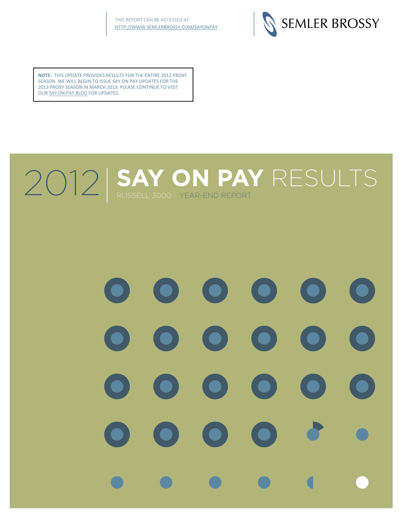

**NOTE:** THIS UPDATE PROVIDES RESULTS FOR THE ENTIRE 2012 PROXY SEASON. WE WILL BEGIN TO ISSUE SAY ON PAY UPDATES FOR THE 2013 PROXY SEASON IN MARCH 2013. PLEASE [CONTINUE](http://www.semlerbrossy.com/SAYONPAY) TO VISIT OUR SAY ON PAY BLOG FOR UPDATES.

# 2012 SAY ON PAY RESULTS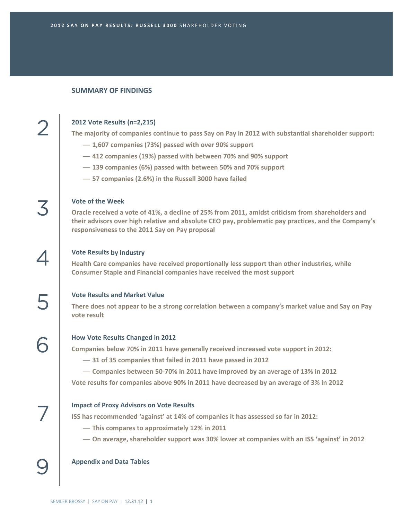#### **SUMMARY OF FINDINGS**

#### **2012 Vote Results (n=2,215)**

2

3

4

5

6

7

9

**The majority of companies continue to pass Say on Pay in 2012 with substantial shareholder support:**

- **1,607 companies (73%) passed with over 90% support**
- **412 companies (19%) passed with between 70% and 90% support**
- **139 companies (6%) passed with between 50% and 70% support**
- **57 companies (2.6%) in the Russell 3000 have failed**

#### **Vote of the Week**

**Oracle received a vote of 41%, a decline of 25% from 2011, amidst criticism from shareholders and their advisors over high relative and absolute CEO pay, problematic pay practices, and the Company's responsiveness to the 2011 Say on Pay proposal**

#### **Vote Results by Industry**

**Health Care companies have received proportionally less support than other industries, while Consumer Staple and Financial companies have received the most support**

#### **Vote Results and Market Value**

**There does not appear to be a strong correlation between a company's market value and Say on Pay vote result**

#### **How Vote Results Changed in 2012**

**Companies below 70% in 2011 have generally received increased vote support in 2012:**

- **31 of 35 companies that failed in 2011 have passed in 2012**
- **Companies between 50‐70% in 2011 have improved by an average of 13% in 2012**

**Vote results for companies above 90% in 2011 have decreased by an average of 3% in 2012**

#### **Impact of Proxy Advisors on Vote Results**

**ISS has recommended 'against' at 14% of companies it has assessed so far in 2012:**

- **This compares to approximately 12% in 2011**
- **On average, shareholder support was 30% lower at companies with an ISS 'against' in 2012**

#### **Appendix and Data Tables**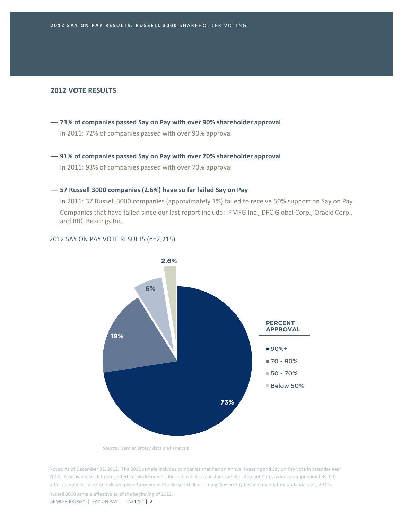#### **2012 VOTE RESULTS**

- **73% of companies passed Say on Pay with over 90% shareholder approval** In 2011: 72% of companies passed with over 90% approval
- **91% of companies passed Say on Pay with over 70% shareholder approval** In 2011: 93% of companies passed with over 70% approval

#### — **57 Russell 3000 companies (2.6%) have so far failed Say on Pay**

In 2011: 37 Russell 3000 companies (approximately 1%) failed to receive 50% support on Say on Pay Companies that have failed since our last report include: PMFG Inc., DFC Global Corp., Oracle Corp., and RBC Bearings Inc.

#### 2012 SAY ON PAY VOTE RESULTS (n=2,215)



Source: Semler Brossy data and analysis

Notes: As of December 31, 2012. The 2012 sample includes companies that had an Annual Meeting and Say on Pay vote in calendar year 2012. Year over year data presented in this document does not reflect a constant sample. Actuant Corp, as well as approximately 110 other companies, are not included given turnover in the Russell 3000 or timing (Say on Pay became mandatory on January 21, 2011).

SEMLER BROSSY | SAY ON PAY | 12.31.12 | 2 Russell 3000 sample effective as of the beginning of 2012.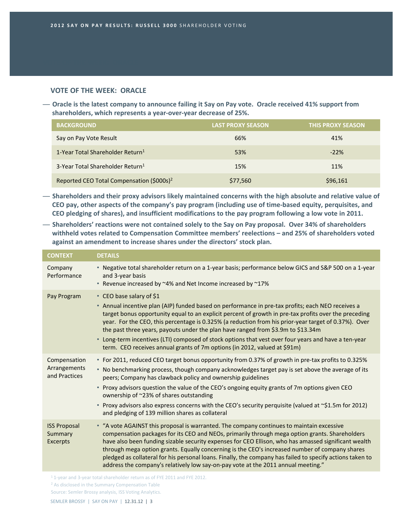# **VOTE OF THE WEEK: ORACLE**

- Oracle is the latest company to announce failing it Say on Pay vote. Oracle received 41% support from **shareholders, which represents a year‐over‐year decrease of 25%.**

| <b>BACKGROUND</b>                                     | <b>LAST PROXY SEASON</b> | <b>THIS PROXY SEASON</b> |
|-------------------------------------------------------|--------------------------|--------------------------|
| Say on Pay Vote Result                                | 66%                      | 41%                      |
| 1-Year Total Shareholder Return <sup>1</sup>          | 53%                      | $-22%$                   |
| 3-Year Total Shareholder Return <sup>1</sup>          | 15%                      | 11%                      |
| Reported CEO Total Compensation (\$000s) <sup>2</sup> | \$77,560                 | \$96,161                 |

— **Shareholders and their proxy advisors likely maintained concerns with the high absolute and relative value of** CEO pay, other aspects of the company's pay program (including use of time-based equity, perquisites, and **CEO pledging of shares), and insufficient modifications to the pay program following a low vote in 2011.**

— **Shareholders' reactions were not contained solely to the Say on Pay proposal. Over 34% of shareholders withheld votes related to Compensation Committee members' reelections – and 25% of shareholders voted against an amendment to increase shares under the directors' stock plan.**

| <b>CONTEXT</b>                                    | <b>DETAILS</b>                                                                                                                                                                                                                                                                                                                                                                                                                                                                                                                                                                                                          |
|---------------------------------------------------|-------------------------------------------------------------------------------------------------------------------------------------------------------------------------------------------------------------------------------------------------------------------------------------------------------------------------------------------------------------------------------------------------------------------------------------------------------------------------------------------------------------------------------------------------------------------------------------------------------------------------|
| Company<br>Performance                            | • Negative total shareholder return on a 1-year basis; performance below GICS and S&P 500 on a 1-year<br>and 3-year basis<br>• Revenue increased by ~4% and Net Income increased by ~17%                                                                                                                                                                                                                                                                                                                                                                                                                                |
| Pay Program                                       | • CEO base salary of \$1<br>• Annual incentive plan (AIP) funded based on performance in pre-tax profits; each NEO receives a<br>target bonus opportunity equal to an explicit percent of growth in pre-tax profits over the preceding<br>year. For the CEO, this percentage is 0.325% (a reduction from his prior-year target of 0.37%). Over<br>the past three years, payouts under the plan have ranged from \$3.9m to \$13.34m<br>• Long-term incentives (LTI) composed of stock options that vest over four years and have a ten-year<br>term. CEO receives annual grants of 7m options (in 2012, valued at \$91m) |
| Compensation<br>Arrangements<br>and Practices     | * For 2011, reduced CEO target bonus opportunity from 0.37% of growth in pre-tax profits to 0.325%<br>• No benchmarking process, though company acknowledges target pay is set above the average of its<br>peers; Company has clawback policy and ownership guidelines<br>• Proxy advisors question the value of the CEO's ongoing equity grants of 7m options given CEO<br>ownership of ~23% of shares outstanding<br>• Proxy advisors also express concerns with the CEO's security perquisite (valued at $\sim$ \$1.5m for 2012)<br>and pledging of 139 million shares as collateral                                 |
| <b>ISS Proposal</b><br>Summary<br><b>Excerpts</b> | • "A vote AGAINST this proposal is warranted. The company continues to maintain excessive<br>compensation packages for its CEO and NEOs, primarily through mega option grants. Shareholders<br>have also been funding sizable security expenses for CEO Ellison, who has amassed significant wealth<br>through mega option grants. Equally concerning is the CEO's increased number of company shares<br>pledged as collateral for his personal loans. Finally, the company has failed to specify actions taken to<br>address the company's relatively low say-on-pay vote at the 2011 annual meeting."                 |

<sup>1</sup> 1-year and 3-year total shareholder return as of FYE 2011 and FYE 2012.

<sup>&</sup>lt;sup>2</sup> As disclosed in the Summary Compensation Table

Source: Semler Brossy analysis, ISS Voting Analytics.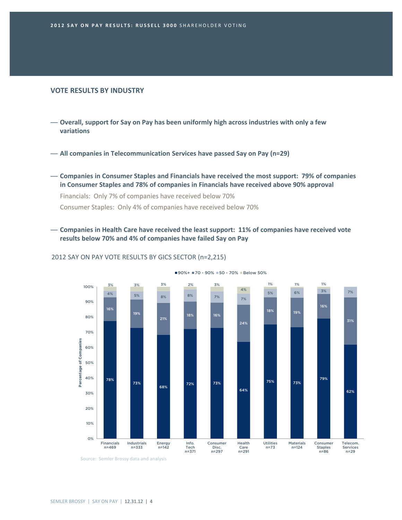#### **VOTE RESULTS BY INDUSTRY**

- **Overall, support for Say on Pay has been uniformly high across industries with only a few variations**
- **All companies in Telecommunication Services have passed Say on Pay (n=29)**
- **Companies in Consumer Staples and Financials have received the most support: 79% of companies in Consumer Staples and 78% of companies in Financials have received above 90% approval**

Financials: Only 7% of companies have received below 70% Consumer Staples: Only 4% of companies have received below 70%

— **Companies in Health Care have received the least support: 11% of companies have received vote results below 70% and 4% of companies have failed Say on Pay**



■90%+ ■70 - 90% ■50 - 70% ■Below 50%

#### 2012 SAY ON PAY VOTE RESULTS BY GICS SECTOR (n=2,215)

Source: Semler Brossy data and analysis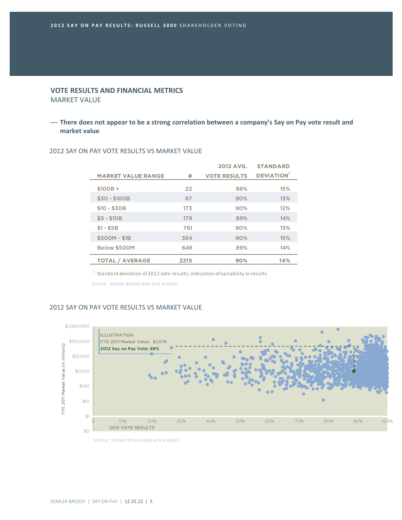# **VOTE RESULTS AND FINANCIAL METRICS** MARKET VALUE

# — **There does not appear to be a strong correlation between a company's Say on Pay vote result and market value**

|                           |      | 2012 AVG.           | <b>STANDARD</b>  |
|---------------------------|------|---------------------|------------------|
| <b>MARKET VALUE RANGE</b> | #    | <b>VOTE RESULTS</b> | <b>DEVIATION</b> |
| $$100B +$                 | 22   | 88%                 | 15%              |
| \$30 - \$100B             | 67   | 90%                 | 13%              |
| $$10 - $30B$              | 173  | 90%                 | 12%              |
| $$5 - $10B$               | 179  | 89%                 | 14%              |
| $$1 - $5B$                | 761  | 90%                 | 13%              |
| \$500M - \$1B             | 364  | 90%                 | 15%              |
| Below \$500M              | 649  | 89%                 | 14%              |
| <b>TOTAL / AVERAGE</b>    | 2215 | 90%                 | 14%              |

#### 2012 SAY ON PAY VOTE RESULTS VS MARKET VALUE

 $^{\rm 1}$  Standard deviation of 2012 vote results; indication of variability in results.

Source: Semler Brossy data and analysis

# 2012 SAY ON PAY VOTE RESULTS VS MARKET VALUE

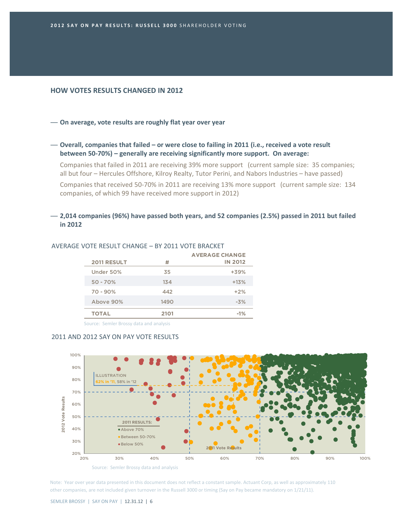## **HOW VOTES RESULTS CHANGED IN 2012**

#### — **On average, vote results are roughly flat year over year**

— **Overall, companies that failed – or were close to failing in 2011 (i.e., received a vote result between 50‐70%) – generally are receiving significantly more support. On average:**

Companies that failed in 2011 are receiving 39% more support (current sample size: 35 companies; all but four – Hercules Offshore, Kilroy Realty, Tutor Perini, and Nabors Industries – have passed)

Companies that received 50‐70% in 2011 are receiving 13% more support (current sample size: 134 companies, of which 99 have received more support in 2012)

# — **2,014 companies (96%) have passed both years, and 52 companies (2.5%) passed in 2011 but failed in 2012**

|                    |      | <b>AVERAGE CHANGE</b> |
|--------------------|------|-----------------------|
| <b>2011 RESULT</b> | Ħ    | <b>IN 2012</b>        |
| Under 50%          | 35   | $+39%$                |
| $50 - 70%$         | 134  | $+13%$                |
| $70 - 90%$         | 442  | $+2%$                 |
| Above 90%          | 1490 | $-3%$                 |
| <b>TOTAL</b>       | 2101 | $-1\%$                |
|                    |      |                       |

#### AVERAGE VOTE RESULT CHANGE – BY 2011 VOTE BRACKET

Source: Semler Brossy data and analysis

#### 2011 AND 2012 SAY ON PAY VOTE RESULTS



Note: Year over year data presented in this document does not reflect a constant sample. Actuant Corp, as well as approximately 110 other companies, are not included given turnover in the Russell 3000 or timing (Say on Pay became mandatory on 1/21/11).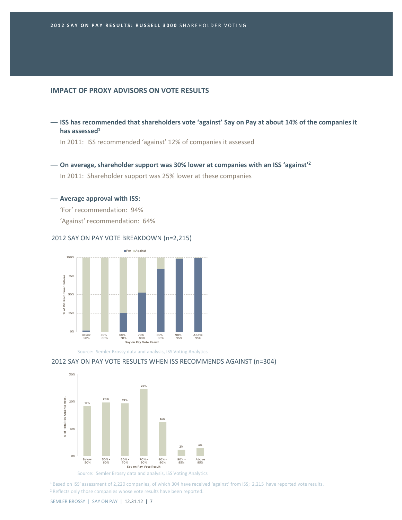# **IMPACT OF PROXY ADVISORS ON VOTE RESULTS**

— **ISS has recommended that shareholders vote 'against' Say on Pay at about 14% of the companies it has assessed1**

In 2011: ISS recommended 'against' 12% of companies it assessed

— **On average, shareholder support was 30% lower at companies with an ISS 'against'2**

In 2011: Shareholder support was 25% lower at these companies

#### — **Average approval with ISS:**

'For' recommendation: 94% 'Against' recommendation: 64%

#### 2012 SAY ON PAY VOTE BREAKDOWN (n=2,215)



Source: Semler Brossy data and analysis, ISS Voting Analytics

#### 2012 SAY ON PAY VOTE RESULTS WHEN ISS RECOMMENDS AGAINST (n=304)



Source: Semler Brossy data and analysis, ISS Voting Analytics

<sup>1</sup> Based on ISS' assessment of 2,220 companies, of which 304 have received 'against' from ISS; 2,215 have reported vote results. <sup>2</sup> Reflects only those companies whose vote results have been reported.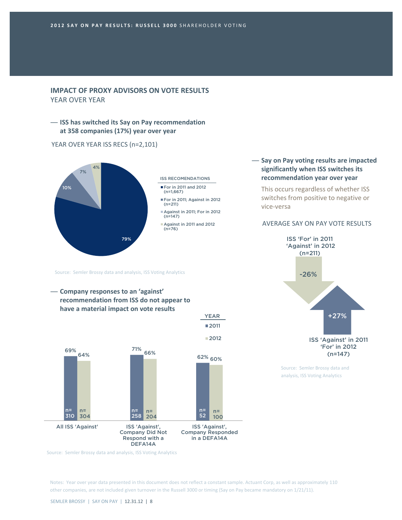# **IMPACT OF PROXY ADVISORS ON VOTE RESULTS** YEAR OVER YEAR

— **ISS has switched its Say on Pay recommendation at 358 companies (17%) year over year**

YEAR OVER YEAR ISS RECS (n=2,101)



Source: Semler Brossy data and analysis, ISS Voting Analytics





## — **Say on Pay voting results are impacted significantly when ISS switches its recommendation year over year**

This occurs regardless of whether ISS switches from positive to negative or vice‐versa

#### AVERAGE SAY ON PAY VOTE RESULTS



Source: Semler Brossy data and analysis, ISS Voting Analytics

Source: Semler Brossy data and analysis, ISS Voting Analytics

Notes: Year over year data presented in this document does not reflect a constant sample. Actuant Corp, as well as approximately 110 other companies, are not included given turnover in the Russell 3000 or timing (Say on Pay became mandatory on 1/21/11).

■2011

YEAR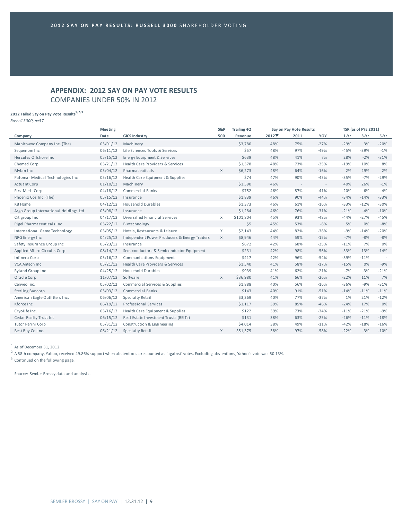# **APPENDIX: 2012 SAY ON PAY VOTE RESULTS** COMPANIES UNDER 50% IN 2012

## **2012 Failed Say on Pay Vote Results**<sup>1, 2, 3</sup>

*Russell 3000, n=57*

|                                       | <b>Meeting</b> |                                              | S&P          | <b>Trailing 4Q</b> |       | Say on Pay Vote Results |        |        | <b>TSR</b> (as of FYE 2011) |        |
|---------------------------------------|----------------|----------------------------------------------|--------------|--------------------|-------|-------------------------|--------|--------|-----------------------------|--------|
| Company                               | Date           | <b>GICS Industry</b>                         | 500          | Revenue            | 2012▼ | 2011                    | YOY    | $1-Yr$ | $3-Yr$                      | 5-Yr   |
| Manitowoc Company Inc. (The)          | 05/01/12       | Machinery                                    |              | \$3,780            | 48%   | 75%                     | $-27%$ | $-29%$ | 3%                          | $-20%$ |
| Sequenom Inc                          | 06/11/12       | Life Sciences Tools & Services               |              | \$57               | 48%   | 97%                     | $-49%$ | $-45%$ | $-39%$                      | $-1%$  |
| Hercules Offshore Inc.                | 05/15/12       | Energy Equipment & Services                  |              | \$639              | 48%   | 41%                     | 7%     | 28%    | $-2%$                       | $-31%$ |
| Chemed Corp                           | 05/21/12       | Health Care Providers & Services             |              | \$1,378            | 48%   | 73%                     | $-25%$ | $-19%$ | 10%                         | 8%     |
| Mylan Inc                             | 05/04/12       | Pharmaceuticals                              | $\mathsf{X}$ | \$6,273            | 48%   | 64%                     | $-16%$ | 2%     | 29%                         | 2%     |
| Palomar Medical Technologies Inc      | 05/16/12       | Health Care Equipment & Supplies             |              | \$74               | 47%   | 90%                     | $-43%$ | $-35%$ | $-7%$                       | $-29%$ |
| <b>Actuant Corp</b>                   | 01/10/12       | Machinery                                    |              | \$1,590            | 46%   | $\sim$                  | $\sim$ | 40%    | 26%                         | $-1%$  |
| FirstMerit Corp                       | 04/18/12       | Commercial Banks                             |              | \$752              | 46%   | 87%                     | $-41%$ | $-20%$ | $-6%$                       | $-4%$  |
| Phoenix Cos Inc. (The)                | 05/15/12       | Insurance                                    |              | \$1,839            | 46%   | 90%                     | $-44%$ | $-34%$ | $-14%$                      | $-33%$ |
| <b>KB Home</b>                        | 04/12/12       | Household Durables                           |              | \$1,373            | 46%   | 61%                     | $-16%$ | $-33%$ | $-12%$                      | $-30%$ |
| Argo Group International Holdings Ltd | 05/08/12       | Insurance                                    |              | \$1,284            | 46%   | 76%                     | $-31%$ | $-21%$ | $-4%$                       | $-10%$ |
| Citigroup Inc                         | 04/17/12       | Diversified Financial Services               | X            | \$101,804          | 45%   | 93%                     | $-48%$ | $-44%$ | $-27%$                      | $-45%$ |
| Rigel Pharmaceuticals Inc             | 05/22/12       | Biotechnology                                |              | \$5                | 45%   | 53%                     | $-8%$  | 5%     | 0%                          | $-8%$  |
| International Game Technology         | 03/05/12       | Hotels, Restaurants & Leisure                | X            | \$2,143            | 44%   | 82%                     | $-38%$ | $-9%$  | $-14%$                      | $-20%$ |
| NRG Energy Inc                        | 04/25/12       | Independent Power Producers & Energy Traders | X            | \$8,946            | 44%   | 59%                     | $-15%$ | $-7%$  | $-8%$                       | $-8%$  |
| Safety Insurance Group Inc            | 05/23/12       | Insurance                                    |              | \$672              | 42%   | 68%                     | $-25%$ | $-11%$ | 7%                          | 0%     |
| Applied Micro Circuits Corp           | 08/14/12       | Semiconductors & Semiconductor Equipment     |              | \$231              | 42%   | 98%                     | $-56%$ | $-33%$ | 13%                         | $-14%$ |
| Infinera Corp                         | 05/16/12       | Communications Equipment                     |              | \$417              | 42%   | 96%                     | $-54%$ | $-39%$ | $-11%$                      |        |
| VCA Antech Inc                        | 05/21/12       | Health Care Providers & Services             |              | \$1,540            | 41%   | 58%                     | $-17%$ | $-15%$ | 0%                          | $-9%$  |
| <b>Ryland Group Inc</b>               | 04/25/12       | <b>Household Durables</b>                    |              | \$939              | 41%   | 62%                     | $-21%$ | $-7%$  | $-3%$                       | $-21%$ |
| Oracle Corp                           | 11/07/12       | Software                                     | $\mathsf{X}$ | \$36,980           | 41%   | 66%                     | $-26%$ | $-22%$ | 11%                         | 7%     |
| Cenveo Inc.                           | 05/02/12       | Commercial Services & Supplies               |              | \$1,888            | 40%   | 56%                     | $-16%$ | $-36%$ | $-9%$                       | $-31%$ |
| Sterling Bancorp                      | 05/03/12       | Commercial Banks                             |              | \$143              | 40%   | 91%                     | $-51%$ | $-14%$ | $-11%$                      | $-11%$ |
| American Eagle Outfitters Inc.        | 06/06/12       | Specialty Retail                             |              | \$3,269            | 40%   | 77%                     | $-37%$ | 1%     | 21%                         | $-12%$ |
| Kforce Inc                            | 06/19/12       | Professional Services                        |              | \$1,117            | 39%   | 85%                     | $-46%$ | $-24%$ | 17%                         | 0%     |
| CryoLife Inc.                         | 05/16/12       | Health Care Equipment & Supplies             |              | \$122              | 39%   | 73%                     | $-34%$ | $-11%$ | $-21%$                      | $-9%$  |
| Cedar Realty Trust Inc                | 06/15/12       | Real Estate Investment Trusts (REITs)        |              | \$131              | 38%   | 63%                     | $-25%$ | $-26%$ | $-11%$                      | $-18%$ |
| Tutor Perini Corp                     | 05/31/12       | Construction & Engineering                   |              | \$4,014            | 38%   | 49%                     | $-11%$ | $-42%$ | $-18%$                      | $-16%$ |
| Best Buy Co. Inc.                     | 06/21/12       | Specialty Retail                             | $\mathsf{X}$ | \$51,375           | 38%   | 97%                     | $-58%$ | $-22%$ | $-3%$                       | $-10%$ |

 $1$  As of December 31, 2012.

 $^2$  A 58th company, Yahoo, received 49.86% support when abstentions are counted as 'against' votes. Excluding abstentions, Yahoo's vote was 50.13%.

<sup>3</sup> Continued on the following page.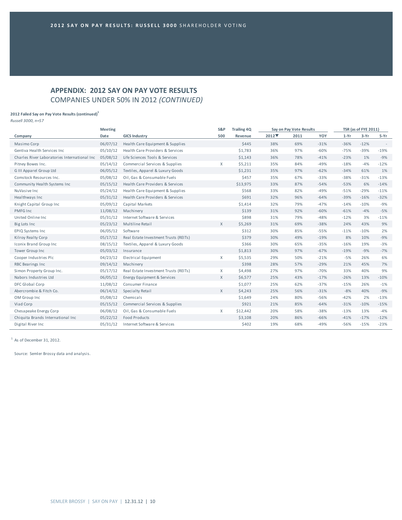# **APPENDIX: 2012 SAY ON PAY VOTE RESULTS** COMPANIES UNDER 50% IN 2012 *(CONTINUED)*

#### **2012 Failed Say on Pay Vote Results (continued)1**

*Russell 3000, n=57*

|                                              | <b>Meeting</b> |                                       |              | <b>Trailing 4Q</b> | Say on Pay Vote Results |      |        | <b>TSR</b> (as of FYE 2011) |        |        |
|----------------------------------------------|----------------|---------------------------------------|--------------|--------------------|-------------------------|------|--------|-----------------------------|--------|--------|
| Company                                      | Date           | <b>GICS Industry</b>                  | 500          | Revenue            | 2012                    | 2011 | YOY    | $1-Yr$                      | $3-Yr$ | 5-Yr   |
| Masimo Corp                                  | 06/07/12       | Health Care Equipment & Supplies      |              | \$445              | 38%                     | 69%  | $-31%$ | $-36%$                      | $-12%$ | $\sim$ |
| Gentiva Health Services Inc                  | 05/10/12       | Health Care Providers & Services      |              | \$1,783            | 36%                     | 97%  | $-60%$ | $-75%$                      | $-39%$ | $-19%$ |
| Charles River Laboratories International Inc | 05/08/12       | Life Sciences Tools & Services        |              | \$1,143            | 36%                     | 78%  | $-41%$ | $-23%$                      | 1%     | $-9%$  |
| Pitney Bowes Inc.                            | 05/14/12       | Commercial Services & Supplies        | X            | \$5,211            | 35%                     | 84%  | $-49%$ | $-18%$                      | $-4%$  | $-12%$ |
| G III Apparel Group Ltd                      | 06/05/12       | Textiles, Apparel & Luxury Goods      |              | \$1,231            | 35%                     | 97%  | $-62%$ | $-34%$                      | 61%    | 1%     |
| Comstock Resources Inc.                      | 05/08/12       | Oil, Gas & Consumable Fuels           |              | \$457              | 35%                     | 67%  | $-33%$ | $-38%$                      | $-31%$ | $-13%$ |
| Community Health Systems Inc                 | 05/15/12       | Health Care Providers & Services      |              | \$13,975           | 33%                     | 87%  | $-54%$ | $-53%$                      | 6%     | $-14%$ |
| NuVasive Inc                                 | 05/24/12       | Health Care Equipment & Supplies      |              | \$568              | 33%                     | 82%  | $-49%$ | $-51%$                      | $-29%$ | $-11%$ |
| Healthways Inc                               | 05/31/12       | Health Care Providers & Services      |              | \$691              | 32%                     | 96%  | $-64%$ | $-39%$                      | $-16%$ | $-32%$ |
| Knight Capital Group Inc                     | 05/09/12       | Capital Markets                       |              | \$1,414            | 32%                     | 79%  | $-47%$ | $-14%$                      | $-10%$ | $-9%$  |
| PMFG Inc                                     | 11/08/12       | Machinery                             |              | \$139              | 31%                     | 92%  | $-60%$ | $-61%$                      | $-4%$  | $-5%$  |
| United Online Inc                            | 05/31/12       | Internet Software & Services          |              | \$898              | 31%                     | 79%  | $-48%$ | $-12%$                      | 3%     | $-11%$ |
| Big Lots Inc                                 | 05/23/12       | Multiline Retail                      | $\mathsf{X}$ | \$5,269            | 31%                     | 69%  | $-38%$ | 24%                         | 43%    | 9%     |
| EPIQ Systems Inc                             | 06/05/12       | Software                              |              | \$312              | 30%                     | 85%  | $-55%$ | $-11%$                      | $-10%$ | 2%     |
| Kilroy Realty Corp                           | 05/17/12       | Real Estate Investment Trusts (REITs) |              | \$379              | 30%                     | 49%  | $-19%$ | 8%                          | 10%    | $-9%$  |
| Iconix Brand Group Inc                       | 08/15/12       | Textiles, Apparel & Luxury Goods      |              | \$366              | 30%                     | 65%  | $-35%$ | $-16%$                      | 19%    | $-3%$  |
| Tower Group Inc                              | 05/03/12       | Insurance                             |              | \$1,813            | 30%                     | 97%  | $-67%$ | $-19%$                      | $-9%$  | $-7%$  |
| Cooper Industries Plc                        | 04/23/12       | Electrical Equipment                  | X            | \$5,535            | 29%                     | 50%  | $-21%$ | $-5%$                       | 26%    | 6%     |
| <b>RBC Bearings Inc</b>                      | 09/14/12       | Machinery                             |              | \$398              | 28%                     | 57%  | $-29%$ | 21%                         | 45%    | 7%     |
| Simon Property Group Inc.                    | 05/17/12       | Real Estate Investment Trusts (REITs) | X            | \$4,498            | 27%                     | 97%  | $-70%$ | 33%                         | 40%    | 9%     |
| Nabors Industries Ltd                        | 06/05/12       | Energy Equipment & Services           | $\times$     | \$6,577            | 25%                     | 43%  | $-17%$ | $-26%$                      | 13%    | $-10%$ |
| DFC Global Corp                              | 11/08/12       | Consumer Finance                      |              | \$1,077            | 25%                     | 62%  | $-37%$ | $-15%$                      | 26%    | $-1%$  |
| Abercrombie & Fitch Co.                      | 06/14/12       | Specialty Retail                      | X            | \$4,243            | 25%                     | 56%  | $-31%$ | $-8%$                       | 40%    | $-9%$  |
| OM Group Inc                                 | 05/08/12       | Chemicals                             |              | \$1,649            | 24%                     | 80%  | $-56%$ | $-42%$                      | 2%     | $-13%$ |
| Viad Corp                                    | 05/15/12       | Commercial Services & Supplies        |              | \$921              | 21%                     | 85%  | $-64%$ | $-31%$                      | $-10%$ | $-15%$ |
| Chesapeake Energy Corp                       | 06/08/12       | Oil, Gas & Consumable Fuels           | X            | \$12,442           | 20%                     | 58%  | $-38%$ | $-13%$                      | 13%    | $-4%$  |
| Chiquita Brands International Inc            | 05/22/12       | <b>Food Products</b>                  |              | \$3,108            | 20%                     | 86%  | $-66%$ | $-41%$                      | $-17%$ | $-12%$ |
| Digital River Inc                            | 05/31/12       | Internet Software & Services          |              | \$402              | 19%                     | 68%  | $-49%$ | $-56%$                      | $-15%$ | $-23%$ |

 $1$  As of December 31, 2012.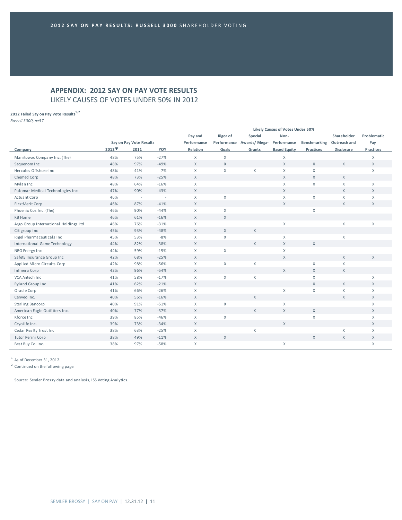# **APPENDIX: 2012 SAY ON PAY VOTE RESULTS** LIKELY CAUSES OF VOTES UNDER 50% IN 2012

## **2012 Failed Say on Pay Vote Results1, <sup>2</sup>**

*Russell 3000, n=57*

| Pay and<br>Rigor of<br>Special<br>Shareholder<br>Non-<br>Performance Awards/Mega-<br>Performance<br>Say on Pay Vote Results<br>Performance<br>Benchmarking<br>Outreach and<br>2012<br>YOY<br>Relation<br>Goals<br><b>Based Equity</b><br>2011<br>Grants<br><b>Practices</b><br><b>Disclosure</b><br>Company | Problematic<br>Pay<br>Practices<br>X<br>$\mathsf{X}$ |
|-------------------------------------------------------------------------------------------------------------------------------------------------------------------------------------------------------------------------------------------------------------------------------------------------------------|------------------------------------------------------|
|                                                                                                                                                                                                                                                                                                             |                                                      |
|                                                                                                                                                                                                                                                                                                             |                                                      |
|                                                                                                                                                                                                                                                                                                             |                                                      |
| $\mathsf{X}$<br>Manitowoc Company Inc. (The)<br>48%<br>75%<br>$-27%$<br>X<br>X                                                                                                                                                                                                                              |                                                      |
| $\mathsf{X}$<br>Sequenom Inc<br>48%<br>97%<br>$-49%$<br>$\mathsf{X}$<br>$\mathsf{X}$<br>$\times$<br>$\mathsf{X}$                                                                                                                                                                                            |                                                      |
| Χ<br>Hercules Offshore Inc<br>41%<br>7%<br>$\mathsf{X}$<br>X<br>X<br>48%<br>$\mathsf{X}$                                                                                                                                                                                                                    | X                                                    |
| $\mathsf{X}$<br>48%<br>73%<br>$-25%$<br>$\mathsf X$<br>$\mathsf{X}$<br>$\mathsf X$<br>Chemed Corp                                                                                                                                                                                                           |                                                      |
| X<br>Mylan Inc<br>64%<br>$-16%$<br>$\mathsf X$<br>X<br>$\mathsf X$<br>48%                                                                                                                                                                                                                                   | X                                                    |
| Palomar Medical Technologies Inc<br>90%<br>$-43%$<br>$\mathsf{X}$<br>X<br>47%<br>$\chi$                                                                                                                                                                                                                     | $\times$                                             |
| $\mathsf X$<br>X<br>X<br>X<br>46%<br>$\mathsf{X}$<br><b>Actuant Corp</b><br>$\sim$<br>÷.                                                                                                                                                                                                                    | X                                                    |
| $\mathsf X$<br>$\mathsf{X}$<br>$\mathsf{X}$<br>FirstMerit Corp<br>46%<br>87%<br>$-41%$                                                                                                                                                                                                                      | $\mathsf{X}$                                         |
| $\mathsf X$<br>X<br>$\mathsf X$<br>46%<br>90%<br>$-44%$<br>Phoenix Cos Inc. (The)                                                                                                                                                                                                                           |                                                      |
| <b>KB Home</b><br>46%<br>61%<br>$-16%$<br>$\mathsf{X}$<br>$\times$                                                                                                                                                                                                                                          |                                                      |
| $\mathsf X$<br>76%<br>$-31%$<br>$\mathsf{X}$<br>X<br>Argo Group International Holdings Ltd<br>46%                                                                                                                                                                                                           | $\mathsf{X}$                                         |
| $\mathsf{X}$<br>X<br>93%<br>$-48%$<br>$\mathsf X$<br>45%<br>Citigroup Inc                                                                                                                                                                                                                                   |                                                      |
| Rigel Pharmaceuticals Inc<br>$-8%$<br>$\mathsf X$<br>$\mathsf X$<br>X<br>X<br>45%<br>53%                                                                                                                                                                                                                    |                                                      |
| International Game Technology<br>82%<br>$-38%$<br>X<br>$\chi$<br>$\mathsf{X}$<br>44%<br>$\chi$                                                                                                                                                                                                              |                                                      |
| $-15%$<br>X<br>X<br>44%<br>59%<br>$\mathsf{X}$<br>NRG Energy Inc                                                                                                                                                                                                                                            |                                                      |
| $\mathsf{X}$<br>$\mathsf{X}$<br>Safety Insurance Group Inc<br>42%<br>68%<br>$-25%$<br>$\chi$                                                                                                                                                                                                                | $\mathsf{X}$                                         |
| $-56%$<br>$\mathsf X$<br>X<br>Χ<br>X<br>Applied Micro Circuits Corp<br>42%<br>98%<br>X                                                                                                                                                                                                                      |                                                      |
| 96%<br>$-54%$<br>$\mathsf{X}$<br>$\mathsf X$<br>$\mathsf{X}$<br>Infinera Corp<br>42%<br>$\chi$                                                                                                                                                                                                              |                                                      |
| VCA Antech Inc<br>41%<br>58%<br>$-17%$<br>$\mathsf{X}$<br>$\mathsf{X}$<br>X<br>X                                                                                                                                                                                                                            | X                                                    |
| $\mathsf{X}$<br>41%<br>62%<br>$-21%$<br>$\chi$<br>X<br>Ryland Group Inc                                                                                                                                                                                                                                     | X                                                    |
| $\mathsf{X}$<br>$\mathsf X$<br>$\mathsf X$<br>41%<br>66%<br>$-26%$<br>X<br>Oracle Corp                                                                                                                                                                                                                      | X                                                    |
| 40%<br>56%<br>$-16%$<br>$\chi$<br>X<br>X<br>Cenveo Inc.                                                                                                                                                                                                                                                     | X                                                    |
| 91%<br>$-51%$<br>X<br>X<br>Sterling Bancorp<br>40%<br>$\mathsf{X}$                                                                                                                                                                                                                                          | X                                                    |
| 77%<br>$-37%$<br>$\mathsf X$<br>X<br>$\mathsf{X}$<br>$\mathsf{X}$<br>American Eagle Outfitters Inc.<br>40%                                                                                                                                                                                                  | X                                                    |
| $\mathsf X$<br>X<br>39%<br>85%<br>$-46%$<br>X<br>Kforce Inc                                                                                                                                                                                                                                                 | X                                                    |
| $-34%$<br>$\mathsf X$<br>$\mathsf{X}$<br>CryoLife Inc.<br>39%<br>73%                                                                                                                                                                                                                                        | $\mathsf{X}$                                         |
| 38%<br>63%<br>$-25%$<br>$\mathsf{X}$<br>X<br>X<br>Cedar Realty Trust Inc                                                                                                                                                                                                                                    | X                                                    |
| $\mathsf{X}$<br>38%<br>49%<br>$-11%$<br>$\mathsf X$<br>$\mathsf X$<br>$\mathsf X$<br>Tutor Perini Corp                                                                                                                                                                                                      | $\mathsf{X}$                                         |
| 38%<br>97%<br>$-58%$<br>X<br>X<br>Best Buy Co. Inc.                                                                                                                                                                                                                                                         | X                                                    |

 $1$  As of December 31, 2012.

<sup>2</sup> Continued on the following page.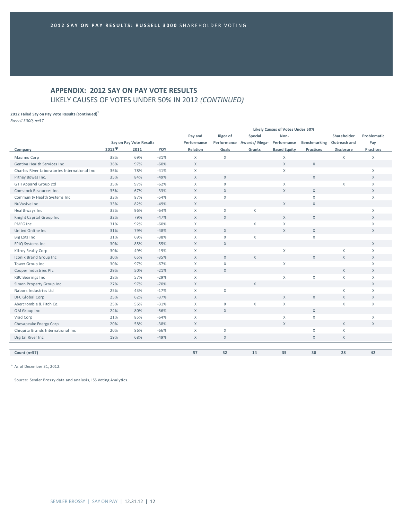# **APPENDIX: 2012 SAY ON PAY VOTE RESULTS** LIKELY CAUSES OF VOTES UNDER 50% IN 2012 *(CONTINUED)*

#### **2012 Failed Say on Pay Vote Results (continued)1**

*Russell 3000, n=57*

|                                               |       |                         | Likely Causes of Votes Under 50% |                           |              |                          |                     |                           |              |              |  |
|-----------------------------------------------|-------|-------------------------|----------------------------------|---------------------------|--------------|--------------------------|---------------------|---------------------------|--------------|--------------|--|
|                                               |       |                         |                                  | Pay and                   | Rigor of     | Special                  | Non-                |                           | Shareholder  | Problematic  |  |
|                                               |       | Say on Pay Vote Results |                                  | Performance               |              | Performance Awards/Mega- | Performance         | Benchmarking Outreach and |              | Pay          |  |
| Company                                       | 2012▼ | 2011                    | YOY                              | Relation                  | Goals        | Grants                   | <b>Based Equity</b> | Practices                 | Disclosure   | Practices    |  |
| Masimo Corp                                   | 38%   | 69%                     | $-31%$                           | $\mathsf{X}$              | $\mathsf{X}$ |                          | X                   |                           | $\mathsf X$  | X            |  |
| Gentiva Health Services Inc                   | 36%   | 97%                     | $-60%$                           | $\mathsf X$               |              |                          | $\mathsf{X}$        | $\mathsf{X}$              |              |              |  |
| Charles River Laboratories International Inc. | 36%   | 78%                     | $-41%$                           | $\mathsf{X}$              |              |                          | X                   |                           |              | $\mathsf{X}$ |  |
| Pitney Bowes Inc.                             | 35%   | 84%                     | $-49%$                           | $\chi$                    | X            |                          |                     | X                         |              | $\times$     |  |
| G III Apparel Group Ltd                       | 35%   | 97%                     | $-62%$                           | $\mathsf{X}$              | X            |                          | $\mathsf{X}$        |                           | $\mathsf X$  | $\mathsf{X}$ |  |
| Comstock Resources Inc.                       | 35%   | 67%                     | $-33%$                           | $\chi$                    | X            |                          | $\mathsf{X}$        | $\mathsf{X}$              |              | $\mathsf{X}$ |  |
| Community Health Systems Inc                  | 33%   | 87%                     | $-54%$                           | $\mathsf{X}$              | X            |                          |                     | $\mathsf{X}$              |              | $\mathsf{X}$ |  |
| NuVasive Inc                                  | 33%   | 82%                     | $-49%$                           | $\chi$                    |              |                          | X                   | $\mathsf X$               |              |              |  |
| Healthways Inc                                | 32%   | 96%                     | $-64%$                           | X                         | X            | X                        |                     |                           |              | $\mathsf{X}$ |  |
| Knight Capital Group Inc                      | 32%   | 79%                     | $-47%$                           | $\chi$                    | X            |                          | X                   | $\mathsf{X}$              |              | $\times$     |  |
| PMFG Inc                                      | 31%   | 92%                     | $-60%$                           | $\mathsf{X}$              |              | X                        | X                   |                           |              | $\mathsf{X}$ |  |
| United Online Inc.                            | 31%   | 79%                     | $-48%$                           | $\mathsf X$               | $\mathsf{X}$ |                          | X                   | $\mathsf{X}$              |              | $\mathsf{X}$ |  |
| Big Lots Inc                                  | 31%   | 69%                     | $-38%$                           | $\mathsf{X}$              | X            | X                        |                     | X                         |              |              |  |
| EPIQ Systems Inc                              | 30%   | 85%                     | $-55%$                           | $\mathsf{X}$              | $\mathsf{X}$ |                          |                     |                           |              | $\times$     |  |
| Kilroy Realty Corp                            | 30%   | 49%                     | $-19%$                           | $\mathsf X$               |              |                          | X                   |                           | X            | $\mathsf{X}$ |  |
| Iconix Brand Group Inc                        | 30%   | 65%                     | $-35%$                           | $\mathsf{X}$              | $\mathsf{X}$ | X                        |                     | X                         | $\mathsf{X}$ | $\mathsf{X}$ |  |
| Tower Group Inc                               | 30%   | 97%                     | $-67%$                           | $\mathsf{X}$              | X            |                          | X                   |                           |              | $\mathsf{X}$ |  |
| Cooper Industries Plc                         | 29%   | 50%                     | $-21%$                           | $\chi$                    | X            |                          |                     |                           | X            | $\times$     |  |
| RBC Bearings Inc                              | 28%   | 57%                     | $-29%$                           | $\mathsf{X}$              |              |                          | X                   | $\mathsf X$               | X            | $\mathsf{X}$ |  |
| Simon Property Group Inc.                     | 27%   | 97%                     | $-70%$                           | $\mathsf X$               |              | $\mathsf{X}$             |                     |                           |              | $\mathsf{X}$ |  |
| Nabors Industries Ltd                         | 25%   | 43%                     | $-17%$                           | $\mathsf{X}$              | X            |                          |                     |                           | X            | $\mathsf{X}$ |  |
| DFC Global Corp                               | 25%   | 62%                     | $-37%$                           | $\chi$                    |              |                          | X                   | $\mathsf{X}$              | $\mathsf X$  | $\mathsf{X}$ |  |
| Abercrombie & Fitch Co.                       | 25%   | 56%                     | $-31%$                           | $\mathsf{X}$              | X            | X                        | X                   |                           | $\mathsf X$  | X            |  |
| OM Group Inc                                  | 24%   | 80%                     | $-56%$                           | $\chi$                    | X            |                          |                     | $\mathsf{X}$              |              |              |  |
| Viad Corp                                     | 21%   | 85%                     | $-64%$                           | $\mathsf{X}$              |              |                          | $\mathsf{X}$        | X                         |              | X            |  |
| Chesapeake Energy Corp                        | 20%   | 58%                     | $-38%$                           | $\mathsf X$               |              |                          | $\mathsf{X}$        |                           | $\mathsf{X}$ | $\mathsf{X}$ |  |
| Chiquita Brands International Inc             | 20%   | 86%                     | $-66%$                           | $\boldsymbol{\mathsf{X}}$ | X            |                          |                     | X                         | X            |              |  |
| Digital River Inc                             | 19%   | 68%                     | $-49%$                           | X                         | X            |                          |                     | X                         | X            |              |  |
|                                               |       |                         |                                  |                           |              |                          |                     |                           |              |              |  |
| Count (n=57)                                  |       |                         |                                  | 57                        | 32           | 14                       | 35                  | 30                        | 28           | 42           |  |
|                                               |       |                         |                                  |                           |              |                          |                     |                           |              |              |  |

 $1$  As of December 31, 2012.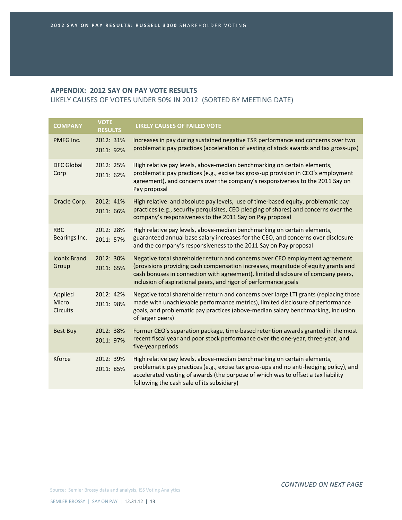LIKELY CAUSES OF VOTES UNDER 50% IN 2012 (SORTED BY MEETING DATE)

| <b>COMPANY</b>                      | <b>VOTE</b><br><b>RESULTS</b> | <b>LIKELY CAUSES OF FAILED VOTE</b>                                                                                                                                                                                                                                                                                      |
|-------------------------------------|-------------------------------|--------------------------------------------------------------------------------------------------------------------------------------------------------------------------------------------------------------------------------------------------------------------------------------------------------------------------|
| PMFG Inc.                           | 2012: 31%<br>2011: 92%        | Increases in pay during sustained negative TSR performance and concerns over two<br>problematic pay practices (acceleration of vesting of stock awards and tax gross-ups)                                                                                                                                                |
| <b>DFC Global</b><br>Corp           | 2012: 25%<br>2011: 62%        | High relative pay levels, above-median benchmarking on certain elements,<br>problematic pay practices (e.g., excise tax gross-up provision in CEO's employment<br>agreement), and concerns over the company's responsiveness to the 2011 Say on<br>Pay proposal                                                          |
| Oracle Corp.                        | 2012: 41%<br>2011: 66%        | High relative and absolute pay levels, use of time-based equity, problematic pay<br>practices (e.g., security perquisites, CEO pledging of shares) and concerns over the<br>company's responsiveness to the 2011 Say on Pay proposal                                                                                     |
| <b>RBC</b><br>Bearings Inc.         | 2012: 28%<br>2011: 57%        | High relative pay levels, above-median benchmarking on certain elements,<br>guaranteed annual base salary increases for the CEO, and concerns over disclosure<br>and the company's responsiveness to the 2011 Say on Pay proposal                                                                                        |
| <b>Iconix Brand</b><br>Group        | 2012: 30%<br>2011: 65%        | Negative total shareholder return and concerns over CEO employment agreement<br>(provisions providing cash compensation increases, magnitude of equity grants and<br>cash bonuses in connection with agreement), limited disclosure of company peers,<br>inclusion of aspirational peers, and rigor of performance goals |
| Applied<br>Micro<br><b>Circuits</b> | 2012: 42%<br>2011: 98%        | Negative total shareholder return and concerns over large LTI grants (replacing those<br>made with unachievable performance metrics), limited disclosure of performance<br>goals, and problematic pay practices (above-median salary benchmarking, inclusion<br>of larger peers)                                         |
| <b>Best Buy</b>                     | 2012: 38%<br>2011: 97%        | Former CEO's separation package, time-based retention awards granted in the most<br>recent fiscal year and poor stock performance over the one-year, three-year, and<br>five-year periods                                                                                                                                |
| Kforce                              | 2012: 39%<br>2011: 85%        | High relative pay levels, above-median benchmarking on certain elements,<br>problematic pay practices (e.g., excise tax gross-ups and no anti-hedging policy), and<br>accelerated vesting of awards (the purpose of which was to offset a tax liability<br>following the cash sale of its subsidiary)                    |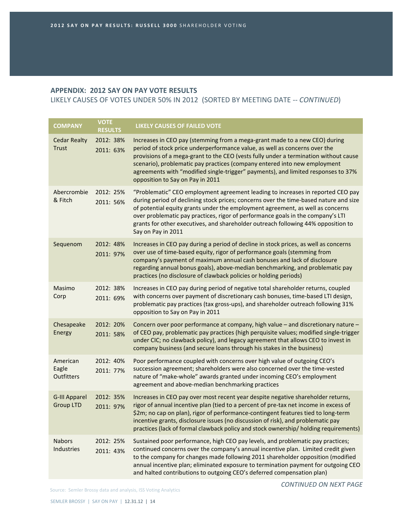LIKELY CAUSES OF VOTES UNDER 50% IN 2012 (SORTED BY MEETING DATE ‐‐ *CONTINUED*)

| <b>COMPANY</b>                           | <b>VOTE</b><br><b>RESULTS</b> | <b>LIKELY CAUSES OF FAILED VOTE</b>                                                                                                                                                                                                                                                                                                                                                                                                                      |
|------------------------------------------|-------------------------------|----------------------------------------------------------------------------------------------------------------------------------------------------------------------------------------------------------------------------------------------------------------------------------------------------------------------------------------------------------------------------------------------------------------------------------------------------------|
| <b>Cedar Realty</b><br><b>Trust</b>      | 2012: 38%<br>2011: 63%        | Increases in CEO pay (stemming from a mega-grant made to a new CEO) during<br>period of stock price underperformance value, as well as concerns over the<br>provisions of a mega-grant to the CEO (vests fully under a termination without cause<br>scenario), problematic pay practices (company entered into new employment<br>agreements with "modified single-trigger" payments), and limited responses to 37%<br>opposition to Say on Pay in 2011   |
| Abercrombie<br>& Fitch                   | 2012: 25%<br>2011: 56%        | "Problematic" CEO employment agreement leading to increases in reported CEO pay<br>during period of declining stock prices; concerns over the time-based nature and size<br>of potential equity grants under the employment agreement, as well as concerns<br>over problematic pay practices, rigor of performance goals in the company's LTI<br>grants for other executives, and shareholder outreach following 44% opposition to<br>Say on Pay in 2011 |
| Sequenom                                 | 2012: 48%<br>2011: 97%        | Increases in CEO pay during a period of decline in stock prices, as well as concerns<br>over use of time-based equity, rigor of performance goals (stemming from<br>company's payment of maximum annual cash bonuses and lack of disclosure<br>regarding annual bonus goals), above-median benchmarking, and problematic pay<br>practices (no disclosure of clawback policies or holding periods)                                                        |
| Masimo<br>Corp                           | 2012: 38%<br>2011: 69%        | Increases in CEO pay during period of negative total shareholder returns, coupled<br>with concerns over payment of discretionary cash bonuses, time-based LTI design,<br>problematic pay practices (tax gross-ups), and shareholder outreach following 31%<br>opposition to Say on Pay in 2011                                                                                                                                                           |
| Chesapeake<br>Energy                     | 2012: 20%<br>2011: 58%        | Concern over poor performance at company, high value - and discretionary nature -<br>of CEO pay, problematic pay practices (high perquisite values; modified single-trigger<br>under CIC; no clawback policy), and legacy agreement that allows CEO to invest in<br>company business (and secure loans through his stakes in the business)                                                                                                               |
| American<br>Eagle<br>Outfitters          | 2012: 40%<br>2011: 77%        | Poor performance coupled with concerns over high value of outgoing CEO's<br>succession agreement; shareholders were also concerned over the time-vested<br>nature of "make-whole" awards granted under incoming CEO's employment<br>agreement and above-median benchmarking practices                                                                                                                                                                    |
| <b>G-III Apparel</b><br><b>Group LTD</b> | 2012: 35%<br>2011: 97%        | Increases in CEO pay over most recent year despite negative shareholder returns,<br>rigor of annual incentive plan (tied to a percent of pre-tax net income in excess of<br>\$2m; no cap on plan), rigor of performance-contingent features tied to long-term<br>incentive grants, disclosure issues (no discussion of risk), and problematic pay<br>practices (lack of formal clawback policy and stock ownership/ holding requirements)                |
| <b>Nabors</b><br>Industries              | 2012: 25%<br>2011: 43%        | Sustained poor performance, high CEO pay levels, and problematic pay practices;<br>continued concerns over the company's annual incentive plan. Limited credit given<br>to the company for changes made following 2011 shareholder opposition (modified<br>annual incentive plan; eliminated exposure to termination payment for outgoing CEO<br>and halted contributions to outgoing CEO's deferred compensation plan)                                  |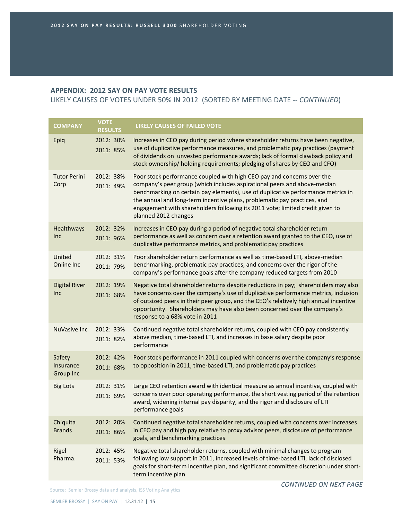LIKELY CAUSES OF VOTES UNDER 50% IN 2012 (SORTED BY MEETING DATE ‐‐ *CONTINUED*)

| <b>COMPANY</b>                          | <b>VOTE</b><br><b>RESULTS</b> | <b>LIKELY CAUSES OF FAILED VOTE</b>                                                                                                                                                                                                                                                                                                                                                                                         |
|-----------------------------------------|-------------------------------|-----------------------------------------------------------------------------------------------------------------------------------------------------------------------------------------------------------------------------------------------------------------------------------------------------------------------------------------------------------------------------------------------------------------------------|
| Epiq                                    | 2012: 30%<br>2011: 85%        | Increases in CEO pay during period where shareholder returns have been negative,<br>use of duplicative performance measures, and problematic pay practices (payment<br>of dividends on unvested performance awards; lack of formal clawback policy and<br>stock ownership/holding requirements; pledging of shares by CEO and CFO)                                                                                          |
| <b>Tutor Perini</b><br>Corp             | 2012: 38%<br>2011: 49%        | Poor stock performance coupled with high CEO pay and concerns over the<br>company's peer group (which includes aspirational peers and above-median<br>benchmarking on certain pay elements), use of duplicative performance metrics in<br>the annual and long-term incentive plans, problematic pay practices, and<br>engagement with shareholders following its 2011 vote; limited credit given to<br>planned 2012 changes |
| Healthways<br><b>Inc</b>                | 2012: 32%<br>2011: 96%        | Increases in CEO pay during a period of negative total shareholder return<br>performance as well as concern over a retention award granted to the CEO, use of<br>duplicative performance metrics, and problematic pay practices                                                                                                                                                                                             |
| United<br>Online Inc                    | 2012: 31%<br>2011: 79%        | Poor shareholder return performance as well as time-based LTI, above-median<br>benchmarking, problematic pay practices, and concerns over the rigor of the<br>company's performance goals after the company reduced targets from 2010                                                                                                                                                                                       |
| <b>Digital River</b><br>Inc             | 2012: 19%<br>2011: 68%        | Negative total shareholder returns despite reductions in pay; shareholders may also<br>have concerns over the company's use of duplicative performance metrics, inclusion<br>of outsized peers in their peer group, and the CEO's relatively high annual incentive<br>opportunity. Shareholders may have also been concerned over the company's<br>response to a 68% vote in 2011                                           |
| <b>NuVasive Inc</b>                     | 2012: 33%<br>2011: 82%        | Continued negative total shareholder returns, coupled with CEO pay consistently<br>above median, time-based LTI, and increases in base salary despite poor<br>performance                                                                                                                                                                                                                                                   |
| Safety<br>Insurance<br><b>Group Inc</b> | 2012: 42%<br>2011: 68%        | Poor stock performance in 2011 coupled with concerns over the company's response<br>to opposition in 2011, time-based LTI, and problematic pay practices                                                                                                                                                                                                                                                                    |
| <b>Big Lots</b>                         | 2012: 31%<br>2011: 69%        | Large CEO retention award with identical measure as annual incentive, coupled with<br>concerns over poor operating performance, the short vesting period of the retention<br>award, widening internal pay disparity, and the rigor and disclosure of LTI<br>performance goals                                                                                                                                               |
| Chiquita<br><b>Brands</b>               | 2012: 20%<br>2011: 86%        | Continued negative total shareholder returns, coupled with concerns over increases<br>in CEO pay and high pay relative to proxy advisor peers, disclosure of performance<br>goals, and benchmarking practices                                                                                                                                                                                                               |
| Rigel<br>Pharma.                        | 2012: 45%<br>2011: 53%        | Negative total shareholder returns, coupled with minimal changes to program<br>following low support in 2011, increased levels of time-based LTI, lack of disclosed<br>goals for short-term incentive plan, and significant committee discretion under short-<br>term incentive plan                                                                                                                                        |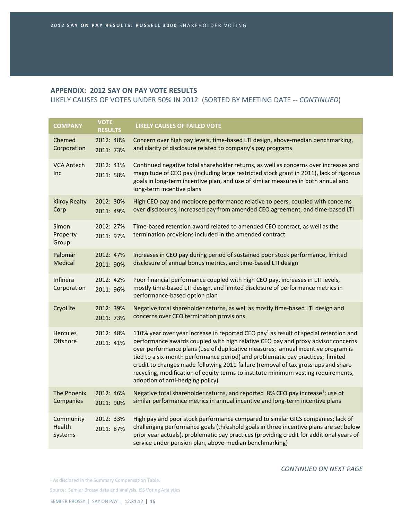LIKELY CAUSES OF VOTES UNDER 50% IN 2012 (SORTED BY MEETING DATE ‐‐ *CONTINUED*)

| <b>COMPANY</b>                 | <b>VOTE</b><br><b>RESULTS</b> | <b>LIKELY CAUSES OF FAILED VOTE</b>                                                                                                                                                                                                                                                                                                                                                                                                                                                                                                                                       |
|--------------------------------|-------------------------------|---------------------------------------------------------------------------------------------------------------------------------------------------------------------------------------------------------------------------------------------------------------------------------------------------------------------------------------------------------------------------------------------------------------------------------------------------------------------------------------------------------------------------------------------------------------------------|
| Chemed<br>Corporation          | 2012: 48%<br>2011: 73%        | Concern over high pay levels, time-based LTI design, above-median benchmarking,<br>and clarity of disclosure related to company's pay programs                                                                                                                                                                                                                                                                                                                                                                                                                            |
| <b>VCA Antech</b><br>Inc       | 2012: 41%<br>2011: 58%        | Continued negative total shareholder returns, as well as concerns over increases and<br>magnitude of CEO pay (including large restricted stock grant in 2011), lack of rigorous<br>goals in long-term incentive plan, and use of similar measures in both annual and<br>long-term incentive plans                                                                                                                                                                                                                                                                         |
| <b>Kilroy Realty</b><br>Corp   | 2012: 30%<br>2011: 49%        | High CEO pay and mediocre performance relative to peers, coupled with concerns<br>over disclosures, increased pay from amended CEO agreement, and time-based LTI                                                                                                                                                                                                                                                                                                                                                                                                          |
| Simon<br>Property<br>Group     | 2012: 27%<br>2011: 97%        | Time-based retention award related to amended CEO contract, as well as the<br>termination provisions included in the amended contract                                                                                                                                                                                                                                                                                                                                                                                                                                     |
| Palomar<br>Medical             | 2012: 47%<br>2011: 90%        | Increases in CEO pay during period of sustained poor stock performance, limited<br>disclosure of annual bonus metrics, and time-based LTI design                                                                                                                                                                                                                                                                                                                                                                                                                          |
| Infinera<br>Corporation        | 2012: 42%<br>2011: 96%        | Poor financial performance coupled with high CEO pay, increases in LTI levels,<br>mostly time-based LTI design, and limited disclosure of performance metrics in<br>performance-based option plan                                                                                                                                                                                                                                                                                                                                                                         |
| CryoLife                       | 2012: 39%<br>2011: 73%        | Negative total shareholder returns, as well as mostly time-based LTI design and<br>concerns over CEO termination provisions                                                                                                                                                                                                                                                                                                                                                                                                                                               |
| <b>Hercules</b><br>Offshore    | 2012: 48%<br>2011: 41%        | 110% year over year increase in reported CEO pay <sup>1</sup> as result of special retention and<br>performance awards coupled with high relative CEO pay and proxy advisor concerns<br>over performance plans (use of duplicative measures; annual incentive program is<br>tied to a six-month performance period) and problematic pay practices; limited<br>credit to changes made following 2011 failure (removal of tax gross-ups and share<br>recycling, modification of equity terms to institute minimum vesting requirements,<br>adoption of anti-hedging policy) |
| The Phoenix<br>Companies       | 2012: 46%<br>2011: 90%        | Negative total shareholder returns, and reported 8% CEO pay increase <sup>1</sup> ; use of<br>similar performance metrics in annual incentive and long-term incentive plans                                                                                                                                                                                                                                                                                                                                                                                               |
| Community<br>Health<br>Systems | 2012: 33%<br>2011: 87%        | High pay and poor stock performance compared to similar GICS companies; lack of<br>challenging performance goals (threshold goals in three incentive plans are set below<br>prior year actuals), problematic pay practices (providing credit for additional years of<br>service under pension plan, above-median benchmarking)                                                                                                                                                                                                                                            |

*CONTINUED ON NEXT PAGE*

<sup>1</sup> As disclosed in the Summary Compensation Table.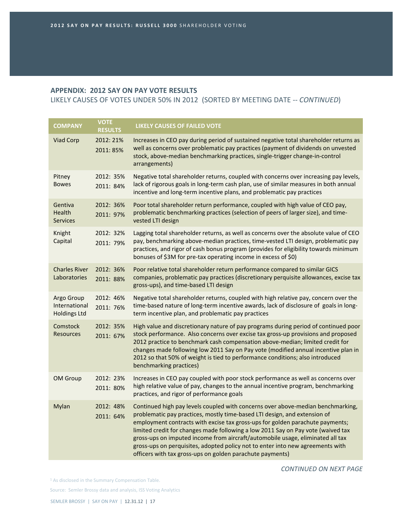LIKELY CAUSES OF VOTES UNDER 50% IN 2012 (SORTED BY MEETING DATE ‐‐ *CONTINUED*)

| <b>COMPANY</b>                                     | <b>VOTE</b><br><b>RESULTS</b> | <b>LIKELY CAUSES OF FAILED VOTE</b>                                                                                                                                                                                                                                                                                                                                                                                                                                                                                                                                |
|----------------------------------------------------|-------------------------------|--------------------------------------------------------------------------------------------------------------------------------------------------------------------------------------------------------------------------------------------------------------------------------------------------------------------------------------------------------------------------------------------------------------------------------------------------------------------------------------------------------------------------------------------------------------------|
| Viad Corp                                          | 2012: 21%<br>2011: 85%        | Increases in CEO pay during period of sustained negative total shareholder returns as<br>well as concerns over problematic pay practices (payment of dividends on unvested<br>stock, above-median benchmarking practices, single-trigger change-in-control<br>arrangements)                                                                                                                                                                                                                                                                                        |
| Pitney<br><b>Bowes</b>                             | 2012: 35%<br>2011: 84%        | Negative total shareholder returns, coupled with concerns over increasing pay levels,<br>lack of rigorous goals in long-term cash plan, use of similar measures in both annual<br>incentive and long-term incentive plans, and problematic pay practices                                                                                                                                                                                                                                                                                                           |
| Gentiva<br>Health<br><b>Services</b>               | 2012: 36%<br>2011: 97%        | Poor total shareholder return performance, coupled with high value of CEO pay,<br>problematic benchmarking practices (selection of peers of larger size), and time-<br>vested LTI design                                                                                                                                                                                                                                                                                                                                                                           |
| Knight<br>Capital                                  | 2012: 32%<br>2011: 79%        | Lagging total shareholder returns, as well as concerns over the absolute value of CEO<br>pay, benchmarking above-median practices, time-vested LTI design, problematic pay<br>practices, and rigor of cash bonus program (provides for eligibility towards minimum<br>bonuses of \$3M for pre-tax operating income in excess of \$0)                                                                                                                                                                                                                               |
| <b>Charles River</b><br>Laboratories               | 2012: 36%<br>2011: 88%        | Poor relative total shareholder return performance compared to similar GICS<br>companies, problematic pay practices (discretionary perquisite allowances, excise tax<br>gross-ups), and time-based LTI design                                                                                                                                                                                                                                                                                                                                                      |
| Argo Group<br>International<br><b>Holdings Ltd</b> | 2012: 46%<br>2011: 76%        | Negative total shareholder returns, coupled with high relative pay, concern over the<br>time-based nature of long-term incentive awards, lack of disclosure of goals in long-<br>term incentive plan, and problematic pay practices                                                                                                                                                                                                                                                                                                                                |
| <b>Comstock</b><br><b>Resources</b>                | 2012: 35%<br>2011: 67%        | High value and discretionary nature of pay programs during period of continued poor<br>stock performance. Also concerns over excise tax gross-up provisions and proposed<br>2012 practice to benchmark cash compensation above-median; limited credit for<br>changes made following low 2011 Say on Pay vote (modified annual incentive plan in<br>2012 so that 50% of weight is tied to performance conditions; also introduced<br>benchmarking practices)                                                                                                        |
| <b>OM Group</b>                                    | 2012: 23%<br>2011: 80%        | Increases in CEO pay coupled with poor stock performance as well as concerns over<br>high relative value of pay, changes to the annual incentive program, benchmarking<br>practices, and rigor of performance goals                                                                                                                                                                                                                                                                                                                                                |
| Mylan                                              | 2012: 48%<br>2011: 64%        | Continued high pay levels coupled with concerns over above-median benchmarking,<br>problematic pay practices, mostly time-based LTI design, and extension of<br>employment contracts with excise tax gross-ups for golden parachute payments;<br>limited credit for changes made following a low 2011 Say on Pay vote (waived tax<br>gross-ups on imputed income from aircraft/automobile usage, eliminated all tax<br>gross-ups on perquisites, adopted policy not to enter into new agreements with<br>officers with tax gross-ups on golden parachute payments) |

*CONTINUED ON NEXT PAGE*

<sup>1</sup> As disclosed in the Summary Compensation Table.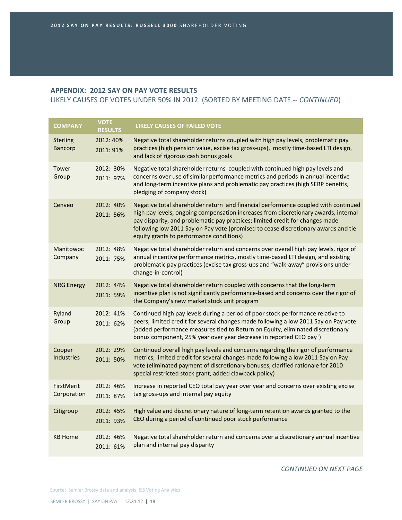LIKELY CAUSES OF VOTES UNDER 50% IN 2012 (SORTED BY MEETING DATE ‐‐ *CONTINUED*)

| <b>COMPANY</b>                    | <b>VOTE</b><br><b>RESULTS</b> | <b>LIKELY CAUSES OF FAILED VOTE</b>                                                                                                                                                                                                                                                                                                                                                          |
|-----------------------------------|-------------------------------|----------------------------------------------------------------------------------------------------------------------------------------------------------------------------------------------------------------------------------------------------------------------------------------------------------------------------------------------------------------------------------------------|
| <b>Sterling</b><br><b>Bancorp</b> | 2012: 40%<br>2011: 91%        | Negative total shareholder returns coupled with high pay levels, problematic pay<br>practices (high pension value, excise tax gross-ups), mostly time-based LTI design,<br>and lack of rigorous cash bonus goals                                                                                                                                                                             |
| Tower<br>Group                    | 2012: 30%<br>2011: 97%        | Negative total shareholder returns coupled with continued high pay levels and<br>concerns over use of similar performance metrics and periods in annual incentive<br>and long-term incentive plans and problematic pay practices (high SERP benefits,<br>pledging of company stock)                                                                                                          |
| Cenveo                            | 2012: 40%<br>2011: 56%        | Negative total shareholder return and financial performance coupled with continued<br>high pay levels, ongoing compensation increases from discretionary awards, internal<br>pay disparity, and problematic pay practices; limited credit for changes made<br>following low 2011 Say on Pay vote (promised to cease discretionary awards and tie<br>equity grants to performance conditions) |
| Manitowoc<br>Company              | 2012: 48%<br>2011: 75%        | Negative total shareholder return and concerns over overall high pay levels, rigor of<br>annual incentive performance metrics, mostly time-based LTI design, and existing<br>problematic pay practices (excise tax gross-ups and "walk-away" provisions under<br>change-in-control)                                                                                                          |
| <b>NRG Energy</b>                 | 2012: 44%<br>2011: 59%        | Negative total shareholder return coupled with concerns that the long-term<br>incentive plan is not significantly performance-based and concerns over the rigor of<br>the Company's new market stock unit program                                                                                                                                                                            |
| Ryland<br>Group                   | 2012: 41%<br>2011: 62%        | Continued high pay levels during a period of poor stock performance relative to<br>peers; limited credit for several changes made following a low 2011 Say on Pay vote<br>(added performance measures tied to Return on Equity, eliminated discretionary<br>bonus component, 25% year over year decrease in reported CEO pay <sup>1</sup> )                                                  |
| Cooper<br><b>Industries</b>       | 2012: 29%<br>2011: 50%        | Continued overall high pay levels and concerns regarding the rigor of performance<br>metrics; limited credit for several changes made following a low 2011 Say on Pay<br>vote (eliminated payment of discretionary bonuses, clarified rationale for 2010<br>special restricted stock grant, added clawback policy)                                                                           |
| FirstMerit<br>Corporation         | 2012: 46%<br>2011: 87%        | Increase in reported CEO total pay year over year and concerns over existing excise<br>tax gross-ups and internal pay equity                                                                                                                                                                                                                                                                 |
| Citigroup                         | 2012: 45%<br>2011: 93%        | High value and discretionary nature of long-term retention awards granted to the<br>CEO during a period of continued poor stock performance                                                                                                                                                                                                                                                  |
| <b>KB Home</b>                    | 2012: 46%<br>2011: 61%        | Negative total shareholder return and concerns over a discretionary annual incentive<br>plan and internal pay disparity                                                                                                                                                                                                                                                                      |

*CONTINUED ON NEXT PAGE*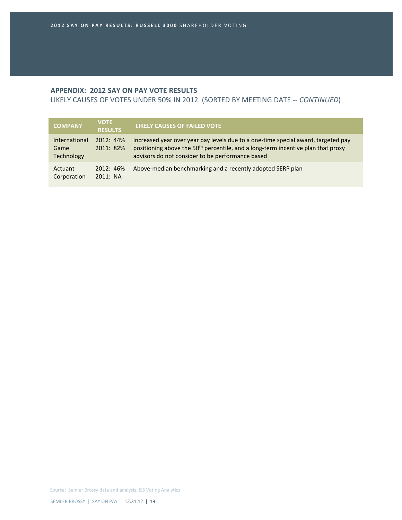LIKELY CAUSES OF VOTES UNDER 50% IN 2012 (SORTED BY MEETING DATE ‐‐ *CONTINUED*)

| <b>COMPANY</b>                             | <b>VOTE</b><br><b>RESULTS</b> | LIKELY CAUSES OF FAILED VOTE                                                                                                                                                                                                          |
|--------------------------------------------|-------------------------------|---------------------------------------------------------------------------------------------------------------------------------------------------------------------------------------------------------------------------------------|
| <b>International</b><br>Game<br>Technology | 2012:44%<br>2011: 82%         | Increased year over year pay levels due to a one-time special award, targeted pay<br>positioning above the 50 <sup>th</sup> percentile, and a long-term incentive plan that proxy<br>advisors do not consider to be performance based |
| Actuant<br>Corporation                     | 2012: 46%<br>2011: NA         | Above-median benchmarking and a recently adopted SERP plan                                                                                                                                                                            |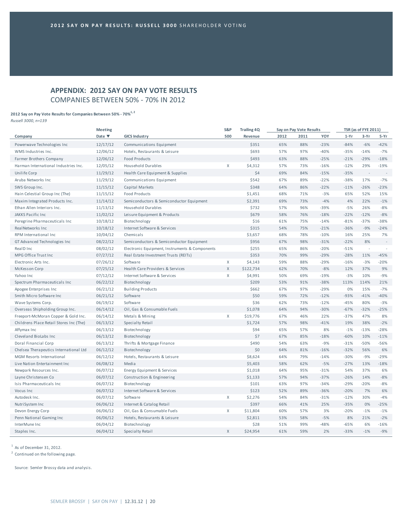# **APPENDIX: 2012 SAY ON PAY VOTE RESULTS** COMPANIES BETWEEN 50% ‐ 70% IN 2012

# **2012 Say on Pay Vote Results for Companies Between 50% ‐ 70%1, <sup>2</sup>**

*Russell 3000, n=139*

|                                         | <b>Meeting</b>            |                                                | S&P          | <b>Trailing 4Q</b> |      | Say on Pay Vote Results |        |        | <b>TSR (as of FYE 2011)</b> |        |
|-----------------------------------------|---------------------------|------------------------------------------------|--------------|--------------------|------|-------------------------|--------|--------|-----------------------------|--------|
| Company                                 | Date $\blacktriangledown$ | <b>GICS Industry</b>                           | 500          | Revenue            | 2012 | 2011                    | YOY    | $1-Yr$ | $3-Yr$                      | $5-Yr$ |
| Powerwave Technologies Inc              | 12/17/12                  | Communications Equipment                       |              | \$351              | 65%  | 88%                     | $-23%$ | $-84%$ | $-6%$                       | $-42%$ |
| WMS Industries Inc.                     | 12/06/12                  | Hotels, Restaurants & Leisure                  |              | \$693              | 57%  | 97%                     | $-40%$ | $-35%$ | $-14%$                      | $-7%$  |
| Farmer Brothers Company                 | 12/06/12                  | <b>Food Products</b>                           |              | \$493              | 63%  | 88%                     | $-25%$ | $-21%$ | $-29%$                      | $-18%$ |
| Harman International Industries Inc.    | 12/05/12                  | Household Durables                             | $\mathsf{X}$ | \$4,312            | 57%  | 73%                     | $-16%$ | $-12%$ | 29%                         | $-19%$ |
| Unilife Corp                            | 11/29/12                  | Health Care Equipment & Supplies               |              | \$4                | 69%  | 84%                     | $-15%$ | $-35%$ | $\sim$                      |        |
| Aruba Networks Inc                      | 11/29/12                  | Communications Equipment                       |              | \$542              | 67%  | 89%                     | $-22%$ | $-38%$ | 17%                         | $-7%$  |
| SWS Group Inc.                          | 11/15/12                  | Capital Markets                                |              | \$348              | 64%  | 86%                     | $-22%$ | $-11%$ | $-26%$                      | $-23%$ |
| Hain Celestial Group Inc (The)          | 11/15/12                  | <b>Food Products</b>                           |              | \$1,451            | 68%  | 71%                     | $-3%$  | 65%    | 52%                         | 15%    |
| Maxim Integrated Products Inc.          | 11/14/12                  | Semiconductors & Semiconductor Equipment       |              | \$2,391            | 69%  | 73%                     | $-4%$  | 4%     | 22%                         | $-1%$  |
| Ethan Allen Interiors Inc.              | 11/13/12                  | Household Durables                             |              | \$732              | 57%  | 96%                     | $-39%$ | $-5%$  | 26%                         | $-8%$  |
| JAKKS Pacific Inc                       | 11/02/12                  | Leisure Equipment & Products                   |              | \$679              | 58%  | 76%                     | $-18%$ | $-22%$ | $-12%$                      | $-8%$  |
| Peregrine Pharmaceuticals Inc           | 10/18/12                  | Biotechnology                                  |              | \$16               | 61%  | 75%                     | $-14%$ | $-81%$ | $-37%$                      | $-38%$ |
| RealNetworks Inc                        | 10/18/12                  | Internet Software & Services                   |              | \$315              | 54%  | 75%                     | $-21%$ | $-36%$ | $-9%$                       | $-24%$ |
| RPM International Inc                   | 10/04/12                  | Chemicals                                      |              | \$3,657            | 68%  | 78%                     | $-10%$ | 16%    | 25%                         | 7%     |
| GT Advanced Technologies Inc            | 08/22/12                  | Semiconductors & Semiconductor Equipment       |              | \$956              | 67%  | 98%                     | $-31%$ | $-22%$ | 8%                          | ÷,     |
| RealD Inc                               | 08/02/12                  | Electronic Equipment, Instruments & Components |              | \$255              | 65%  | 86%                     | $-20%$ | $-51%$ | $\sim$                      |        |
| MPG Office Trust Inc                    | 07/27/12                  | Real Estate Investment Trusts (REITs)          |              | \$353              | 70%  | 99%                     | $-29%$ | $-28%$ | 11%                         | $-45%$ |
| Electronic Arts Inc.                    | 07/26/12                  | Software                                       | $\mathsf{X}$ | \$4,143            | 59%  | 88%                     | $-29%$ | $-16%$ | $-3%$                       | $-20%$ |
| McKesson Corp                           | 07/25/12                  | Health Care Providers & Services               | $\mathsf{X}$ | \$122,734          | 62%  | 70%                     | $-8%$  | 12%    | 37%                         | 9%     |
| Yahoo Inc                               | 07/12/12                  | Internet Software & Services                   | $\mathsf X$  | \$4,991            | 50%  | 69%                     | $-19%$ | $-3%$  | 10%                         | $-9%$  |
| Spectrum Pharmaceuticals Inc            | 06/22/12                  | Biotechnology                                  |              | \$209              | 53%  | 91%                     | $-38%$ | 113%   | 114%                        | 21%    |
| Apogee Enterprises Inc                  | 06/21/12                  | <b>Building Products</b>                       |              | \$662              | 67%  | 97%                     | $-29%$ | 0%     | 15%                         | $-7%$  |
| Smith Micro Software Inc                | 06/21/12                  | Software                                       |              | \$50               | 59%  | 72%                     | $-12%$ | $-93%$ | $-41%$                      | $-40%$ |
| Wave Systems Corp.                      | 06/19/12                  | Software                                       |              | \$36               | 62%  | 73%                     | $-12%$ | $-45%$ | 80%                         | $-3%$  |
| Overseas Shipholding Group Inc.         | 06/14/12                  | Oil, Gas & Consumable Fuels                    |              | \$1,078            | 64%  | 94%                     | $-30%$ | $-67%$ | $-32%$                      | $-25%$ |
| Freeport-McMoran Copper & Gold Inc.     | 06/14/12                  | Metals & Mining                                | $\mathsf{X}$ | \$19,776           | 67%  | 46%                     | 22%    | $-37%$ | 47%                         | 8%     |
| Childrens Place Retail Stores Inc (The) | 06/13/12                  | Specialty Retail                               |              | \$1,724            | 57%  | 98%                     | $-41%$ | 19%    | 38%                         | $-2%$  |
| Affymax Inc                             | 06/13/12                  | Biotechnology                                  |              | \$94               | 65%  | 57%                     | 8%     | $-1%$  | $-13%$                      | $-28%$ |
| Cleveland BioLabs Inc                   | 06/13/12                  | Biotechnology                                  |              | \$7                | 67%  | 85%                     | $-18%$ | $-60%$ | 10%                         | $-11%$ |
| Doral Financial Corp                    | 06/13/12                  | Thrifts & Mortgage Finance                     |              | \$490              | 54%  | 63%                     | $-9%$  | $-31%$ | $-50%$                      | $-56%$ |
| Chelsea Therapeutics International Ltd  | 06/12/12                  | Biotechnology                                  |              | \$0                | 64%  | 81%                     | $-16%$ | $-32%$ | 56%                         | 6%     |
| MGM Resorts International               | 06/12/12                  | Hotels, Restaurants & Leisure                  |              | \$8,624            | 64%  | 79%                     | $-14%$ | $-30%$ | $-9%$                       | $-29%$ |
| Live Nation Entertainment Inc           | 06/08/12                  | Media                                          |              | \$5,403            | 58%  | 62%                     | $-5%$  | $-27%$ | 13%                         | $-18%$ |
| Newpark Resources Inc.                  | 06/07/12                  | Energy Equipment & Services                    |              | \$1,018            | 64%  | 95%                     | $-31%$ | 54%    | 37%                         | 6%     |
| Layne Christensen Co                    | 06/07/12                  | Construction & Engineering                     |              | \$1,133            | 57%  | 94%                     | $-37%$ | $-26%$ | 14%                         | $-8%$  |
| Isis Pharmaceuticals Inc.               | 06/07/12                  | Biotechnology                                  |              | \$101              | 63%  | 97%                     | $-34%$ | $-29%$ | $-20%$                      | $-8%$  |
| Vocus Inc                               | 06/07/12                  | Internet Software & Services                   |              | \$123              | 52%  | 89%                     | $-36%$ | $-20%$ | 7%                          | 6%     |
| Autodesk Inc.                           | 06/07/12                  | Software                                       | X            | \$2,276            | 54%  | 84%                     | $-31%$ | $-12%$ | 30%                         | $-4%$  |
| Nutri System Inc                        | 06/06/12                  | Internet & Catalog Retail                      |              | \$397              | 66%  | 41%                     | 25%    | $-35%$ | 0%                          | $-25%$ |
| Devon Energy Corp                       | 06/06/12                  | Oil, Gas & Consumable Fuels                    | X            | \$11,804           | 60%  | 57%                     | 3%     | $-20%$ | $-1%$                       | $-1%$  |
| Penn National Gaming Inc                | 06/06/12                  | Hotels, Restaurants & Leisure                  |              | \$2,811            | 53%  | 58%                     | $-5%$  | 8%     | 21%                         | $-2%$  |
| InterMune Inc                           | 06/04/12                  | Biotechnology                                  |              | \$28               | 51%  | 99%                     | $-48%$ | $-65%$ | 6%                          | $-16%$ |
| Staples Inc.                            | 06/04/12                  | Specialty Retail                               | X            | \$24,954           | 61%  | 59%                     | 2%     | $-33%$ | $-1%$                       | $-9%$  |

 $1$  As of December 31, 2012.

<sup>2</sup> Continued on the following page.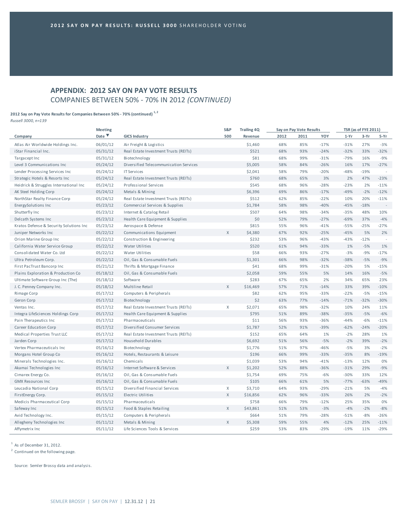# **APPENDIX: 2012 SAY ON PAY VOTE RESULTS** COMPANIES BETWEEN 50% ‐ 70% IN 2012 *(CONTINUED)*

#### **2012 Say on Pay Vote Results for Companies Between 50% ‐ 70% (continued) 1, <sup>2</sup>**

*Russell 3000, n=139*

|                                         | <b>Meeting</b>            |                                        | S&P          | <b>Trailing 4Q</b> |      | Say on Pay Vote Results |        |        | TSR (as of FYE 2011) |        |
|-----------------------------------------|---------------------------|----------------------------------------|--------------|--------------------|------|-------------------------|--------|--------|----------------------|--------|
| Company                                 | Date $\blacktriangledown$ | <b>GICS Industry</b>                   | 500          | Revenue            | 2012 | 2011                    | YOY    | $1-Yr$ | $3-Yr$               | $5-Yr$ |
| Atlas Air Worldwide Holdings Inc.       | 06/01/12                  | Air Freight & Logistics                |              | \$1,460            | 68%  | 85%                     | $-17%$ | $-31%$ | 27%                  | $-3%$  |
| iStar Financial Inc.                    | 05/31/12                  | Real Estate Investment Trusts (REITs)  |              | \$521              | 68%  | 93%                     | $-24%$ | $-32%$ | 33%                  | $-32%$ |
| Targacept Inc                           | 05/31/12                  | Biotechnology                          |              | \$81               | 68%  | 99%                     | $-31%$ | $-79%$ | 16%                  | $-9%$  |
| Level 3 Communications Inc              | 05/24/12                  | Diversified Telecommunication Services |              | \$5,005            | 58%  | 84%                     | $-26%$ | 16%    | 17%                  | $-27%$ |
| Lender Processing Services Inc          | 05/24/12                  | <b>IT Services</b>                     |              | \$2,041            | 58%  | 79%                     | $-20%$ | $-48%$ | $-19%$               | J.     |
| Strategic Hotels & Resorts Inc.         | 05/24/12                  | Real Estate Investment Trusts (REITs)  |              | \$760              | 68%  | 65%                     | 3%     | 2%     | 47%                  | $-23%$ |
| Heidrick & Struggles International Inc  | 05/24/12                  | Professional Services                  |              | \$545              | 68%  | 96%                     | $-28%$ | $-23%$ | 2%                   | $-11%$ |
| AK Steel Holding Corp                   | 05/24/12                  | Metals & Mining                        |              | \$6,396            | 69%  | 86%                     | $-17%$ | $-49%$ | $-2%$                | $-12%$ |
| NorthStar Realty Finance Corp           | 05/24/12                  | Real Estate Investment Trusts (REITs)  |              | \$512              | 62%  | 85%                     | $-22%$ | 10%    | 20%                  | $-11%$ |
| EnergySolutions Inc                     | 05/23/12                  | Commercial Services & Supplies         |              | \$1,784            | 58%  | 98%                     | $-40%$ | $-45%$ | $-18%$               | $\sim$ |
| Shutterfly Inc                          | 05/23/12                  | Internet & Catalog Retail              |              | \$507              | 64%  | 98%                     | $-34%$ | $-35%$ | 48%                  | 10%    |
| Delcath Systems Inc                     | 05/23/12                  | Health Care Equipment & Supplies       |              | \$0                | 52%  | 79%                     | $-27%$ | $-69%$ | 37%                  | $-4%$  |
| Kratos Defense & Security Solutions Inc | 05/23/12                  | Aerospace & Defense                    |              | \$815              | 55%  | 96%                     | $-41%$ | $-55%$ | $-25%$               | $-27%$ |
| Juniper Networks Inc                    | 05/22/12                  | Communications Equipment               | X            | \$4,380            | 67%  | 92%                     | $-25%$ | $-45%$ | 5%                   | 2%     |
| Orion Marine Group Inc                  | 05/22/12                  | Construction & Engineering             |              | \$232              | 53%  | 96%                     | $-43%$ | $-43%$ | $-12%$               | $\sim$ |
| California Water Service Group          | 05/22/12                  | Water Utilities                        |              | \$520              | 61%  | 94%                     | $-33%$ | 1%     | $-5%$                | 1%     |
| Consolidated Water Co. Ltd              | 05/22/12                  | Water Utilities                        |              | \$58               | 66%  | 93%                     | $-27%$ | $-3%$  | $-9%$                | $-17%$ |
| Ultra Petroleum Corp.                   | 05/22/12                  | Oil, Gas & Consumable Fuels            |              | \$1,301            | 66%  | 98%                     | $-32%$ | $-38%$ | $-5%$                | $-9%$  |
| First PacTrust Bancorp Inc              | 05/21/12                  | Thrifts & Mortgage Finance             |              | \$41               | 68%  | 99%                     | $-31%$ | $-20%$ | 5%                   | $-15%$ |
| Plains Exploration & Production Co      | 05/18/12                  | Oil, Gas & Consumable Fuels            |              | \$2,058            | 59%  | 55%                     | 5%     | 14%    | 16%                  | $-5%$  |
| Ultimate Software Group Inc (The)       | 05/18/12                  | Software                               |              | \$283              | 67%  | 65%                     | 2%     | 34%    | 65%                  | 23%    |
| J. C. Penney Company Inc.               | 05/18/12                  | Multiline Retail                       | $\mathsf{X}$ | \$16,469           | 57%  | 71%                     | $-14%$ | 33%    | 39%                  | $-10%$ |
| Rimage Corp                             | 05/17/12                  | Computers & Peripherals                |              | \$82               | 62%  | 95%                     | $-33%$ | $-22%$ | $-5%$                | $-15%$ |
| Geron Corp                              | 05/17/12                  | Biotechnology                          |              | \$2                | 63%  | 77%                     | $-14%$ | $-71%$ | $-32%$               | $-30%$ |
| Ventas Inc.                             | 05/17/12                  | Real Estate Investment Trusts (REITs)  | X            | \$2,071            | 65%  | 98%                     | $-32%$ | 10%    | 24%                  | 11%    |
| Integra LifeSciences Holdings Corp      | 05/17/12                  | Health Care Equipment & Supplies       |              | \$795              | 51%  | 89%                     | $-38%$ | $-35%$ | $-5%$                | $-6%$  |
| Pain Therapeutics Inc                   | 05/17/12                  | Pharmaceuticals                        |              | \$11               | 56%  | 93%                     | $-36%$ | $-44%$ | $-6%$                | $-11%$ |
| Career Education Corp                   | 05/17/12                  | Diversified Consumer Services          |              | \$1,787            | 52%  | 91%                     | $-39%$ | $-62%$ | $-24%$               | $-20%$ |
| Medical Properties Trust LLC            | 05/17/12                  | Real Estate Investment Trusts (REITs)  |              | \$152              | 65%  | 64%                     | 1%     | $-2%$  | 28%                  | 1%     |
| Jarden Corp                             | 05/17/12                  | <b>Household Durables</b>              |              | \$6,692            | 51%  | 56%                     | $-5%$  | $-2%$  | 39%                  | $-2%$  |
| Vertex Pharmaceuticals Inc              | 05/16/12                  | Biotechnology                          |              | \$1,776            | 51%  | 97%                     | $-46%$ | $-5%$  | 3%                   | $-2%$  |
| Morgans Hotel Group Co                  | 05/16/12                  | Hotels, Restaurants & Leisure          |              | \$196              | 66%  | 99%                     | $-33%$ | $-35%$ | 8%                   | $-19%$ |
| Minerals Technologies Inc.              | 05/16/12                  | Chemicals                              |              | \$1,039            | 53%  | 94%                     | $-41%$ | $-13%$ | 12%                  | 0%     |
| Akamai Technologies Inc                 | 05/16/12                  | Internet Software & Services           | $\chi$       | \$1,202            | 52%  | 88%                     | $-36%$ | $-31%$ | 29%                  | $-9%$  |
| Cimarex Energy Co.                      | 05/16/12                  | Oil, Gas & Consumable Fuels            |              | \$1,754            | 69%  | 75%                     | $-6%$  | $-30%$ | 33%                  | 12%    |
| <b>GMX Resources Inc</b>                | 05/16/12                  | Oil, Gas & Consumable Fuels            |              | \$105              | 66%  | 61%                     | 5%     | $-77%$ | $-63%$               | $-49%$ |
| Leucadia National Corp                  | 05/15/12                  | Diversified Financial Services         | X            | \$3,710            | 64%  | 93%                     | $-29%$ | $-21%$ | 5%                   | $-4%$  |
| FirstEnergy Corp.                       | 05/15/12                  | Electric Utilities                     | $\mathsf X$  | \$16,856           | 62%  | 96%                     | $-33%$ | 26%    | 2%                   | $-2%$  |
| Medicis Pharmaceutical Corp             | 05/15/12                  | Pharmaceuticals                        |              | \$758              | 66%  | 79%                     | $-12%$ | 25%    | 35%                  | 0%     |
| Safeway Inc                             | 05/15/12                  | Food & Staples Retailing               | $\mathsf X$  | \$43,861           | 51%  | 53%                     | $-3%$  | $-4%$  | $-2%$                | $-8%$  |
| Avid Technology Inc.                    | 05/15/12                  | Computers & Peripherals                |              | \$664              | 51%  | 79%                     | $-28%$ | $-51%$ | $-8%$                | $-26%$ |
| Allegheny Technologies Inc              | 05/11/12                  | Metals & Mining                        | $\chi$       | \$5,308            | 59%  | 55%                     | 4%     | $-12%$ | 25%                  | $-11%$ |
| Affymetrix Inc                          | 05/11/12                  | Life Sciences Tools & Services         |              | \$259              | 53%  | 83%                     | $-29%$ | $-19%$ | 11%                  | $-29%$ |

 $<sup>1</sup>$  As of December 31, 2012.</sup>

<sup>2</sup> Continued on the following page.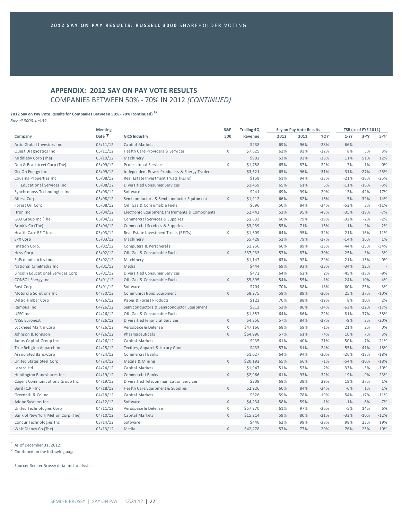# **APPENDIX: 2012 SAY ON PAY VOTE RESULTS** COMPANIES BETWEEN 50% ‐ 70% IN 2012 *(CONTINUED)*

#### **2012 Say on Pay Vote Results for Companies Between 50% ‐ 70% (continued) 1,2**

*Russell 3000, n=139*

|                                      | <b>Meeting</b> |                                                | S&P          | <b>Trailing 4Q</b> |      | Say on Pay Vote Results |        |        | <b>TSR (as of FYE 2011)</b> |        |
|--------------------------------------|----------------|------------------------------------------------|--------------|--------------------|------|-------------------------|--------|--------|-----------------------------|--------|
| Company                              | Date V         | <b>GICS Industry</b>                           | 500          | Revenue            | 2012 | 2011                    | YOY    | $1-Yr$ | $3-Yr$                      | 5-Yr   |
| Artio Global Investors Inc           | 05/11/12       | Capital Markets                                |              | \$238              | 69%  | 96%                     | $-28%$ | $-66%$ | $\sim$                      |        |
| Quest Diagnostics Inc                | 05/11/12       | Health Care Providers & Services               | X            | \$7,625            | 62%  | 93%                     | $-32%$ | 8%     | 5%                          | 3%     |
| Middleby Corp (The)                  | 05/10/12       | Machinery                                      |              | \$902              | 53%  | 92%                     | $-38%$ | 11%    | 51%                         | 12%    |
| Dun & Bradstreet Corp (The)          | 05/09/12       | Professional Services                          | X            | \$1,758            | 65%  | 87%                     | $-22%$ | $-7%$  | 1%                          | 0%     |
| GenOn Energy Inc                     | 05/09/12       | Independent Power Producers & Energy Traders   |              | \$3,521            | 65%  | 96%                     | $-31%$ | $-31%$ | $-27%$                      | $-25%$ |
| Cousins Properties Inc               | 05/08/12       | Real Estate Investment Trusts (REITs)          |              | \$158              | 61%  | 94%                     | $-33%$ | $-21%$ | $-18%$                      | $-25%$ |
| <b>ITT Educational Services Inc.</b> | 05/08/12       | Diversified Consumer Services                  |              | \$1,459            | 65%  | 61%                     | 5%     | $-11%$ | $-16%$                      | $-3%$  |
| Synchronoss Technologies Inc         | 05/08/12       | Software                                       |              | \$241              | 69%  | 99%                     | $-29%$ | 13%    | 42%                         | 17%    |
| Altera Corp                          | 05/08/12       | Semiconductors & Semiconductor Equipment       | $\mathsf{X}$ | \$1,912            | 66%  | 82%                     | $-16%$ | 5%     | 32%                         | 14%    |
| Forest Oil Corp.                     | 05/08/12       | Oil, Gas & Consumable Fuels                    |              | \$696              | 50%  | 84%                     | $-34%$ | $-52%$ | 3%                          | $-11%$ |
| Itron Inc                            | 05/04/12       | Electronic Equipment, Instruments & Components |              | \$2,442            | 52%  | 95%                     | $-43%$ | $-35%$ | $-18%$                      | $-7%$  |
| GEO Group Inc (The)                  | 05/04/12       | Commercial Services & Supplies                 |              | \$1,633            | 60%  | 79%                     | $-19%$ | $-32%$ | $-2%$                       | $-2%$  |
| Brink's Co (The)                     | 05/04/12       | Commercial Services & Supplies                 |              | \$3,939            | 55%  | 71%                     | $-15%$ | 1%     | 2%                          | $-2%$  |
| Health Care REIT Inc.                | 05/03/12       | Real Estate Investment Trusts (REITs)          | X            | \$1,609            | 64%  | 95%                     | $-32%$ | 21%    | 16%                         | 11%    |
| <b>SPX Corp</b>                      | 05/03/12       | Machinery                                      |              | \$5,428            | 52%  | 79%                     | $-27%$ | $-14%$ | 16%                         | 1%     |
| Imation Corp.                        | 05/02/12       | Computers & Peripherals                        |              | \$1,256            | 66%  | 89%                     | $-23%$ | $-44%$ | $-25%$                      | $-34%$ |
| Hess Corp                            | 05/02/12       | Oil, Gas & Consumable Fuels                    | $\mathsf{X}$ | \$37,933           | 57%  | 87%                     | $-30%$ | $-25%$ | 3%                          | 3%     |
| EnPro Industries Inc.                | 05/02/12       | Machinery                                      |              | \$1,147            | 63%  | 92%                     | $-29%$ | $-21%$ | 15%                         | $0\%$  |
| National CineMedia Inc               | 05/01/12       | Media                                          |              | \$444              | 69%  | 93%                     | $-23%$ | $-34%$ | 12%                         | $\sim$ |
| Lincoln Educational Services Corp    | 05/01/12       | Diversified Consumer Services                  |              | \$472              | 64%  | 62%                     | 2%     | $-45%$ | $-13%$                      | $-9%$  |
| CONSOL Energy Inc.                   | 05/01/12       | Oil, Gas & Consumable Fuels                    | X            | \$5,895            | 54%  | 55%                     | $-1%$  | $-24%$ | 10%                         | 4%     |
| Rovi Corp                            | 05/01/12       | Software                                       |              | \$704              | 70%  | 88%                     | $-18%$ | $-60%$ | 25%                         | $-3%$  |
| Motorola Solutions Inc               | 04/30/12       | Communications Equipment                       | $\mathsf{X}$ | \$8,275            | 58%  | 89%                     | $-30%$ | 25%    | 37%                         | $-10%$ |
| Deltic Timber Corp                   | 04/26/12       | Paper & Forest Products                        |              | \$123              | 70%  | 88%                     | $-19%$ | 8%     | 10%                         | 2%     |
| Rambus Inc                           | 04/26/12       | Semiconductors & Semiconductor Equipment       |              | \$313              | 52%  | 86%                     | $-34%$ | $-63%$ | $-22%$                      | $-17%$ |
| <b>USEC Inc</b>                      | 04/26/12       | Oil, Gas & Consumable Fuels                    |              | \$1,853            | 64%  | 86%                     | $-22%$ | $-81%$ | $-37%$                      | $-38%$ |
| <b>NYSE Euronext</b>                 | 04/26/12       | Diversified Financial Services                 | X            | \$4,356            | 57%  | 84%                     | $-27%$ | $-9%$  | 3%                          | $-20%$ |
| Lockheed Martin Corp                 | 04/26/12       | Aerospace & Defense                            | X            | \$47,166           | 68%  | 69%                     | $-1%$  | 21%    | 2%                          | 0%     |
| Johnson & Johnson                    | 04/26/12       | Pharmaceuticals                                | $\mathsf{X}$ | \$64,996           | 57%  | 61%                     | $-4%$  | 10%    | 7%                          | 3%     |
| Janus Capital Group Inc              | 04/26/12       | Capital Markets                                |              | \$935              | 61%  | 40%                     | 21%    | $-50%$ | $-7%$                       | $-21%$ |
| True Religion Apparel Inc            | 04/25/12       | Textiles, Apparel & Luxury Goods               |              | \$433              | 57%  | 81%                     | $-24%$ | 55%    | 41%                         | 18%    |
| Associated Banc-Corp                 | 04/24/12       | Commercial Banks                               |              | \$1,027            | 64%  | 94%                     | $-30%$ | $-26%$ | $-18%$                      | $-18%$ |
| United States Steel Corp             | 04/24/12       | Metals & Mining                                | $\mathsf{X}$ | \$20,192           | 65%  | 66%                     | $-1%$  | $-54%$ | $-10%$                      | $-18%$ |
| Lazard Ltd                           | 04/24/12       | Capital Markets                                |              | \$1,947            | 51%  | 53%                     | $-2%$  | $-33%$ | $-3%$                       | $-10%$ |
| Huntington Bancshares Inc            | 04/19/12       | <b>Commercial Banks</b>                        | $\mathsf{X}$ | \$2,966            | 61%  | 93%                     | $-32%$ | $-19%$ | $-9%$                       | $-23%$ |
| Cogent Communications Group Inc      | 04/19/12       | Diversified Telecommunication Services         |              | \$309              | 68%  | 39%                     | 29%    | 19%    | 37%                         | 1%     |
| Bard (C.R.) Inc.                     | 04/18/12       | Health Care Equipment & Supplies               | $\times$     | \$2,926            | 60%  | 84%                     | $-24%$ | $-6%$  | 1%                          | 1%     |
| Greenhill & Co Inc                   | 04/18/12       | Capital Markets                                |              | \$328              | 59%  | 78%                     | $-19%$ | $-54%$ | $-17%$                      | $-11%$ |
| Adobe Systems Inc                    | 04/12/12       | Software                                       | X            | \$4,234            | 58%  | 59%                     | $-1%$  | $-1%$  | 6%                          | $-7%$  |
| United Technologies Corp             | 04/11/12       | Aerospace & Defense                            | X            | \$57,270           | 61%  | 97%                     | $-36%$ | $-5%$  | 14%                         | 6%     |
| Bank of New York Mellon Corp (The)   | 04/10/12       | Capital Markets                                | $\mathsf X$  | \$15,214           | 59%  | 80%                     | $-21%$ | $-33%$ | $-10%$                      | $-12%$ |
| Concur Technologies Inc              | 03/14/12       | Software                                       |              | \$440              | 62%  | 99%                     | $-38%$ | 98%    | 23%                         | 19%    |
| Walt Disney Co (The)                 | 03/13/12       | Media                                          | $\mathsf{X}$ | \$42,278           | 57%  | 77%                     | $-20%$ | 76%    | 25%                         | 10%    |

 $<sup>1</sup>$  As of December 31, 2012.</sup>

<sup>2</sup> Continued on the following page.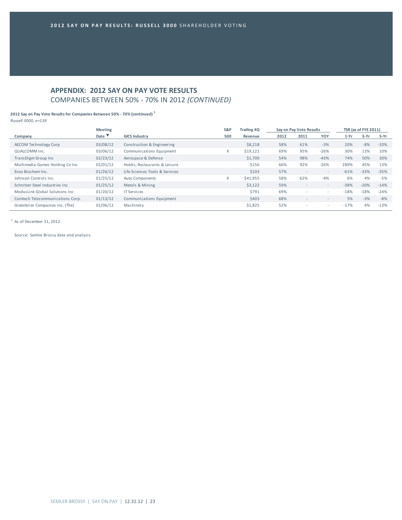# **APPENDIX: 2012 SAY ON PAY VOTE RESULTS** COMPANIES BETWEEN 50% ‐ 70% IN 2012 *(CONTINUED)*

#### **2012 Say on Pay Vote Results for Companies Between 50% ‐ 70% (continued) <sup>1</sup>**

*Russell 3000, n=139*

|                                  | <b>Meeting</b> |                                | S&P | <b>Trailing 4Q</b> |      | Say on Pay Vote Results  |                          |        | <b>TSR (as of FYE 2011)</b> |        |
|----------------------------------|----------------|--------------------------------|-----|--------------------|------|--------------------------|--------------------------|--------|-----------------------------|--------|
| Company                          | Date           | <b>GICS Industry</b>           | 500 | Revenue            | 2012 | 2011                     | YOY                      | $1-Yr$ | $3-Yr$                      | 5-Yr   |
| <b>AECOM Technology Corp</b>     | 03/08/12       | Construction & Engineering     |     | \$8,218            | 58%  | 61%                      | $-3%$                    | 20%    | $-8%$                       | $-10%$ |
| QUALCOMM Inc.                    | 03/06/12       | Communications Equipment       | X   | \$19,121           | 69%  | 95%                      | $-26%$                   | 30%    | 13%                         | 10%    |
| TransDigm Group Inc              | 02/23/12       | Aerospace & Defense            |     | \$1,700            | 54%  | 98%                      | $-43%$                   | 74%    | 50%                         | 30%    |
| Multimedia Games Holding Co Inc  | 02/01/12       | Hotels, Restaurants & Leisure  |     | \$156              | 66%  | 92%                      | $-26%$                   | 289%   | 45%                         | 13%    |
| Enzo Biochem Inc.                | 01/26/12       | Life Sciences Tools & Services |     | \$103              | 57%  | $\overline{\phantom{a}}$ | $\overline{\phantom{a}}$ | $-61%$ | $-33%$                      | $-35%$ |
| Johnson Controls Inc.            | 01/25/12       | Auto Components                | X   | \$41,955           | 58%  | 62%                      | $-4%$                    | 6%     | 4%                          | $-5%$  |
| Schnitzer Steel Industries Inc   | 01/25/12       | Metals & Mining                |     | \$3,122            | 59%  |                          | $\overline{\phantom{a}}$ | $-38%$ | $-20%$                      | $-14%$ |
| ModusLink Global Solutions Inc   | 01/20/12       | <b>IT Services</b>             |     | \$791              | 69%  |                          | ٠                        | $-18%$ | $-18%$                      | $-24%$ |
| Comtech Telecommunications Corp. | 01/13/12       | Communications Equipment       |     | \$403              | 68%  |                          | $\overline{\phantom{a}}$ | 5%     | $-3%$                       | $-8%$  |
| Greenbrier Companies Inc. (The)  | 01/06/12       | Machinery                      |     | \$1,825            | 52%  | $\overline{\phantom{a}}$ | ۰                        | $-17%$ | 4%                          | $-13%$ |

 $1$  As of December 31, 2012.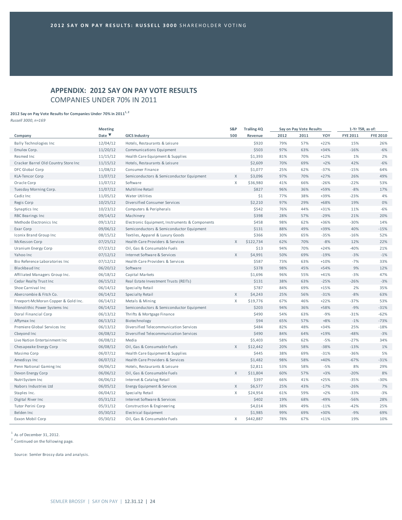# **APPENDIX: 2012 SAY ON PAY VOTE RESULTS** COMPANIES UNDER 70% IN 2011

## **2012 Say on Pay Vote Results for Companies Under 70% in 20111, <sup>2</sup>**

*Russell 3000, n=169*

| Date $\blacktriangledown$<br>500<br>YOY<br><b>FYE 2011</b><br><b>FYE 2010</b><br><b>GICS Industry</b><br>2012<br>2011<br>Company<br>Revenue<br>12/04/12<br>79%<br>\$920<br>57%<br>$+22%$<br>15%<br>26%<br><b>Bally Technologies Inc</b><br>Hotels, Restaurants & Leisure<br>11/20/12<br>\$503<br>97%<br>63%<br>$-6%$<br>$+34%$<br>$-16%$<br>Emulex Corp.<br>Communications Equipment<br>Resmed Inc<br>11/15/12<br>Health Care Equipment & Supplies<br>\$1,393<br>81%<br>70%<br>$+12%$<br>1%<br>2%<br>42%<br>11/15/12<br>\$2,609<br>70%<br>69%<br>$+2%$<br>$-6%$<br>Cracker Barrel Old Country Store Inc<br>Hotels, Restaurants & Leisure<br>11/08/12<br>Consumer Finance<br>\$1,077<br>25%<br>62%<br>$-37%$<br>$-15%$<br>64%<br>DFC Global Corp<br>X<br>97%<br>26%<br>11/07/12<br>\$3,096<br>70%<br>$+27%$<br>49%<br><b>KLA-Tencor Corp</b><br>Semiconductors & Semiconductor Equipment<br>41%<br>66%<br>$-22%$<br>Oracle Corp<br>11/07/12<br>Software<br>X<br>\$36,980<br>$-26%$<br>53%<br>$-8%$<br>Tuesday Morning Corp.<br>11/07/12<br>Multiline Retail<br>\$827<br>96%<br>36%<br>+59%<br>17%<br>11/05/12<br>38%<br>$-23%$<br>4%<br>Cadiz Inc<br>Water Utilities<br>\$1<br>77%<br>+39%<br>97%<br>10/25/12<br>\$2,210<br>29%<br>$+68%$<br>19%<br>0%<br>Regis Corp<br>Diversified Consumer Services<br>\$542<br>76%<br>44%<br>11%<br>$-6%$<br>Synaptics Inc<br>10/23/12<br>Computers & Peripherals<br>$+31%$<br>28%<br>57%<br>$-29%$<br>21%<br>20%<br>09/14/12<br>\$398<br><b>RBC Bearings Inc</b><br>Machinery<br>98%<br>$-30%$<br>Methode Electronics Inc.<br>09/13/12<br>Electronic Equipment, Instruments & Components<br>\$458<br>62%<br>$+36%$<br>14%<br>88%<br>49%<br>40%<br>09/06/12<br>Semiconductors & Semiconductor Equipment<br>\$131<br>+39%<br>$-15%$<br>Exar Corp<br>08/15/12<br>\$366<br>30%<br>65%<br>$-35%$<br>$-16%$<br>52%<br>Iconix Brand Group Inc<br>Textiles, Apparel & Luxury Goods<br>07/25/12<br>\$122,734<br>62%<br>70%<br>$-8%$<br>12%<br>22%<br>McKesson Corp<br>Health Care Providers & Services<br>X<br>94%<br>$-40%$<br>07/23/12<br>Oil, Gas & Consumable Fuels<br>\$13<br>70%<br>$+24%$<br>21%<br>Uranium Energy Corp<br>X<br>\$4,991<br>50%<br>69%<br>$-19%$<br>$-3%$<br>$-1%$<br>Yahoo Inc<br>07/12/12<br>Internet Software & Services<br>07/12/12<br>33%<br>Bio Reference Laboratories Inc<br>Health Care Providers & Services<br>\$587<br>73%<br>63%<br>$+10%$<br>$-7%$<br>06/20/12<br>\$378<br>98%<br>45%<br>$+54%$<br>9%<br>12%<br>Blackbaud Inc<br>Software<br>$-3%$<br>06/18/12<br>Capital Markets<br>\$1,696<br>96%<br>55%<br>$+41%$<br>47%<br>Affiliated Managers Group Inc.<br>06/15/12<br>\$131<br>38%<br>63%<br>$-25%$<br>$-26%$<br>$-3%$<br>Cedar Realty Trust Inc<br>Real Estate Investment Trusts (REITs)<br>\$787<br>84%<br>69%<br>$+15%$<br>2%<br>35%<br>Shoe Carnival Inc.<br>06/14/12<br>Specialty Retail<br>$-8%$<br>X<br>25%<br>Abercrombie & Fitch Co.<br>06/14/12<br>\$4,243<br>56%<br>$-31%$<br>63%<br>Specialty Retail<br>Χ<br>06/14/12<br>\$19,776<br>67%<br>46%<br>$+22%$<br>$-37%$<br>53%<br>Freeport-McMoran Copper & Gold Inc.<br>Metals & Mining<br>$-9%$<br>06/14/12<br>Semiconductors & Semiconductor Equipment<br>\$203<br>94%<br>36%<br>+58%<br>$-31%$<br>Monolithic Power Systems Inc<br>$-31%$<br>06/13/12<br>\$490<br>54%<br>63%<br>$-9%$<br>$-62%$<br>Doral Financial Corp<br>Thrifts & Mortgage Finance<br>06/13/12<br>\$94<br>65%<br>57%<br>$+8%$<br>$-1%$<br>$-73%$<br>Affymax Inc<br>Biotechnology<br>25%<br>Premiere Global Services Inc<br>06/13/12<br>Diversified Telecommunication Services<br>\$484<br>82%<br>48%<br>$+34%$<br>$-18%$<br>84%<br>$-48%$<br>06/08/12<br>\$490<br>64%<br>$+19%$<br>$-3%$<br>Cbeyond Inc<br>Diversified Telecommunication Services<br>Live Nation Entertainment Inc<br>06/08/12<br>Media<br>\$5,403<br>58%<br>62%<br>$-5%$<br>$-27%$<br>34%<br>$-13%$<br>1%<br>06/08/12<br>Oil, Gas & Consumable Fuels<br>X<br>\$12,442<br>20%<br>58%<br>$-38%$<br>Chesapeake Energy Corp<br>06/07/12<br>\$445<br>38%<br>69%<br>$-36%$<br>5%<br>Masimo Corp<br>Health Care Equipment & Supplies<br>$-31%$<br>$-67%$<br>06/07/12<br>Health Care Providers & Services<br>\$1,482<br>98%<br>58%<br>$+40%$<br>$-31%$<br>Amedisys Inc<br>06/06/12<br>\$2,811<br>53%<br>58%<br>$-5%$<br>8%<br>29%<br>Penn National Gaming Inc<br>Hotels, Restaurants & Leisure<br>06/06/12<br>Oil, Gas & Consumable Fuels<br>X<br>\$11,804<br>60%<br>57%<br>$+3%$<br>$-20%$<br>8%<br>Devon Energy Corp<br>Internet & Catalog Retail<br>\$397<br>66%<br>41%<br>$+25%$<br>$-35%$<br>$-30%$<br>NutriSystem Inc<br>06/06/12<br>06/05/12<br>X<br>25%<br>43%<br>$-26%$<br>7%<br>Energy Equipment & Services<br>\$6,577<br>$-17%$<br>Nabors Industries Ltd<br>Staples Inc.<br>06/04/12<br>Specialty Retail<br>X<br>\$24,954<br>61%<br>59%<br>$+2%$<br>$-33%$<br>$-3%$<br>19%<br>$-56%$<br>28%<br>05/31/12<br>Internet Software & Services<br>\$402<br>68%<br>$-49%$<br>Digital River Inc<br>05/31/12<br>\$4,014<br>38%<br>49%<br>$-11%$<br>$-42%$<br>25%<br>Tutor Perini Corp<br>Construction & Engineering<br>99%<br>$-9%$<br>Belden Inc<br>\$1,985<br>69%<br>$+30%$<br>69% | <b>Meeting</b> |                      | S&P | <b>Trailing 4Q</b> | Say on Pay Vote Results | 1-Yr TSR, as of: |  |
|-------------------------------------------------------------------------------------------------------------------------------------------------------------------------------------------------------------------------------------------------------------------------------------------------------------------------------------------------------------------------------------------------------------------------------------------------------------------------------------------------------------------------------------------------------------------------------------------------------------------------------------------------------------------------------------------------------------------------------------------------------------------------------------------------------------------------------------------------------------------------------------------------------------------------------------------------------------------------------------------------------------------------------------------------------------------------------------------------------------------------------------------------------------------------------------------------------------------------------------------------------------------------------------------------------------------------------------------------------------------------------------------------------------------------------------------------------------------------------------------------------------------------------------------------------------------------------------------------------------------------------------------------------------------------------------------------------------------------------------------------------------------------------------------------------------------------------------------------------------------------------------------------------------------------------------------------------------------------------------------------------------------------------------------------------------------------------------------------------------------------------------------------------------------------------------------------------------------------------------------------------------------------------------------------------------------------------------------------------------------------------------------------------------------------------------------------------------------------------------------------------------------------------------------------------------------------------------------------------------------------------------------------------------------------------------------------------------------------------------------------------------------------------------------------------------------------------------------------------------------------------------------------------------------------------------------------------------------------------------------------------------------------------------------------------------------------------------------------------------------------------------------------------------------------------------------------------------------------------------------------------------------------------------------------------------------------------------------------------------------------------------------------------------------------------------------------------------------------------------------------------------------------------------------------------------------------------------------------------------------------------------------------------------------------------------------------------------------------------------------------------------------------------------------------------------------------------------------------------------------------------------------------------------------------------------------------------------------------------------------------------------------------------------------------------------------------------------------------------------------------------------------------------------------------------------------------------------------------------------------------------------------------------------------------------------------------------------------------------------------------------------------------------------------------------------------------------------------------------------------------------------------------------------------------------------------------------------------------------------------------------------------------------------------------------------------------------------------------------------------------------------------------------------------------------------------------------------------------------------------------------------------------------------------------------------------------------------------------------------------------------------------------------------------------------------------------------------------------------------------------------------------------|----------------|----------------------|-----|--------------------|-------------------------|------------------|--|
|                                                                                                                                                                                                                                                                                                                                                                                                                                                                                                                                                                                                                                                                                                                                                                                                                                                                                                                                                                                                                                                                                                                                                                                                                                                                                                                                                                                                                                                                                                                                                                                                                                                                                                                                                                                                                                                                                                                                                                                                                                                                                                                                                                                                                                                                                                                                                                                                                                                                                                                                                                                                                                                                                                                                                                                                                                                                                                                                                                                                                                                                                                                                                                                                                                                                                                                                                                                                                                                                                                                                                                                                                                                                                                                                                                                                                                                                                                                                                                                                                                                                                                                                                                                                                                                                                                                                                                                                                                                                                                                                                                                                                                                                                                                                                                                                                                                                                                                                                                                                                                                                                                                                                 |                |                      |     |                    |                         |                  |  |
|                                                                                                                                                                                                                                                                                                                                                                                                                                                                                                                                                                                                                                                                                                                                                                                                                                                                                                                                                                                                                                                                                                                                                                                                                                                                                                                                                                                                                                                                                                                                                                                                                                                                                                                                                                                                                                                                                                                                                                                                                                                                                                                                                                                                                                                                                                                                                                                                                                                                                                                                                                                                                                                                                                                                                                                                                                                                                                                                                                                                                                                                                                                                                                                                                                                                                                                                                                                                                                                                                                                                                                                                                                                                                                                                                                                                                                                                                                                                                                                                                                                                                                                                                                                                                                                                                                                                                                                                                                                                                                                                                                                                                                                                                                                                                                                                                                                                                                                                                                                                                                                                                                                                                 |                |                      |     |                    |                         |                  |  |
|                                                                                                                                                                                                                                                                                                                                                                                                                                                                                                                                                                                                                                                                                                                                                                                                                                                                                                                                                                                                                                                                                                                                                                                                                                                                                                                                                                                                                                                                                                                                                                                                                                                                                                                                                                                                                                                                                                                                                                                                                                                                                                                                                                                                                                                                                                                                                                                                                                                                                                                                                                                                                                                                                                                                                                                                                                                                                                                                                                                                                                                                                                                                                                                                                                                                                                                                                                                                                                                                                                                                                                                                                                                                                                                                                                                                                                                                                                                                                                                                                                                                                                                                                                                                                                                                                                                                                                                                                                                                                                                                                                                                                                                                                                                                                                                                                                                                                                                                                                                                                                                                                                                                                 |                |                      |     |                    |                         |                  |  |
|                                                                                                                                                                                                                                                                                                                                                                                                                                                                                                                                                                                                                                                                                                                                                                                                                                                                                                                                                                                                                                                                                                                                                                                                                                                                                                                                                                                                                                                                                                                                                                                                                                                                                                                                                                                                                                                                                                                                                                                                                                                                                                                                                                                                                                                                                                                                                                                                                                                                                                                                                                                                                                                                                                                                                                                                                                                                                                                                                                                                                                                                                                                                                                                                                                                                                                                                                                                                                                                                                                                                                                                                                                                                                                                                                                                                                                                                                                                                                                                                                                                                                                                                                                                                                                                                                                                                                                                                                                                                                                                                                                                                                                                                                                                                                                                                                                                                                                                                                                                                                                                                                                                                                 |                |                      |     |                    |                         |                  |  |
|                                                                                                                                                                                                                                                                                                                                                                                                                                                                                                                                                                                                                                                                                                                                                                                                                                                                                                                                                                                                                                                                                                                                                                                                                                                                                                                                                                                                                                                                                                                                                                                                                                                                                                                                                                                                                                                                                                                                                                                                                                                                                                                                                                                                                                                                                                                                                                                                                                                                                                                                                                                                                                                                                                                                                                                                                                                                                                                                                                                                                                                                                                                                                                                                                                                                                                                                                                                                                                                                                                                                                                                                                                                                                                                                                                                                                                                                                                                                                                                                                                                                                                                                                                                                                                                                                                                                                                                                                                                                                                                                                                                                                                                                                                                                                                                                                                                                                                                                                                                                                                                                                                                                                 |                |                      |     |                    |                         |                  |  |
|                                                                                                                                                                                                                                                                                                                                                                                                                                                                                                                                                                                                                                                                                                                                                                                                                                                                                                                                                                                                                                                                                                                                                                                                                                                                                                                                                                                                                                                                                                                                                                                                                                                                                                                                                                                                                                                                                                                                                                                                                                                                                                                                                                                                                                                                                                                                                                                                                                                                                                                                                                                                                                                                                                                                                                                                                                                                                                                                                                                                                                                                                                                                                                                                                                                                                                                                                                                                                                                                                                                                                                                                                                                                                                                                                                                                                                                                                                                                                                                                                                                                                                                                                                                                                                                                                                                                                                                                                                                                                                                                                                                                                                                                                                                                                                                                                                                                                                                                                                                                                                                                                                                                                 |                |                      |     |                    |                         |                  |  |
|                                                                                                                                                                                                                                                                                                                                                                                                                                                                                                                                                                                                                                                                                                                                                                                                                                                                                                                                                                                                                                                                                                                                                                                                                                                                                                                                                                                                                                                                                                                                                                                                                                                                                                                                                                                                                                                                                                                                                                                                                                                                                                                                                                                                                                                                                                                                                                                                                                                                                                                                                                                                                                                                                                                                                                                                                                                                                                                                                                                                                                                                                                                                                                                                                                                                                                                                                                                                                                                                                                                                                                                                                                                                                                                                                                                                                                                                                                                                                                                                                                                                                                                                                                                                                                                                                                                                                                                                                                                                                                                                                                                                                                                                                                                                                                                                                                                                                                                                                                                                                                                                                                                                                 |                |                      |     |                    |                         |                  |  |
|                                                                                                                                                                                                                                                                                                                                                                                                                                                                                                                                                                                                                                                                                                                                                                                                                                                                                                                                                                                                                                                                                                                                                                                                                                                                                                                                                                                                                                                                                                                                                                                                                                                                                                                                                                                                                                                                                                                                                                                                                                                                                                                                                                                                                                                                                                                                                                                                                                                                                                                                                                                                                                                                                                                                                                                                                                                                                                                                                                                                                                                                                                                                                                                                                                                                                                                                                                                                                                                                                                                                                                                                                                                                                                                                                                                                                                                                                                                                                                                                                                                                                                                                                                                                                                                                                                                                                                                                                                                                                                                                                                                                                                                                                                                                                                                                                                                                                                                                                                                                                                                                                                                                                 |                |                      |     |                    |                         |                  |  |
|                                                                                                                                                                                                                                                                                                                                                                                                                                                                                                                                                                                                                                                                                                                                                                                                                                                                                                                                                                                                                                                                                                                                                                                                                                                                                                                                                                                                                                                                                                                                                                                                                                                                                                                                                                                                                                                                                                                                                                                                                                                                                                                                                                                                                                                                                                                                                                                                                                                                                                                                                                                                                                                                                                                                                                                                                                                                                                                                                                                                                                                                                                                                                                                                                                                                                                                                                                                                                                                                                                                                                                                                                                                                                                                                                                                                                                                                                                                                                                                                                                                                                                                                                                                                                                                                                                                                                                                                                                                                                                                                                                                                                                                                                                                                                                                                                                                                                                                                                                                                                                                                                                                                                 |                |                      |     |                    |                         |                  |  |
|                                                                                                                                                                                                                                                                                                                                                                                                                                                                                                                                                                                                                                                                                                                                                                                                                                                                                                                                                                                                                                                                                                                                                                                                                                                                                                                                                                                                                                                                                                                                                                                                                                                                                                                                                                                                                                                                                                                                                                                                                                                                                                                                                                                                                                                                                                                                                                                                                                                                                                                                                                                                                                                                                                                                                                                                                                                                                                                                                                                                                                                                                                                                                                                                                                                                                                                                                                                                                                                                                                                                                                                                                                                                                                                                                                                                                                                                                                                                                                                                                                                                                                                                                                                                                                                                                                                                                                                                                                                                                                                                                                                                                                                                                                                                                                                                                                                                                                                                                                                                                                                                                                                                                 |                |                      |     |                    |                         |                  |  |
|                                                                                                                                                                                                                                                                                                                                                                                                                                                                                                                                                                                                                                                                                                                                                                                                                                                                                                                                                                                                                                                                                                                                                                                                                                                                                                                                                                                                                                                                                                                                                                                                                                                                                                                                                                                                                                                                                                                                                                                                                                                                                                                                                                                                                                                                                                                                                                                                                                                                                                                                                                                                                                                                                                                                                                                                                                                                                                                                                                                                                                                                                                                                                                                                                                                                                                                                                                                                                                                                                                                                                                                                                                                                                                                                                                                                                                                                                                                                                                                                                                                                                                                                                                                                                                                                                                                                                                                                                                                                                                                                                                                                                                                                                                                                                                                                                                                                                                                                                                                                                                                                                                                                                 |                |                      |     |                    |                         |                  |  |
|                                                                                                                                                                                                                                                                                                                                                                                                                                                                                                                                                                                                                                                                                                                                                                                                                                                                                                                                                                                                                                                                                                                                                                                                                                                                                                                                                                                                                                                                                                                                                                                                                                                                                                                                                                                                                                                                                                                                                                                                                                                                                                                                                                                                                                                                                                                                                                                                                                                                                                                                                                                                                                                                                                                                                                                                                                                                                                                                                                                                                                                                                                                                                                                                                                                                                                                                                                                                                                                                                                                                                                                                                                                                                                                                                                                                                                                                                                                                                                                                                                                                                                                                                                                                                                                                                                                                                                                                                                                                                                                                                                                                                                                                                                                                                                                                                                                                                                                                                                                                                                                                                                                                                 |                |                      |     |                    |                         |                  |  |
|                                                                                                                                                                                                                                                                                                                                                                                                                                                                                                                                                                                                                                                                                                                                                                                                                                                                                                                                                                                                                                                                                                                                                                                                                                                                                                                                                                                                                                                                                                                                                                                                                                                                                                                                                                                                                                                                                                                                                                                                                                                                                                                                                                                                                                                                                                                                                                                                                                                                                                                                                                                                                                                                                                                                                                                                                                                                                                                                                                                                                                                                                                                                                                                                                                                                                                                                                                                                                                                                                                                                                                                                                                                                                                                                                                                                                                                                                                                                                                                                                                                                                                                                                                                                                                                                                                                                                                                                                                                                                                                                                                                                                                                                                                                                                                                                                                                                                                                                                                                                                                                                                                                                                 |                |                      |     |                    |                         |                  |  |
|                                                                                                                                                                                                                                                                                                                                                                                                                                                                                                                                                                                                                                                                                                                                                                                                                                                                                                                                                                                                                                                                                                                                                                                                                                                                                                                                                                                                                                                                                                                                                                                                                                                                                                                                                                                                                                                                                                                                                                                                                                                                                                                                                                                                                                                                                                                                                                                                                                                                                                                                                                                                                                                                                                                                                                                                                                                                                                                                                                                                                                                                                                                                                                                                                                                                                                                                                                                                                                                                                                                                                                                                                                                                                                                                                                                                                                                                                                                                                                                                                                                                                                                                                                                                                                                                                                                                                                                                                                                                                                                                                                                                                                                                                                                                                                                                                                                                                                                                                                                                                                                                                                                                                 |                |                      |     |                    |                         |                  |  |
|                                                                                                                                                                                                                                                                                                                                                                                                                                                                                                                                                                                                                                                                                                                                                                                                                                                                                                                                                                                                                                                                                                                                                                                                                                                                                                                                                                                                                                                                                                                                                                                                                                                                                                                                                                                                                                                                                                                                                                                                                                                                                                                                                                                                                                                                                                                                                                                                                                                                                                                                                                                                                                                                                                                                                                                                                                                                                                                                                                                                                                                                                                                                                                                                                                                                                                                                                                                                                                                                                                                                                                                                                                                                                                                                                                                                                                                                                                                                                                                                                                                                                                                                                                                                                                                                                                                                                                                                                                                                                                                                                                                                                                                                                                                                                                                                                                                                                                                                                                                                                                                                                                                                                 |                |                      |     |                    |                         |                  |  |
|                                                                                                                                                                                                                                                                                                                                                                                                                                                                                                                                                                                                                                                                                                                                                                                                                                                                                                                                                                                                                                                                                                                                                                                                                                                                                                                                                                                                                                                                                                                                                                                                                                                                                                                                                                                                                                                                                                                                                                                                                                                                                                                                                                                                                                                                                                                                                                                                                                                                                                                                                                                                                                                                                                                                                                                                                                                                                                                                                                                                                                                                                                                                                                                                                                                                                                                                                                                                                                                                                                                                                                                                                                                                                                                                                                                                                                                                                                                                                                                                                                                                                                                                                                                                                                                                                                                                                                                                                                                                                                                                                                                                                                                                                                                                                                                                                                                                                                                                                                                                                                                                                                                                                 |                |                      |     |                    |                         |                  |  |
|                                                                                                                                                                                                                                                                                                                                                                                                                                                                                                                                                                                                                                                                                                                                                                                                                                                                                                                                                                                                                                                                                                                                                                                                                                                                                                                                                                                                                                                                                                                                                                                                                                                                                                                                                                                                                                                                                                                                                                                                                                                                                                                                                                                                                                                                                                                                                                                                                                                                                                                                                                                                                                                                                                                                                                                                                                                                                                                                                                                                                                                                                                                                                                                                                                                                                                                                                                                                                                                                                                                                                                                                                                                                                                                                                                                                                                                                                                                                                                                                                                                                                                                                                                                                                                                                                                                                                                                                                                                                                                                                                                                                                                                                                                                                                                                                                                                                                                                                                                                                                                                                                                                                                 |                |                      |     |                    |                         |                  |  |
|                                                                                                                                                                                                                                                                                                                                                                                                                                                                                                                                                                                                                                                                                                                                                                                                                                                                                                                                                                                                                                                                                                                                                                                                                                                                                                                                                                                                                                                                                                                                                                                                                                                                                                                                                                                                                                                                                                                                                                                                                                                                                                                                                                                                                                                                                                                                                                                                                                                                                                                                                                                                                                                                                                                                                                                                                                                                                                                                                                                                                                                                                                                                                                                                                                                                                                                                                                                                                                                                                                                                                                                                                                                                                                                                                                                                                                                                                                                                                                                                                                                                                                                                                                                                                                                                                                                                                                                                                                                                                                                                                                                                                                                                                                                                                                                                                                                                                                                                                                                                                                                                                                                                                 |                |                      |     |                    |                         |                  |  |
|                                                                                                                                                                                                                                                                                                                                                                                                                                                                                                                                                                                                                                                                                                                                                                                                                                                                                                                                                                                                                                                                                                                                                                                                                                                                                                                                                                                                                                                                                                                                                                                                                                                                                                                                                                                                                                                                                                                                                                                                                                                                                                                                                                                                                                                                                                                                                                                                                                                                                                                                                                                                                                                                                                                                                                                                                                                                                                                                                                                                                                                                                                                                                                                                                                                                                                                                                                                                                                                                                                                                                                                                                                                                                                                                                                                                                                                                                                                                                                                                                                                                                                                                                                                                                                                                                                                                                                                                                                                                                                                                                                                                                                                                                                                                                                                                                                                                                                                                                                                                                                                                                                                                                 |                |                      |     |                    |                         |                  |  |
|                                                                                                                                                                                                                                                                                                                                                                                                                                                                                                                                                                                                                                                                                                                                                                                                                                                                                                                                                                                                                                                                                                                                                                                                                                                                                                                                                                                                                                                                                                                                                                                                                                                                                                                                                                                                                                                                                                                                                                                                                                                                                                                                                                                                                                                                                                                                                                                                                                                                                                                                                                                                                                                                                                                                                                                                                                                                                                                                                                                                                                                                                                                                                                                                                                                                                                                                                                                                                                                                                                                                                                                                                                                                                                                                                                                                                                                                                                                                                                                                                                                                                                                                                                                                                                                                                                                                                                                                                                                                                                                                                                                                                                                                                                                                                                                                                                                                                                                                                                                                                                                                                                                                                 |                |                      |     |                    |                         |                  |  |
|                                                                                                                                                                                                                                                                                                                                                                                                                                                                                                                                                                                                                                                                                                                                                                                                                                                                                                                                                                                                                                                                                                                                                                                                                                                                                                                                                                                                                                                                                                                                                                                                                                                                                                                                                                                                                                                                                                                                                                                                                                                                                                                                                                                                                                                                                                                                                                                                                                                                                                                                                                                                                                                                                                                                                                                                                                                                                                                                                                                                                                                                                                                                                                                                                                                                                                                                                                                                                                                                                                                                                                                                                                                                                                                                                                                                                                                                                                                                                                                                                                                                                                                                                                                                                                                                                                                                                                                                                                                                                                                                                                                                                                                                                                                                                                                                                                                                                                                                                                                                                                                                                                                                                 |                |                      |     |                    |                         |                  |  |
|                                                                                                                                                                                                                                                                                                                                                                                                                                                                                                                                                                                                                                                                                                                                                                                                                                                                                                                                                                                                                                                                                                                                                                                                                                                                                                                                                                                                                                                                                                                                                                                                                                                                                                                                                                                                                                                                                                                                                                                                                                                                                                                                                                                                                                                                                                                                                                                                                                                                                                                                                                                                                                                                                                                                                                                                                                                                                                                                                                                                                                                                                                                                                                                                                                                                                                                                                                                                                                                                                                                                                                                                                                                                                                                                                                                                                                                                                                                                                                                                                                                                                                                                                                                                                                                                                                                                                                                                                                                                                                                                                                                                                                                                                                                                                                                                                                                                                                                                                                                                                                                                                                                                                 |                |                      |     |                    |                         |                  |  |
|                                                                                                                                                                                                                                                                                                                                                                                                                                                                                                                                                                                                                                                                                                                                                                                                                                                                                                                                                                                                                                                                                                                                                                                                                                                                                                                                                                                                                                                                                                                                                                                                                                                                                                                                                                                                                                                                                                                                                                                                                                                                                                                                                                                                                                                                                                                                                                                                                                                                                                                                                                                                                                                                                                                                                                                                                                                                                                                                                                                                                                                                                                                                                                                                                                                                                                                                                                                                                                                                                                                                                                                                                                                                                                                                                                                                                                                                                                                                                                                                                                                                                                                                                                                                                                                                                                                                                                                                                                                                                                                                                                                                                                                                                                                                                                                                                                                                                                                                                                                                                                                                                                                                                 |                |                      |     |                    |                         |                  |  |
|                                                                                                                                                                                                                                                                                                                                                                                                                                                                                                                                                                                                                                                                                                                                                                                                                                                                                                                                                                                                                                                                                                                                                                                                                                                                                                                                                                                                                                                                                                                                                                                                                                                                                                                                                                                                                                                                                                                                                                                                                                                                                                                                                                                                                                                                                                                                                                                                                                                                                                                                                                                                                                                                                                                                                                                                                                                                                                                                                                                                                                                                                                                                                                                                                                                                                                                                                                                                                                                                                                                                                                                                                                                                                                                                                                                                                                                                                                                                                                                                                                                                                                                                                                                                                                                                                                                                                                                                                                                                                                                                                                                                                                                                                                                                                                                                                                                                                                                                                                                                                                                                                                                                                 |                |                      |     |                    |                         |                  |  |
|                                                                                                                                                                                                                                                                                                                                                                                                                                                                                                                                                                                                                                                                                                                                                                                                                                                                                                                                                                                                                                                                                                                                                                                                                                                                                                                                                                                                                                                                                                                                                                                                                                                                                                                                                                                                                                                                                                                                                                                                                                                                                                                                                                                                                                                                                                                                                                                                                                                                                                                                                                                                                                                                                                                                                                                                                                                                                                                                                                                                                                                                                                                                                                                                                                                                                                                                                                                                                                                                                                                                                                                                                                                                                                                                                                                                                                                                                                                                                                                                                                                                                                                                                                                                                                                                                                                                                                                                                                                                                                                                                                                                                                                                                                                                                                                                                                                                                                                                                                                                                                                                                                                                                 |                |                      |     |                    |                         |                  |  |
|                                                                                                                                                                                                                                                                                                                                                                                                                                                                                                                                                                                                                                                                                                                                                                                                                                                                                                                                                                                                                                                                                                                                                                                                                                                                                                                                                                                                                                                                                                                                                                                                                                                                                                                                                                                                                                                                                                                                                                                                                                                                                                                                                                                                                                                                                                                                                                                                                                                                                                                                                                                                                                                                                                                                                                                                                                                                                                                                                                                                                                                                                                                                                                                                                                                                                                                                                                                                                                                                                                                                                                                                                                                                                                                                                                                                                                                                                                                                                                                                                                                                                                                                                                                                                                                                                                                                                                                                                                                                                                                                                                                                                                                                                                                                                                                                                                                                                                                                                                                                                                                                                                                                                 |                |                      |     |                    |                         |                  |  |
|                                                                                                                                                                                                                                                                                                                                                                                                                                                                                                                                                                                                                                                                                                                                                                                                                                                                                                                                                                                                                                                                                                                                                                                                                                                                                                                                                                                                                                                                                                                                                                                                                                                                                                                                                                                                                                                                                                                                                                                                                                                                                                                                                                                                                                                                                                                                                                                                                                                                                                                                                                                                                                                                                                                                                                                                                                                                                                                                                                                                                                                                                                                                                                                                                                                                                                                                                                                                                                                                                                                                                                                                                                                                                                                                                                                                                                                                                                                                                                                                                                                                                                                                                                                                                                                                                                                                                                                                                                                                                                                                                                                                                                                                                                                                                                                                                                                                                                                                                                                                                                                                                                                                                 |                |                      |     |                    |                         |                  |  |
|                                                                                                                                                                                                                                                                                                                                                                                                                                                                                                                                                                                                                                                                                                                                                                                                                                                                                                                                                                                                                                                                                                                                                                                                                                                                                                                                                                                                                                                                                                                                                                                                                                                                                                                                                                                                                                                                                                                                                                                                                                                                                                                                                                                                                                                                                                                                                                                                                                                                                                                                                                                                                                                                                                                                                                                                                                                                                                                                                                                                                                                                                                                                                                                                                                                                                                                                                                                                                                                                                                                                                                                                                                                                                                                                                                                                                                                                                                                                                                                                                                                                                                                                                                                                                                                                                                                                                                                                                                                                                                                                                                                                                                                                                                                                                                                                                                                                                                                                                                                                                                                                                                                                                 |                |                      |     |                    |                         |                  |  |
|                                                                                                                                                                                                                                                                                                                                                                                                                                                                                                                                                                                                                                                                                                                                                                                                                                                                                                                                                                                                                                                                                                                                                                                                                                                                                                                                                                                                                                                                                                                                                                                                                                                                                                                                                                                                                                                                                                                                                                                                                                                                                                                                                                                                                                                                                                                                                                                                                                                                                                                                                                                                                                                                                                                                                                                                                                                                                                                                                                                                                                                                                                                                                                                                                                                                                                                                                                                                                                                                                                                                                                                                                                                                                                                                                                                                                                                                                                                                                                                                                                                                                                                                                                                                                                                                                                                                                                                                                                                                                                                                                                                                                                                                                                                                                                                                                                                                                                                                                                                                                                                                                                                                                 |                |                      |     |                    |                         |                  |  |
|                                                                                                                                                                                                                                                                                                                                                                                                                                                                                                                                                                                                                                                                                                                                                                                                                                                                                                                                                                                                                                                                                                                                                                                                                                                                                                                                                                                                                                                                                                                                                                                                                                                                                                                                                                                                                                                                                                                                                                                                                                                                                                                                                                                                                                                                                                                                                                                                                                                                                                                                                                                                                                                                                                                                                                                                                                                                                                                                                                                                                                                                                                                                                                                                                                                                                                                                                                                                                                                                                                                                                                                                                                                                                                                                                                                                                                                                                                                                                                                                                                                                                                                                                                                                                                                                                                                                                                                                                                                                                                                                                                                                                                                                                                                                                                                                                                                                                                                                                                                                                                                                                                                                                 |                |                      |     |                    |                         |                  |  |
|                                                                                                                                                                                                                                                                                                                                                                                                                                                                                                                                                                                                                                                                                                                                                                                                                                                                                                                                                                                                                                                                                                                                                                                                                                                                                                                                                                                                                                                                                                                                                                                                                                                                                                                                                                                                                                                                                                                                                                                                                                                                                                                                                                                                                                                                                                                                                                                                                                                                                                                                                                                                                                                                                                                                                                                                                                                                                                                                                                                                                                                                                                                                                                                                                                                                                                                                                                                                                                                                                                                                                                                                                                                                                                                                                                                                                                                                                                                                                                                                                                                                                                                                                                                                                                                                                                                                                                                                                                                                                                                                                                                                                                                                                                                                                                                                                                                                                                                                                                                                                                                                                                                                                 |                |                      |     |                    |                         |                  |  |
|                                                                                                                                                                                                                                                                                                                                                                                                                                                                                                                                                                                                                                                                                                                                                                                                                                                                                                                                                                                                                                                                                                                                                                                                                                                                                                                                                                                                                                                                                                                                                                                                                                                                                                                                                                                                                                                                                                                                                                                                                                                                                                                                                                                                                                                                                                                                                                                                                                                                                                                                                                                                                                                                                                                                                                                                                                                                                                                                                                                                                                                                                                                                                                                                                                                                                                                                                                                                                                                                                                                                                                                                                                                                                                                                                                                                                                                                                                                                                                                                                                                                                                                                                                                                                                                                                                                                                                                                                                                                                                                                                                                                                                                                                                                                                                                                                                                                                                                                                                                                                                                                                                                                                 |                |                      |     |                    |                         |                  |  |
|                                                                                                                                                                                                                                                                                                                                                                                                                                                                                                                                                                                                                                                                                                                                                                                                                                                                                                                                                                                                                                                                                                                                                                                                                                                                                                                                                                                                                                                                                                                                                                                                                                                                                                                                                                                                                                                                                                                                                                                                                                                                                                                                                                                                                                                                                                                                                                                                                                                                                                                                                                                                                                                                                                                                                                                                                                                                                                                                                                                                                                                                                                                                                                                                                                                                                                                                                                                                                                                                                                                                                                                                                                                                                                                                                                                                                                                                                                                                                                                                                                                                                                                                                                                                                                                                                                                                                                                                                                                                                                                                                                                                                                                                                                                                                                                                                                                                                                                                                                                                                                                                                                                                                 |                |                      |     |                    |                         |                  |  |
|                                                                                                                                                                                                                                                                                                                                                                                                                                                                                                                                                                                                                                                                                                                                                                                                                                                                                                                                                                                                                                                                                                                                                                                                                                                                                                                                                                                                                                                                                                                                                                                                                                                                                                                                                                                                                                                                                                                                                                                                                                                                                                                                                                                                                                                                                                                                                                                                                                                                                                                                                                                                                                                                                                                                                                                                                                                                                                                                                                                                                                                                                                                                                                                                                                                                                                                                                                                                                                                                                                                                                                                                                                                                                                                                                                                                                                                                                                                                                                                                                                                                                                                                                                                                                                                                                                                                                                                                                                                                                                                                                                                                                                                                                                                                                                                                                                                                                                                                                                                                                                                                                                                                                 |                |                      |     |                    |                         |                  |  |
|                                                                                                                                                                                                                                                                                                                                                                                                                                                                                                                                                                                                                                                                                                                                                                                                                                                                                                                                                                                                                                                                                                                                                                                                                                                                                                                                                                                                                                                                                                                                                                                                                                                                                                                                                                                                                                                                                                                                                                                                                                                                                                                                                                                                                                                                                                                                                                                                                                                                                                                                                                                                                                                                                                                                                                                                                                                                                                                                                                                                                                                                                                                                                                                                                                                                                                                                                                                                                                                                                                                                                                                                                                                                                                                                                                                                                                                                                                                                                                                                                                                                                                                                                                                                                                                                                                                                                                                                                                                                                                                                                                                                                                                                                                                                                                                                                                                                                                                                                                                                                                                                                                                                                 |                |                      |     |                    |                         |                  |  |
|                                                                                                                                                                                                                                                                                                                                                                                                                                                                                                                                                                                                                                                                                                                                                                                                                                                                                                                                                                                                                                                                                                                                                                                                                                                                                                                                                                                                                                                                                                                                                                                                                                                                                                                                                                                                                                                                                                                                                                                                                                                                                                                                                                                                                                                                                                                                                                                                                                                                                                                                                                                                                                                                                                                                                                                                                                                                                                                                                                                                                                                                                                                                                                                                                                                                                                                                                                                                                                                                                                                                                                                                                                                                                                                                                                                                                                                                                                                                                                                                                                                                                                                                                                                                                                                                                                                                                                                                                                                                                                                                                                                                                                                                                                                                                                                                                                                                                                                                                                                                                                                                                                                                                 |                |                      |     |                    |                         |                  |  |
|                                                                                                                                                                                                                                                                                                                                                                                                                                                                                                                                                                                                                                                                                                                                                                                                                                                                                                                                                                                                                                                                                                                                                                                                                                                                                                                                                                                                                                                                                                                                                                                                                                                                                                                                                                                                                                                                                                                                                                                                                                                                                                                                                                                                                                                                                                                                                                                                                                                                                                                                                                                                                                                                                                                                                                                                                                                                                                                                                                                                                                                                                                                                                                                                                                                                                                                                                                                                                                                                                                                                                                                                                                                                                                                                                                                                                                                                                                                                                                                                                                                                                                                                                                                                                                                                                                                                                                                                                                                                                                                                                                                                                                                                                                                                                                                                                                                                                                                                                                                                                                                                                                                                                 |                |                      |     |                    |                         |                  |  |
|                                                                                                                                                                                                                                                                                                                                                                                                                                                                                                                                                                                                                                                                                                                                                                                                                                                                                                                                                                                                                                                                                                                                                                                                                                                                                                                                                                                                                                                                                                                                                                                                                                                                                                                                                                                                                                                                                                                                                                                                                                                                                                                                                                                                                                                                                                                                                                                                                                                                                                                                                                                                                                                                                                                                                                                                                                                                                                                                                                                                                                                                                                                                                                                                                                                                                                                                                                                                                                                                                                                                                                                                                                                                                                                                                                                                                                                                                                                                                                                                                                                                                                                                                                                                                                                                                                                                                                                                                                                                                                                                                                                                                                                                                                                                                                                                                                                                                                                                                                                                                                                                                                                                                 |                |                      |     |                    |                         |                  |  |
|                                                                                                                                                                                                                                                                                                                                                                                                                                                                                                                                                                                                                                                                                                                                                                                                                                                                                                                                                                                                                                                                                                                                                                                                                                                                                                                                                                                                                                                                                                                                                                                                                                                                                                                                                                                                                                                                                                                                                                                                                                                                                                                                                                                                                                                                                                                                                                                                                                                                                                                                                                                                                                                                                                                                                                                                                                                                                                                                                                                                                                                                                                                                                                                                                                                                                                                                                                                                                                                                                                                                                                                                                                                                                                                                                                                                                                                                                                                                                                                                                                                                                                                                                                                                                                                                                                                                                                                                                                                                                                                                                                                                                                                                                                                                                                                                                                                                                                                                                                                                                                                                                                                                                 |                |                      |     |                    |                         |                  |  |
|                                                                                                                                                                                                                                                                                                                                                                                                                                                                                                                                                                                                                                                                                                                                                                                                                                                                                                                                                                                                                                                                                                                                                                                                                                                                                                                                                                                                                                                                                                                                                                                                                                                                                                                                                                                                                                                                                                                                                                                                                                                                                                                                                                                                                                                                                                                                                                                                                                                                                                                                                                                                                                                                                                                                                                                                                                                                                                                                                                                                                                                                                                                                                                                                                                                                                                                                                                                                                                                                                                                                                                                                                                                                                                                                                                                                                                                                                                                                                                                                                                                                                                                                                                                                                                                                                                                                                                                                                                                                                                                                                                                                                                                                                                                                                                                                                                                                                                                                                                                                                                                                                                                                                 |                |                      |     |                    |                         |                  |  |
|                                                                                                                                                                                                                                                                                                                                                                                                                                                                                                                                                                                                                                                                                                                                                                                                                                                                                                                                                                                                                                                                                                                                                                                                                                                                                                                                                                                                                                                                                                                                                                                                                                                                                                                                                                                                                                                                                                                                                                                                                                                                                                                                                                                                                                                                                                                                                                                                                                                                                                                                                                                                                                                                                                                                                                                                                                                                                                                                                                                                                                                                                                                                                                                                                                                                                                                                                                                                                                                                                                                                                                                                                                                                                                                                                                                                                                                                                                                                                                                                                                                                                                                                                                                                                                                                                                                                                                                                                                                                                                                                                                                                                                                                                                                                                                                                                                                                                                                                                                                                                                                                                                                                                 |                |                      |     |                    |                         |                  |  |
|                                                                                                                                                                                                                                                                                                                                                                                                                                                                                                                                                                                                                                                                                                                                                                                                                                                                                                                                                                                                                                                                                                                                                                                                                                                                                                                                                                                                                                                                                                                                                                                                                                                                                                                                                                                                                                                                                                                                                                                                                                                                                                                                                                                                                                                                                                                                                                                                                                                                                                                                                                                                                                                                                                                                                                                                                                                                                                                                                                                                                                                                                                                                                                                                                                                                                                                                                                                                                                                                                                                                                                                                                                                                                                                                                                                                                                                                                                                                                                                                                                                                                                                                                                                                                                                                                                                                                                                                                                                                                                                                                                                                                                                                                                                                                                                                                                                                                                                                                                                                                                                                                                                                                 |                |                      |     |                    |                         |                  |  |
|                                                                                                                                                                                                                                                                                                                                                                                                                                                                                                                                                                                                                                                                                                                                                                                                                                                                                                                                                                                                                                                                                                                                                                                                                                                                                                                                                                                                                                                                                                                                                                                                                                                                                                                                                                                                                                                                                                                                                                                                                                                                                                                                                                                                                                                                                                                                                                                                                                                                                                                                                                                                                                                                                                                                                                                                                                                                                                                                                                                                                                                                                                                                                                                                                                                                                                                                                                                                                                                                                                                                                                                                                                                                                                                                                                                                                                                                                                                                                                                                                                                                                                                                                                                                                                                                                                                                                                                                                                                                                                                                                                                                                                                                                                                                                                                                                                                                                                                                                                                                                                                                                                                                                 | 05/30/12       | Electrical Equipment |     |                    |                         |                  |  |
| 05/30/12<br>\$442,887<br>78%<br>67%<br>$+11%$<br>19%<br>10%<br>Exxon Mobil Corp<br>Oil, Gas & Consumable Fuels<br>X                                                                                                                                                                                                                                                                                                                                                                                                                                                                                                                                                                                                                                                                                                                                                                                                                                                                                                                                                                                                                                                                                                                                                                                                                                                                                                                                                                                                                                                                                                                                                                                                                                                                                                                                                                                                                                                                                                                                                                                                                                                                                                                                                                                                                                                                                                                                                                                                                                                                                                                                                                                                                                                                                                                                                                                                                                                                                                                                                                                                                                                                                                                                                                                                                                                                                                                                                                                                                                                                                                                                                                                                                                                                                                                                                                                                                                                                                                                                                                                                                                                                                                                                                                                                                                                                                                                                                                                                                                                                                                                                                                                                                                                                                                                                                                                                                                                                                                                                                                                                                             |                |                      |     |                    |                         |                  |  |

 $<sup>1</sup>$  As of December 31, 2012.</sup>

<sup>2</sup> Continued on the following page.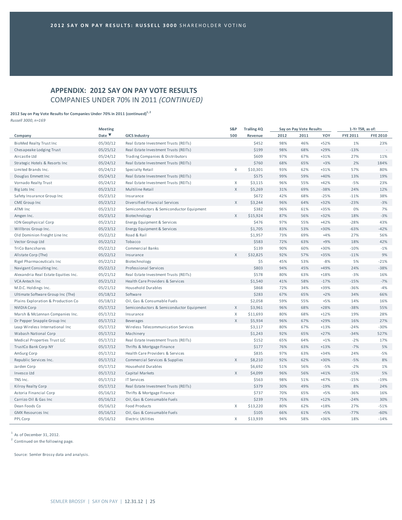# **APPENDIX: 2012 SAY ON PAY VOTE RESULTS** COMPANIES UNDER 70% IN 2011 *(CONTINUED)*

## **2012 Say on Pay Vote Results for Companies Under 70% in 2011 (continued)1, <sup>2</sup>**

*Russell 3000, n=169*

|                                      | <b>Meeting</b>            | S&P                                      | <b>Trailing 4Q</b> | Say on Pay Vote Results |      |      | 1-Yr TSR, as of: |                 |                 |
|--------------------------------------|---------------------------|------------------------------------------|--------------------|-------------------------|------|------|------------------|-----------------|-----------------|
| Company                              | Date $\blacktriangledown$ | <b>GICS Industry</b>                     | 500                | Revenue                 | 2012 | 2011 | YOY              | <b>FYE 2011</b> | <b>FYE 2010</b> |
| <b>BioMed Realty Trust Inc</b>       | 05/30/12                  | Real Estate Investment Trusts (REITs)    |                    | \$452                   | 98%  | 46%  | $+52%$           | 1%              | 23%             |
| Chesapeake Lodging Trust             | 05/25/12                  | Real Estate Investment Trusts (REITs)    |                    | \$199                   | 98%  | 68%  | $+29%$           | $-13%$          |                 |
| Aircastle Ltd                        | 05/24/12                  | Trading Companies & Distributors         |                    | \$609                   | 97%  | 67%  | $+31%$           | 27%             | 11%             |
| Strategic Hotels & Resorts Inc       | 05/24/12                  | Real Estate Investment Trusts (REITs)    |                    | \$760                   | 68%  | 65%  | $+3%$            | 2%              | 184%            |
| Limited Brands Inc.                  | 05/24/12                  | Specialty Retail                         | X                  | \$10,301                | 93%  | 62%  | $+31%$           | 57%             | 80%             |
| Douglas Emmett Inc                   | 05/24/12                  | Real Estate Investment Trusts (REITs)    |                    | \$575                   | 99%  | 59%  | $+40%$           | 13%             | 19%             |
| Vornado Realty Trust                 | 05/24/12                  | Real Estate Investment Trusts (REITs)    | $\mathsf{X}$       | \$3,115                 | 96%  | 55%  | $+42%$           | $-5%$           | 23%             |
| Big Lots Inc                         | 05/23/12                  | Multiline Retail                         | $\mathsf{X}$       | \$5,269                 | 31%  | 69%  | $-38%$           | 24%             | 12%             |
| Safety Insurance Group Inc           | 05/23/12                  | Insurance                                |                    | \$672                   | 42%  | 68%  | $-25%$           | $-11%$          | 38%             |
| <b>CME</b> Group Inc                 | 05/23/12                  | Diversified Financial Services           | X                  | \$3,244                 | 96%  | 64%  | $+32%$           | $-23%$          | $-3%$           |
| ATMI Inc                             | 05/23/12                  | Semiconductors & Semiconductor Equipment |                    | \$382                   | 96%  | 61%  | +35%             | 0%              | 7%              |
| Amgen Inc.                           | 05/23/12                  | Biotechnology                            | $\mathsf X$        | \$15,924                | 87%  | 56%  | $+32%$           | 18%             | $-3%$           |
| ION Geophysical Corp                 | 05/23/12                  | Energy Equipment & Services              |                    | \$476                   | 97%  | 55%  | $+42%$           | $-28%$          | 43%             |
| Willbros Group Inc.                  | 05/23/12                  | Energy Equipment & Services              |                    | \$1,705                 | 83%  | 53%  | +30%             | $-63%$          | $-42%$          |
| Old Dominion Freight Line Inc        | 05/22/12                  | Road & Rail                              |                    | \$1,957                 | 73%  | 69%  | $+4%$            | 27%             | 56%             |
| Vector Group Ltd                     | 05/22/12                  | Tobacco                                  |                    | \$583                   | 72%  | 63%  | $+9%$            | 18%             | 42%             |
| TriCo Bancshares                     | 05/22/12                  | Commercial Banks                         |                    | \$139                   | 90%  | 60%  | +30%             | $-10%$          | $-1%$           |
| Allstate Corp (The)                  | 05/22/12                  | Insurance                                | $\mathsf{X}$       | \$32,825                | 92%  | 57%  | +35%             | $-11%$          | 9%              |
| Rigel Pharmaceuticals Inc            | 05/22/12                  | Biotechnology                            |                    | \$5                     | 45%  | 53%  | $-8%$            | 5%              | $-21%$          |
| Navigant Consulting Inc.             | 05/22/12                  | Professional Services                    |                    | \$803                   | 94%  | 45%  | +49%             | 24%             | $-38%$          |
| Alexandria Real Estate Equities Inc. | 05/21/12                  | Real Estate Investment Trusts (REITs)    |                    | \$578                   | 80%  | 63%  | $+18%$           | $-3%$           | 16%             |
| VCA Antech Inc                       | 05/21/12                  | Health Care Providers & Services         |                    | \$1,540                 | 41%  | 58%  | $-17%$           | $-15%$          | $-7%$           |
| M.D.C. Holdings Inc.                 | 05/21/12                  | <b>Household Durables</b>                |                    | \$868                   | 72%  | 34%  | +39%             | $-36%$          | $-4%$           |
| Ultimate Software Group Inc (The)    | 05/18/12                  | Software                                 |                    | \$283                   | 67%  | 65%  | $+2%$            | 34%             | 66%             |
| Plains Exploration & Production Co   | 05/18/12                  | Oil, Gas & Consumable Fuels              |                    | \$2,058                 | 59%  | 55%  | $+5%$            | 14%             | 16%             |
| <b>NVIDIA Corp</b>                   | 05/17/12                  | Semiconductors & Semiconductor Equipment | $\mathsf X$        | \$3,961                 | 96%  | 68%  | $+28%$           | $-38%$          | 55%             |
| Marsh & McLennan Companies Inc.      | 05/17/12                  | Insurance                                | X                  | \$11,693                | 80%  | 68%  | $+12%$           | 19%             | 28%             |
| Dr Pepper Snapple Group Inc          | 05/17/12                  | <b>Beverages</b>                         | $\mathsf{X}$       | \$5,934                 | 96%  | 67%  | $+29%$           | 16%             | 27%             |
| Leap Wireless International Inc      | 05/17/12                  | Wireless Telecommunication Services      |                    | \$3,117                 | 80%  | 67%  | $+13%$           | $-24%$          | $-30%$          |
| Wabash National Corp                 | 05/17/12                  | Machinery                                |                    | \$1,243                 | 92%  | 65%  | $+27%$           | $-34%$          | 527%            |
| Medical Properties Trust LLC         | 05/17/12                  | Real Estate Investment Trusts (REITs)    |                    | \$152                   | 65%  | 64%  | $+1%$            | $-2%$           | 17%             |
| TrustCo Bank Corp NY                 | 05/17/12                  | Thrifts & Mortgage Finance               |                    | \$177                   | 76%  | 63%  | $+13%$           | $-7%$           | 5%              |
| AmSurg Corp                          | 05/17/12                  | Health Care Providers & Services         |                    | \$835                   | 97%  | 63%  | $+34%$           | 24%             | $-5%$           |
| Republic Services Inc.               | 05/17/12                  | Commercial Services & Supplies           | $\mathsf{X}$       | \$8,210                 | 92%  | 62%  | +30%             | $-5%$           | 8%              |
| Jarden Corp                          | 05/17/12                  | <b>Household Durables</b>                |                    | \$6,692                 | 51%  | 56%  | $-5%$            | $-2%$           | 1%              |
| Invesco Ltd                          | 05/17/12                  | Capital Markets                          | $\mathsf{X}$       | \$4,099                 | 96%  | 56%  | $+41%$           | $-15%$          | 5%              |
| TNS Inc.                             | 05/17/12                  | <b>IT Services</b>                       |                    | \$563                   | 98%  | 51%  | $+47%$           | $-15%$          | $-19%$          |
| Kilroy Realty Corp                   | 05/17/12                  | Real Estate Investment Trusts (REITs)    |                    | \$379                   | 30%  | 49%  | $-19%$           | 8%              | 24%             |
| Astoria Financial Corp               | 05/16/12                  | Thrifts & Mortgage Finance               |                    | \$737                   | 70%  | 65%  | $+5%$            | $-36%$          | 16%             |
| Carrizo Oil & Gas Inc                | 05/16/12                  | Oil, Gas & Consumable Fuels              |                    | \$239                   | 75%  | 63%  | $+12%$           | $-24%$          | 30%             |
| Dean Foods Co                        | 05/16/12                  | <b>Food Products</b>                     | X                  | \$13,220                | 80%  | 62%  | $+18%$           | 27%             | $-51%$          |
| <b>GMX Resources Inc</b>             | 05/16/12                  | Oil, Gas & Consumable Fuels              |                    | \$105                   | 66%  | 61%  | $+5%$            | $-77%$          | $-60%$          |
| PPL Corp                             | 05/16/12                  | <b>Electric Utilities</b>                | $\chi$             | \$13,939                | 94%  | 58%  | +36%             | 18%             | $-14%$          |

 $<sup>1</sup>$  As of December 31, 2012.</sup>

<sup>2</sup> Continued on the following page.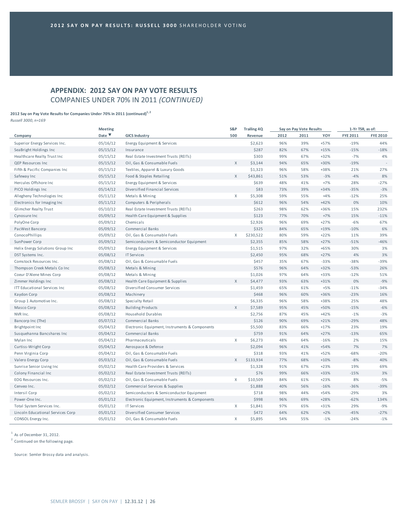# **APPENDIX: 2012 SAY ON PAY VOTE RESULTS** COMPANIES UNDER 70% IN 2011 *(CONTINUED)*

## **2012 Say on Pay Vote Results for Companies Under 70% in 2011 (continued)1, <sup>2</sup>**

*Russell 3000, n=169*

|                                   | <b>Meeting</b>            |                                                | S&P          | <b>Trailing 4Q</b> |      | Say on Pay Vote Results |        | 1-Yr TSR, as of: |                          |  |
|-----------------------------------|---------------------------|------------------------------------------------|--------------|--------------------|------|-------------------------|--------|------------------|--------------------------|--|
| Company                           | Date $\blacktriangledown$ | <b>GICS Industry</b>                           | 500          | Revenue            | 2012 | 2011                    | YOY    | <b>FYE 2011</b>  | <b>FYE 2010</b>          |  |
| Superior Energy Services Inc.     | 05/16/12                  | Energy Equipment & Services                    |              | \$2,623            | 96%  | 39%                     | $+57%$ | $-19%$           | 44%                      |  |
| Sea Bright Holdings Inc           | 05/15/12                  | Insurance                                      |              | \$287              | 82%  | 67%                     | $+15%$ | $-15%$           | $-18%$                   |  |
| Healthcare Realty Trust Inc       | 05/15/12                  | Real Estate Investment Trusts (REITs)          |              | \$303              | 99%  | 67%                     | $+32%$ | $-7%$            | 4%                       |  |
| QEP Resources Inc                 | 05/15/12                  | Oil, Gas & Consumable Fuels                    | $\mathsf{X}$ | \$3,144            | 94%  | 65%                     | +30%   | $-19%$           | $\overline{\phantom{a}}$ |  |
| Fifth & Pacific Companies Inc     | 05/15/12                  | Textiles, Apparel & Luxury Goods               |              | \$1,323            | 96%  | 58%                     | +38%   | 21%              | 27%                      |  |
| Safeway Inc                       | 05/15/12                  | Food & Staples Retailing                       | $\mathsf{X}$ | \$43,861           | 51%  | 53%                     | $-3%$  | $-4%$            | 8%                       |  |
| Hercules Offshore Inc             | 05/15/12                  | Energy Equipment & Services                    |              | \$639              | 48%  | 41%                     | $+7%$  | 28%              | $-27%$                   |  |
| PICO Holdings Inc                 | 05/14/12                  | Diversified Financial Services                 |              | \$83               | 73%  | 39%                     | $+34%$ | $-35%$           | $-3%$                    |  |
| Allegheny Technologies Inc        | 05/11/12                  | Metals & Mining                                | X            | \$5,308            | 59%  | 55%                     | $+4%$  | $-12%$           | 25%                      |  |
| Electronics for Imaging Inc       | 05/11/12                  | Computers & Peripherals                        |              | \$612              | 96%  | 54%                     | $+42%$ | 0%               | 10%                      |  |
| Glimcher Realty Trust             | 05/10/12                  | Real Estate Investment Trusts (REITs)          |              | \$263              | 98%  | 62%                     | +36%   | 15%              | 232%                     |  |
| Cynosure Inc                      | 05/09/12                  | Health Care Equipment & Supplies               |              | \$123              | 77%  | 70%                     | $+7%$  | 15%              | $-11%$                   |  |
| PolyOne Corp                      | 05/09/12                  | Chemicals                                      |              | \$2,926            | 96%  | 69%                     | $+27%$ | $-6%$            | 67%                      |  |
| PacWest Bancorp                   | 05/09/12                  | <b>Commercial Banks</b>                        |              | \$325              | 84%  | 65%                     | $+19%$ | $-10%$           | 6%                       |  |
| ConocoPhillips                    | 05/09/12                  | Oil, Gas & Consumable Fuels                    | X            | \$230,522          | 80%  | 59%                     | $+22%$ | 11%              | 39%                      |  |
| SunPower Corp                     | 05/09/12                  | Semiconductors & Semiconductor Equipment       |              | \$2,355            | 85%  | 58%                     | $+27%$ | $-51%$           | $-46%$                   |  |
| Helix Energy Solutions Group Inc  | 05/09/12                  | Energy Equipment & Services                    |              | \$1,515            | 97%  | 32%                     | $+65%$ | 30%              | 3%                       |  |
| DST Systems Inc.                  | 05/08/12                  | <b>IT Services</b>                             |              | \$2,450            | 95%  | 68%                     | $+27%$ | 4%               | 3%                       |  |
| Comstock Resources Inc.           | 05/08/12                  | Oil, Gas & Consumable Fuels                    |              | \$457              | 35%  | 67%                     | $-33%$ | $-38%$           | $-39%$                   |  |
| Thompson Creek Metals Co Inc      | 05/08/12                  | Metals & Mining                                |              | \$576              | 96%  | 64%                     | $+32%$ | $-53%$           | 26%                      |  |
| Coeur D'Alene Mines Corp          | 05/08/12                  | Metals & Mining                                |              | \$1,026            | 97%  | 64%                     | +33%   | $-12%$           | 51%                      |  |
| Zimmer Holdings Inc               | 05/08/12                  | Health Care Equipment & Supplies               | X            | \$4,477            | 93%  | 63%                     | $+31%$ | 0%               | $-9%$                    |  |
| ITT Educational Services Inc      | 05/08/12                  | Diversified Consumer Services                  |              | \$1,459            | 65%  | 61%                     | $+5%$  | $-11%$           | $-34%$                   |  |
| Kaydon Corp                       | 05/08/12                  | Machinery                                      |              | \$468              | 96%  | 60%                     | +36%   | $-23%$           | 16%                      |  |
| Group 1 Automotive Inc.           | 05/08/12                  | Specialty Retail                               |              | \$6,335            | 96%  | 58%                     | +38%   | 25%              | 48%                      |  |
| Masco Corp                        | 05/08/12                  | <b>Building Products</b>                       | $\mathsf{X}$ | \$7,589            | 95%  | 45%                     | $+50%$ | $-15%$           | $-6%$                    |  |
| NVR Inc.                          | 05/08/12                  | <b>Household Durables</b>                      |              | \$2,756            | 87%  | 45%                     | $+42%$ | $-1%$            | $-3%$                    |  |
| Bancorp Inc (The)                 | 05/07/12                  | Commercial Banks                               |              | \$126              | 90%  | 69%                     | $+21%$ | $-29%$           | 48%                      |  |
| Brightpoint Inc                   | 05/04/12                  | Electronic Equipment, Instruments & Components |              | \$5,500            | 83%  | 66%                     | $+17%$ | 23%              | 19%                      |  |
| Susquehanna Bancshares Inc        | 05/04/12                  | Commercial Banks                               |              | \$759              | 91%  | 64%                     | $+27%$ | $-13%$           | 65%                      |  |
| Mylan Inc                         | 05/04/12                  | Pharmaceuticals                                | X            | \$6,273            | 48%  | 64%                     | $-16%$ | 2%               | 15%                      |  |
| Curtiss-Wright Corp               | 05/04/12                  | Aerospace & Defense                            |              | \$2,094            | 96%  | 41%                     | $+54%$ | 7%               | 7%                       |  |
| Penn Virginia Corp                | 05/04/12                  | Oil, Gas & Consumable Fuels                    |              | \$318              | 93%  | 41%                     | $+52%$ | $-68%$           | $-20%$                   |  |
| Valero Energy Corp                | 05/03/12                  | Oil, Gas & Consumable Fuels                    | X            | \$133,934          | 77%  | 68%                     | $+10%$ | $-8%$            | 40%                      |  |
| Sunrise Senior Living Inc         | 05/02/12                  | Health Care Providers & Services               |              | \$1,328            | 91%  | 67%                     | $+23%$ | 19%              | 69%                      |  |
| Colony Financial Inc              | 05/02/12                  | Real Estate Investment Trusts (REITs)          |              | \$76               | 99%  | 66%                     | +33%   | $-15%$           | 3%                       |  |
| EOG Resources Inc.                | 05/02/12                  | Oil, Gas & Consumable Fuels                    | X            | \$10,509           | 84%  | 61%                     | $+23%$ | 8%               | $-5%$                    |  |
| Cenveo Inc.                       | 05/02/12                  | Commercial Services & Supplies                 |              | \$1,888            | 40%  | 56%                     | $-16%$ | $-36%$           | $-39%$                   |  |
| Intersil Corp                     | 05/02/12                  | Semiconductors & Semiconductor Equipment       |              | \$718              | 98%  | 44%                     | $+54%$ | $-29%$           | 3%                       |  |
| Power-One Inc.                    | 05/01/12                  | Electronic Equipment, Instruments & Components |              | \$998              | 96%  | 69%                     | $+28%$ | $-62%$           | 134%                     |  |
| Total System Services Inc.        | 05/01/12                  | <b>IT Services</b>                             | $\mathsf{X}$ | \$1,841            | 97%  | 65%                     | $+31%$ | 29%              | $-9%$                    |  |
| Lincoln Educational Services Corp | 05/01/12                  | Diversified Consumer Services                  |              | \$472              | 64%  | 62%                     | $+2%$  | $-45%$           | $-27%$                   |  |
| CONSOL Energy Inc.                | 05/01/12                  | Oil, Gas & Consumable Fuels                    | X            | \$5,895            | 54%  | 55%                     | $-1%$  | $-24%$           | $-1%$                    |  |

 $<sup>1</sup>$  As of December 31, 2012.</sup>

<sup>2</sup> Continued on the following page.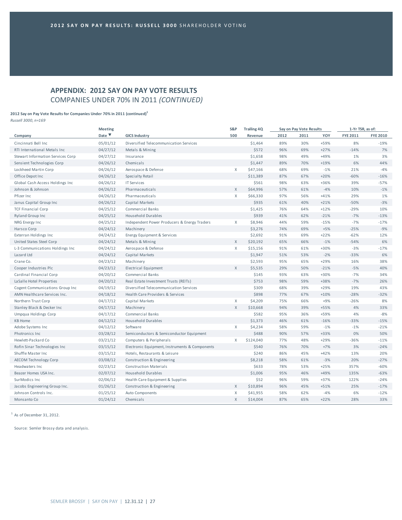# **APPENDIX: 2012 SAY ON PAY VOTE RESULTS** COMPANIES UNDER 70% IN 2011 *(CONTINUED)*

#### **2012 Say on Pay Vote Results for Companies Under 70% in 2011 (continued)1**

*Russell 3000, n=169*

|                                   | <b>Meeting</b>            |                                                | S&P          | <b>Trailing 4Q</b> |      | Say on Pay Vote Results |        | 1-Yr TSR, as of: |                 |  |
|-----------------------------------|---------------------------|------------------------------------------------|--------------|--------------------|------|-------------------------|--------|------------------|-----------------|--|
| Company                           | Date $\blacktriangledown$ | <b>GICS Industry</b>                           | 500          | Revenue            | 2012 | 2011                    | YOY    | <b>FYE 2011</b>  | <b>FYE 2010</b> |  |
| Cincinnati Bell Inc               | 05/01/12                  | Diversified Telecommunication Services         |              | \$1,464            | 89%  | 30%                     | +59%   | 8%               | $-19%$          |  |
| RTI International Metals Inc      | 04/27/12                  | Metals & Mining                                |              | \$572              | 96%  | 69%                     | $+27%$ | $-14%$           | 7%              |  |
| Stewart Information Services Corp | 04/27/12                  | Insurance                                      |              | \$1,658            | 98%  | 49%                     | +49%   | 1%               | 3%              |  |
| Sensient Technologies Corp        | 04/26/12                  | Chemicals                                      |              | \$1,447            | 89%  | 70%                     | +19%   | 6%               | 44%             |  |
| Lockheed Martin Corp              | 04/26/12                  | Aerospace & Defense                            | X            | \$47,166           | 68%  | 69%                     | $-1%$  | 21%              | $-4%$           |  |
| Office Depot Inc                  | 04/26/12                  | Specialty Retail                               |              | \$11,389           | 87%  | 67%                     | $+20%$ | $-60%$           | $-16%$          |  |
| Global Cash Access Holdings Inc   | 04/26/12                  | <b>IT Services</b>                             |              | \$561              | 98%  | 63%                     | +36%   | 39%              | $-57%$          |  |
| Johnson & Johnson                 | 04/26/12                  | Pharmaceuticals                                | X            | \$64,996           | 57%  | 61%                     | $-4%$  | 10%              | $-1%$           |  |
| Pfizer Inc                        | 04/26/12                  | Pharmaceuticals                                | $\chi$       | \$66,330           | 97%  | 56%                     | $+41%$ | 29%              | 1%              |  |
| Janus Capital Group Inc           | 04/26/12                  | Capital Markets                                |              | \$935              | 61%  | 40%                     | $+21%$ | $-50%$           | $-3%$           |  |
| <b>TCF Financial Corp</b>         | 04/25/12                  | Commercial Banks                               |              | \$1,425            | 76%  | 64%                     | $+12%$ | $-29%$           | 10%             |  |
| <b>Ryland Group Inc</b>           | 04/25/12                  | <b>Household Durables</b>                      |              | \$939              | 41%  | 62%                     | $-21%$ | $-7%$            | $-13%$          |  |
| NRG Energy Inc                    | 04/25/12                  | Independent Power Producers & Energy Traders   | X            | \$8,946            | 44%  | 59%                     | $-15%$ | $-7%$            | $-17%$          |  |
| Harsco Corp                       | 04/24/12                  | Machinery                                      |              | \$3,276            | 74%  | 69%                     | $+5%$  | $-25%$           | $-9%$           |  |
| Exterran Holdings Inc             | 04/24/12                  | Energy Equipment & Services                    |              | \$2,692            | 91%  | 69%                     | $+22%$ | $-62%$           | 12%             |  |
| United States Steel Corp          | 04/24/12                  | Metals & Mining                                | X            | \$20,192           | 65%  | 66%                     | $-1%$  | $-54%$           | 6%              |  |
| L-3 Communications Holdings Inc   | 04/24/12                  | Aerospace & Defense                            | $\mathsf{X}$ | \$15,156           | 91%  | 61%                     | +30%   | $-3%$            | $-17%$          |  |
| Lazard Ltd                        | 04/24/12                  | Capital Markets                                |              | \$1,947            | 51%  | 53%                     | $-2%$  | $-33%$           | 6%              |  |
| Crane Co.                         | 04/23/12                  | Machinery                                      |              | \$2,593            | 95%  | 65%                     | $+29%$ | 16%              | 38%             |  |
| Cooper Industries Plc             | 04/23/12                  | Electrical Equipment                           | $\mathsf X$  | \$5,535            | 29%  | 50%                     | $-21%$ | $-5%$            | 40%             |  |
| Cardinal Financial Corp           | 04/20/12                  | Commercial Banks                               |              | \$145              | 93%  | 63%                     | +30%   | $-7%$            | 34%             |  |
| La Salle Hotel Properties         | 04/20/12                  | Real Estate Investment Trusts (REITs)          |              | \$753              | 98%  | 59%                     | +38%   | $-7%$            | 26%             |  |
| Cogent Communications Group Inc   | 04/19/12                  | Diversified Telecommunication Services         |              | \$309              | 68%  | 39%                     | $+29%$ | 19%              | 43%             |  |
| AMN Healthcare Services Inc.      | 04/18/12                  | Health Care Providers & Services               |              | \$898              | 77%  | 67%                     | $+10%$ | $-28%$           | $-32%$          |  |
| Northern Trust Corp               | 04/17/12                  | Capital Markets                                | X            | \$4,209            | 75%  | 66%                     | $+9%$  | $-26%$           | 8%              |  |
| Stanley Black & Decker Inc        | 04/17/12                  | Machinery                                      | $\mathsf{X}$ | \$10,668           | 94%  | 39%                     | +55%   | 4%               | 33%             |  |
| Umpqua Holdings Corp              | 04/17/12                  | Commercial Banks                               |              | \$582              | 95%  | 36%                     | +59%   | 4%               | $-8%$           |  |
| <b>KB Home</b>                    | 04/12/12                  | <b>Household Durables</b>                      |              | \$1,373            | 46%  | 61%                     | $-16%$ | $-33%$           | $-15%$          |  |
| Adobe Systems Inc                 | 04/12/12                  | Software                                       | $\mathsf{X}$ | \$4,234            | 58%  | 59%                     | $-1%$  | $-1%$            | $-21%$          |  |
| Photronics Inc                    | 03/28/12                  | Semiconductors & Semiconductor Equipment       |              | \$488              | 90%  | 57%                     | +33%   | 0%               | 50%             |  |
| Hewlett-Packard Co                | 03/21/12                  | Computers & Peripherals                        | X            | \$124,040          | 77%  | 48%                     | $+29%$ | $-36%$           | $-11%$          |  |
| Rofin Sinar Technologies Inc      | 03/15/12                  | Electronic Equipment, Instruments & Components |              | \$540              | 76%  | 70%                     | $+7%$  | 3%               | $-24%$          |  |
| Shuffle Master Inc.               | 03/15/12                  | Hotels, Restaurants & Leisure                  |              | \$240              | 86%  | 45%                     | $+42%$ | 13%              | 20%             |  |
| <b>AECOM Technology Corp</b>      | 03/08/12                  | Construction & Engineering                     |              | \$8,218            | 58%  | 61%                     | $-3%$  | 20%              | $-27%$          |  |
| Headwaters Inc.                   | 02/23/12                  | <b>Construction Materials</b>                  |              | \$633              | 78%  | 53%                     | $+25%$ | 357%             | $-60%$          |  |
| Beazer Homes USA Inc.             | 02/07/12                  | <b>Household Durables</b>                      |              | \$1,006            | 95%  | 46%                     | $+49%$ | 135%             | $-63%$          |  |
| SurModics Inc                     | 02/06/12                  | Health Care Equipment & Supplies               |              | \$52               | 96%  | 59%                     | $+37%$ | 122%             | $-24%$          |  |
| Jacobs Engineering Group Inc.     | 01/26/12                  | Construction & Engineering                     | X            | \$10,894           | 96%  | 45%                     | $+51%$ | 25%              | $-17%$          |  |
| Johnson Controls Inc.             | 01/25/12                  | Auto Components                                | X            | \$41,955           | 58%  | 62%                     | $-4%$  | 6%               | $-12%$          |  |
| Monsanto Co                       | 01/24/12                  | Chemicals                                      | X            | \$14,004           | 87%  | 65%                     | $+22%$ | 28%              | 33%             |  |
|                                   |                           |                                                |              |                    |      |                         |        |                  |                 |  |

 $1$  As of December 31, 2012.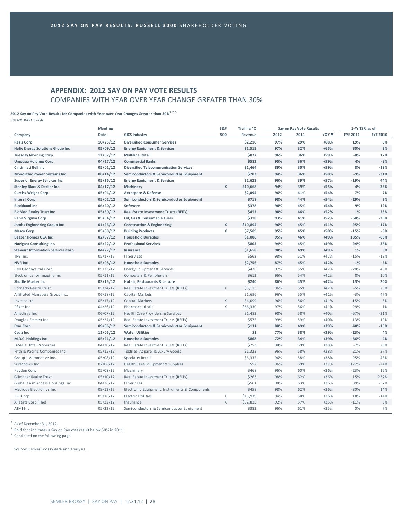# **APPENDIX: 2012 SAY ON PAY VOTE RESULTS** COMPANIES WITH YEAR OVER YEAR CHANGE GREATER THAN 30%

**2012 Say on Pay Vote Results for Companies with Year over Year Changes Greater than 30%1, 2, <sup>3</sup>** *Russell 3000, n=146*

|                                          | <b>Meeting</b> |                                                | S&P      | <b>Trailing 4Q</b> |      | Say on Pay Vote Results |                  | 1-Yr TSR, as of: |                 |
|------------------------------------------|----------------|------------------------------------------------|----------|--------------------|------|-------------------------|------------------|------------------|-----------------|
| Company                                  | Date           | <b>GICS Industry</b>                           | 500      | Revenue            | 2012 | 2011                    | YOY <sup>V</sup> | <b>FYE 2011</b>  | <b>FYE 2010</b> |
| <b>Regis Corp</b>                        | 10/25/12       | <b>Diversified Consumer Services</b>           |          | \$2,210            | 97%  | 29%                     | +68%             | 19%              | 0%              |
| <b>Helix Energy Solutions Group Inc</b>  | 05/09/12       | <b>Energy Equipment &amp; Services</b>         |          | \$1,515            | 97%  | 32%                     | $+65%$           | 30%              | 3%              |
| <b>Tuesday Morning Corp.</b>             | 11/07/12       | <b>Multiline Retail</b>                        |          | \$827              | 96%  | 36%                     | +59%             | $-8%$            | 17%             |
| <b>Umpqua Holdings Corp</b>              | 04/17/12       | <b>Commercial Banks</b>                        |          | \$582              | 95%  | 36%                     | +59%             | 4%               | $-8%$           |
| Cincinnati Bell Inc                      | 05/01/12       | <b>Diversified Telecommunication Services</b>  |          | \$1,464            | 89%  | 30%                     | +59%             | 8%               | $-19%$          |
| <b>Monolithic Power Systems Inc</b>      | 06/14/12       | Semiconductors & Semiconductor Equipment       |          | \$203              | 94%  | 36%                     | +58%             | $-9%$            | $-31%$          |
| <b>Superior Energy Services Inc.</b>     | 05/16/12       | <b>Energy Equipment &amp; Services</b>         |          | \$2,623            | 96%  | 39%                     | $+57%$           | $-19%$           | 44%             |
| <b>Stanley Black &amp; Decker Inc</b>    | 04/17/12       | Machinery                                      | x        | \$10,668           | 94%  | 39%                     | +55%             | 4%               | 33%             |
| <b>Curtiss-Wright Corp</b>               | 05/04/12       | Aerospace & Defense                            |          | \$2,094            | 96%  | 41%                     | $+54%$           | 7%               | 7%              |
| <b>Intersil Corp</b>                     | 05/02/12       | Semiconductors & Semiconductor Equipment       |          | \$718              | 98%  | 44%                     | $+54%$           | $-29%$           | 3%              |
| <b>Blackbaud Inc</b>                     | 06/20/12       | Software                                       |          | \$378              | 98%  | 45%                     | $+54%$           | 9%               | 12%             |
| <b>BioMed Realty Trust Inc</b>           | 05/30/12       | <b>Real Estate Investment Trusts (REITs)</b>   |          | \$452              | 98%  | 46%                     | $+52%$           | 1%               | 23%             |
| Penn Virginia Corp                       | 05/04/12       | Oil, Gas & Consumable Fuels                    |          | \$318              | 93%  | 41%                     | $+52%$           | $-68%$           | $-20%$          |
| Jacobs Engineering Group Inc.            | 01/26/12       | <b>Construction &amp; Engineering</b>          | x        | \$10,894           | 96%  | 45%                     | $+51%$           | 25%              | $-17%$          |
| <b>Masco Corp</b>                        | 05/08/12       | <b>Building Products</b>                       | x        | \$7,589            | 95%  | 45%                     | +50%             | $-15%$           | $-6%$           |
| Beazer Homes USA Inc.                    | 02/07/12       | <b>Household Durables</b>                      |          | \$1,006            | 95%  | 46%                     | $+49%$           | 135%             | $-63%$          |
| Navigant Consulting Inc.                 | 05/22/12       | <b>Professional Services</b>                   |          | \$803              | 94%  | 45%                     | +49%             | 24%              | $-38%$          |
| <b>Stewart Information Services Corp</b> | 04/27/12       | Insurance                                      |          | \$1,658            | 98%  | 49%                     | +49%             | 1%               | 3%              |
| TNS Inc.                                 | 05/17/12       | <b>IT Services</b>                             |          | \$563              | 98%  | 51%                     | $+47%$           | $-15%$           | $-19%$          |
| NVR Inc.                                 | 05/08/12       | <b>Household Durables</b>                      |          | \$2,756            | 87%  | 45%                     | $+42%$           | $-1%$            | $-3%$           |
| <b>ION Geophysical Corp</b>              | 05/23/12       | Energy Equipment & Services                    |          | \$476              | 97%  | 55%                     | $+42%$           | $-28%$           | 43%             |
| Electronics for Imaging Inc              | 05/11/12       | Computers & Peripherals                        |          | \$612              | 96%  | 54%                     | $+42%$           | 0%               | 10%             |
| <b>Shuffle Master Inc</b>                | 03/15/12       | Hotels, Restaurants & Leisure                  |          | \$240              | 86%  | 45%                     | $+42%$           | 13%              | 20%             |
| Vornado Realty Trust                     | 05/24/12       | Real Estate Investment Trusts (REITs)          | X        | \$3,115            | 96%  | 55%                     | $+42%$           | $-5%$            | 23%             |
| Affiliated Managers Group Inc.           | 06/18/12       | Capital Markets                                |          | \$1,696            | 96%  | 55%                     | $+41%$           | $-3%$            | 47%             |
| Invesco Ltd                              | 05/17/12       | Capital Markets                                | X        | \$4,099            | 96%  | 56%                     | $+41%$           | $-15%$           | 5%              |
| Pfizer Inc                               | 04/26/12       | Pharmaceuticals                                | X        | \$66,330           | 97%  | 56%                     | $+41%$           | 29%              | 1%              |
| Amedisys Inc                             | 06/07/12       | Health Care Providers & Services               |          | \$1,482            | 98%  | 58%                     | $+40%$           | $-67%$           | $-31%$          |
| Douglas Emmett Inc                       | 05/24/12       | Real Estate Investment Trusts (REITs)          |          | \$575              | 99%  | 59%                     | +40%             | 13%              | 19%             |
| <b>Exar Corp</b>                         | 09/06/12       | Semiconductors & Semiconductor Equipment       |          | \$131              | 88%  | 49%                     | +39%             | 40%              | $-15%$          |
| Cadiz Inc                                | 11/05/12       | <b>Water Utilities</b>                         |          | \$1                | 77%  | 38%                     | +39%             | $-23%$           | 4%              |
| M.D.C. Holdings Inc.                     | 05/21/12       | <b>Household Durables</b>                      |          | \$868              | 72%  | 34%                     | +39%             | $-36%$           | $-4%$           |
| LaSalle Hotel Properties                 | 04/20/12       | Real Estate Investment Trusts (REITs)          |          | \$753              | 98%  | 59%                     | +38%             | $-7%$            | 26%             |
| Fifth & Pacific Companies Inc            | 05/15/12       | Textiles, Apparel & Luxury Goods               |          | \$1,323            | 96%  | 58%                     | +38%             | 21%              | 27%             |
| Group 1 Automotive Inc.                  | 05/08/12       | Specialty Retail                               |          | \$6,335            | 96%  | 58%                     | +38%             | 25%              | 48%             |
| SurModics Inc.                           | 02/06/12       | Health Care Equipment & Supplies               |          | \$52               | 96%  | 59%                     | $+37%$           | 122%             | $-24%$          |
| Kaydon Corp                              | 05/08/12       | Machinery                                      |          | \$468              | 96%  | 60%                     | +36%             | $-23%$           | 16%             |
| Glimcher Realty Trust                    | 05/10/12       | Real Estate Investment Trusts (REITs)          |          | \$263              | 98%  | 62%                     | +36%             | 15%              | 232%            |
| Global Cash Access Holdings Inc          | 04/26/12       | <b>IT Services</b>                             |          | \$561              | 98%  | 63%                     | +36%             | 39%              | $-57%$          |
| Methode Electronics Inc                  | 09/13/12       | Electronic Equipment, Instruments & Components |          | \$458              | 98%  | 62%                     | +36%             | $-30%$           | 14%             |
| PPL Corp                                 | 05/16/12       | Electric Utilities                             | X        | \$13,939           | 94%  | 58%                     | +36%             | 18%              | $-14%$          |
| Allstate Corp (The)                      | 05/22/12       | Insurance                                      | $\times$ | \$32,825           | 92%  | 57%                     | $+35%$           | $-11%$           | 9%              |
| ATMI Inc                                 | 05/23/12       | Semiconductors & Semiconductor Equipment       |          | \$382              | 96%  | 61%                     | +35%             | 0%               | 7%              |

 $1$  As of December 31, 2012.

<sup>2</sup> Bold font indicates a Say on Pay vote result below 50% in 2011.

<sup>3</sup> Continued on the following page.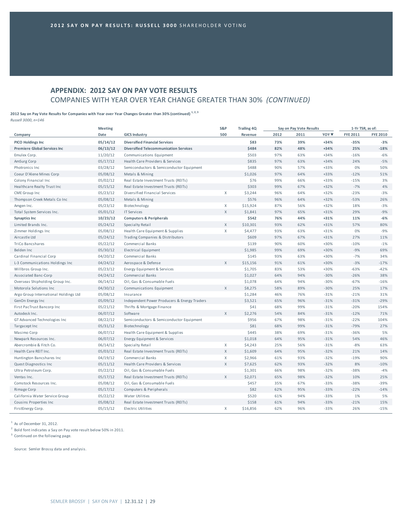# **APPENDIX: 2012 SAY ON PAY VOTE RESULTS** COMPANIES WITH YEAR OVER YEAR CHANGE GREATER THAN 30% *(CONTINUED)*

2012 Say on Pay Vote Results for Companies with Year over Year Changes Greater than 30% (continued)  $^{1,2,3}$ 

*Russell 3000, n=146*

|                                       | <b>Meeting</b> |                                               | S&P         | <b>Trailing 4Q</b> |      | Say on Pay Vote Results |                  | 1-Yr TSR, as of: |                 |
|---------------------------------------|----------------|-----------------------------------------------|-------------|--------------------|------|-------------------------|------------------|------------------|-----------------|
| Company                               | Date           | <b>GICS Industry</b>                          | 500         | Revenue            | 2012 | 2011                    | YOY <sup>V</sup> | <b>FYE 2011</b>  | <b>FYE 2010</b> |
| <b>PICO Holdings Inc</b>              | 05/14/12       | <b>Diversified Financial Services</b>         |             | \$83               | 73%  | 39%                     | $+34%$           | $-35%$           | $-3%$           |
| <b>Premiere Global Services Inc</b>   | 06/13/12       | <b>Diversified Telecommunication Services</b> |             | \$484              | 82%  | 48%                     | $+34%$           | 25%              | $-18%$          |
| Emulex Corp.                          | 11/20/12       | Communications Equipment                      |             | \$503              | 97%  | 63%                     | $+34%$           | $-16%$           | $-6%$           |
| AmSurg Corp                           | 05/17/12       | Health Care Providers & Services              |             | \$835              | 97%  | 63%                     | $+34%$           | 24%              | $-5%$           |
| Photronics Inc                        | 03/28/12       | Semiconductors & Semiconductor Equipment      |             | \$488              | 90%  | 57%                     | $+33%$           | 0%               | 50%             |
| Coeur D'Alene Mines Corp              | 05/08/12       | Metals & Mining                               |             | \$1,026            | 97%  | 64%                     | +33%             | $-12%$           | 51%             |
| Colony Financial Inc                  | 05/02/12       | Real Estate Investment Trusts (REITs)         |             | \$76               | 99%  | 66%                     | +33%             | $-15%$           | 3%              |
| Healthcare Realty Trust Inc           | 05/15/12       | Real Estate Investment Trusts (REITs)         |             | \$303              | 99%  | 67%                     | $+32%$           | $-7%$            | 4%              |
| CME Group Inc                         | 05/23/12       | Diversified Financial Services                | X           | \$3,244            | 96%  | 64%                     | $+32%$           | $-23%$           | $-3%$           |
| Thompson Creek Metals Co Inc          | 05/08/12       | Metals & Mining                               |             | \$576              | 96%  | 64%                     | $+32%$           | $-53%$           | 26%             |
| Amgen Inc.                            | 05/23/12       | Biotechnology                                 | X           | \$15,924           | 87%  | 56%                     | $+32%$           | 18%              | $-3%$           |
| Total System Services Inc.            | 05/01/12       | <b>IT Services</b>                            | X           | \$1,841            | 97%  | 65%                     | $+31%$           | 29%              | $-9%$           |
| <b>Synaptics Inc</b>                  | 10/23/12       | <b>Computers &amp; Peripherals</b>            |             | \$542              | 76%  | 44%                     | $+31%$           | 11%              | $-6%$           |
| Limited Brands Inc.                   | 05/24/12       | Specialty Retail                              | X           | \$10,301           | 93%  | 62%                     | $+31%$           | 57%              | 80%             |
| Zimmer Holdings Inc                   | 05/08/12       | Health Care Equipment & Supplies              | X           | \$4,477            | 93%  | 63%                     | $+31%$           | 0%               | $-9%$           |
| Aircastle Ltd                         | 05/24/12       | Trading Companies & Distributors              |             | \$609              | 97%  | 67%                     | $+31%$           | 27%              | 11%             |
| <b>TriCo Bancshares</b>               | 05/22/12       | Commercial Banks                              |             | \$139              | 90%  | 60%                     | +30%             | $-10%$           | $-1%$           |
| Belden Inc                            | 05/30/12       | Electrical Equipment                          |             | \$1,985            | 99%  | 69%                     | +30%             | $-9%$            | 69%             |
| Cardinal Financial Corp               | 04/20/12       | Commercial Banks                              |             | \$145              | 93%  | 63%                     | +30%             | $-7%$            | 34%             |
| L-3 Communications Holdings Inc       | 04/24/12       | Aerospace & Defense                           | X           | \$15,156           | 91%  | 61%                     | +30%             | $-3%$            | $-17%$          |
| Willbros Group Inc.                   | 05/23/12       | Energy Equipment & Services                   |             | \$1,705            | 83%  | 53%                     | +30%             | $-63%$           | $-42%$          |
| Associated Banc-Corp                  | 04/24/12       | Commercial Banks                              |             | \$1,027            | 64%  | 94%                     | $-30%$           | $-26%$           | 38%             |
| Overseas Shipholding Group Inc.       | 06/14/12       | Oil, Gas & Consumable Fuels                   |             | \$1,078            | 64%  | 94%                     | $-30%$           | $-67%$           | $-16%$          |
| Motorola Solutions Inc                | 04/30/12       | Communications Equipment                      | X           | \$8,275            | 58%  | 89%                     | $-30%$           | 25%              | 17%             |
| Argo Group International Holdings Ltd | 05/08/12       | Insurance                                     |             | \$1,284            | 46%  | 76%                     | $-31%$           | $-21%$           | 31%             |
| GenOn Energy Inc                      | 05/09/12       | Independent Power Producers & Energy Traders  |             | \$3,521            | 65%  | 96%                     | $-31%$           | $-31%$           | $-29%$          |
| First PacTrust Bancorp Inc            | 05/21/12       | Thrifts & Mortgage Finance                    |             | \$41               | 68%  | 99%                     | $-31%$           | $-20%$           | 154%            |
| Autodesk Inc.                         | 06/07/12       | Software                                      | $\mathsf X$ | \$2,276            | 54%  | 84%                     | $-31%$           | $-12%$           | 71%             |
| GT Advanced Technologies Inc          | 08/22/12       | Semiconductors & Semiconductor Equipment      |             | \$956              | 67%  | 98%                     | $-31%$           | $-22%$           | 104%            |
| Targacept Inc                         | 05/31/12       | Biotechnology                                 |             | \$81               | 68%  | 99%                     | $-31%$           | $-79%$           | 27%             |
| Masimo Corp                           | 06/07/12       | Health Care Equipment & Supplies              |             | \$445              | 38%  | 69%                     | $-31%$           | $-36%$           | 5%              |
| Newpark Resources Inc.                | 06/07/12       | Energy Equipment & Services                   |             | \$1,018            | 64%  | 95%                     | $-31%$           | 54%              | 46%             |
| Abercrombie & Fitch Co.               | 06/14/12       | Specialty Retail                              | X           | \$4,243            | 25%  | 56%                     | $-31%$           | $-8%$            | 63%             |
| Health Care REIT Inc.                 | 05/03/12       | Real Estate Investment Trusts (REITs)         | X           | \$1,609            | 64%  | 95%                     | $-32%$           | 21%              | 14%             |
| Huntington Bancshares Inc             | 04/19/12       | <b>Commercial Banks</b>                       | $\mathsf X$ | \$2,966            | 61%  | 93%                     | $-32%$           | $-19%$           | 90%             |
| Quest Diagnostics Inc                 | 05/11/12       | Health Care Providers & Services              | $\times$    | \$7,625            | 62%  | 93%                     | $-32%$           | 8%               | $-10%$          |
| Ultra Petroleum Corp.                 | 05/22/12       | Oil, Gas & Consumable Fuels                   |             | \$1,301            | 66%  | 98%                     | $-32%$           | $-38%$           | $-4%$           |
| Ventas Inc.                           | 05/17/12       | Real Estate Investment Trusts (REITs)         | X           | \$2,071            | 65%  | 98%                     | $-32%$           | 10%              | 25%             |
| Comstock Resources Inc.               | 05/08/12       | Oil, Gas & Consumable Fuels                   |             | \$457              | 35%  | 67%                     | $-33%$           | $-38%$           | $-39%$          |
| <b>Rimage Corp</b>                    | 05/17/12       | Computers & Peripherals                       |             | \$82               | 62%  | 95%                     | $-33%$           | $-22%$           | $-14%$          |
| California Water Service Group        | 05/22/12       | Water Utilities                               |             | \$520              | 61%  | 94%                     | $-33%$           | 1%               | 5%              |
| Cousins Properties Inc                | 05/08/12       | Real Estate Investment Trusts (REITs)         |             | \$158              | 61%  | 94%                     | $-33%$           | $-21%$           | 15%             |
| FirstEnergy Corp.                     | 05/15/12       | Electric Utilities                            | X           | \$16,856           | 62%  | 96%                     | $-33%$           | 26%              | $-15%$          |
|                                       |                |                                               |             |                    |      |                         |                  |                  |                 |

 $1$  As of December 31, 2012.

<sup>2</sup> Bold font indicates a Say on Pay vote result below 50% in 2011.

<sup>3</sup> Continued on the following page.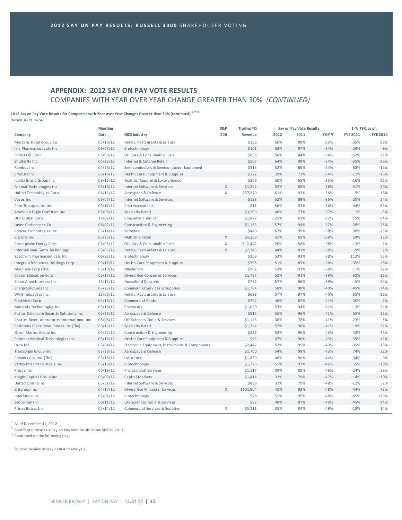# **APPENDIX: 2012 SAY ON PAY VOTE RESULTS** COMPANIES WITH YEAR OVER YEAR CHANGE GREATER THAN 30% *(CONTINUED)*

# 2012 Say on Pay Vote Results for Companies with Year over Year Changes Greater than 30% (continued)  $^{1,2,3}$

*Russell 3000, n=146*

|                                              | <b>Meeting</b> |                                                | S&P         | <b>Trailing 4Q</b> |      | Say on Pay Vote Results | 1-Yr TSR, as of: |                 |                 |
|----------------------------------------------|----------------|------------------------------------------------|-------------|--------------------|------|-------------------------|------------------|-----------------|-----------------|
| Company                                      | Date           | <b>GICS Industry</b>                           | 500         | Revenue            | 2012 | 2011                    | YOY <sup>V</sup> | <b>FYE 2011</b> | <b>FYE 2010</b> |
| Morgans Hotel Group Co                       | 05/16/12       | Hotels, Restaurants & Leisure                  |             | \$196              | 66%  | 99%                     | $-33%$           | $-35%$          | 98%             |
| Isis Pharmaceuticals Inc                     | 06/07/12       | Biotechnology                                  |             | \$101              | 63%  | 97%                     | $-34%$           | $-29%$          | $-9%$           |
| Forest Oil Corp.                             | 05/08/12       | Oil, Gas & Consumable Fuels                    |             | \$696              | 50%  | 84%                     | $-34%$           | $-52%$          | 71%             |
| Shutterfly Inc                               | 05/23/12       | Internet & Catalog Retail                      |             | \$507              | 64%  | 98%                     | $-34%$           | $-35%$          | 96%             |
| Rambus Inc                                   | 04/26/12       | Semiconductors & Semiconductor Equipment       |             | \$313              | 52%  | 86%                     | $-34%$           | $-63%$          | $-16%$          |
| CryoLife Inc.                                | 05/16/12       | Health Care Equipment & Supplies               |             | \$122              | 39%  | 73%                     | $-34%$           | $-11%$          | $-16%$          |
| Iconix Brand Group Inc                       | 08/15/12       | Textiles, Apparel & Luxury Goods               |             | \$366              | 30%  | 65%                     | $-35%$           | $-16%$          | 52%             |
| Akamai Technologies Inc                      | 05/16/12       | Internet Software & Services                   | X           | \$1,202            | 52%  | 88%                     | $-36%$           | $-31%$          | 86%             |
| United Technologies Corp                     | 04/11/12       | Aerospace & Defense                            | X           | \$57,270           | 61%  | 97%                     | $-36%$           | $-5%$           | 16%             |
| Vocus Inc                                    | 06/07/12       | Internet Software & Services                   |             | \$123              | 52%  | 89%                     | $-36%$           | $-20%$          | 54%             |
| Pain Therapeutics Inc                        | 05/17/12       | Pharmaceuticals                                |             | \$11               | 56%  | 93%                     | $-36%$           | $-44%$          | 63%             |
| American Eagle Outfitters Inc.               | 06/06/12       | Specialty Retail                               |             | \$3,269            | 40%  | 77%                     | $-37%$           | 1%              | $-3%$           |
| DFC Global Corp                              | 11/08/12       | Consumer Finance                               |             | \$1,077            | 25%  | 62%                     | $-37%$           | $-15%$          | 64%             |
| Layne Christensen Co                         | 06/07/12       | Construction & Engineering                     |             | \$1,133            | 57%  | 94%                     | $-37%$           | $-26%$          | 25%             |
| Concur Technologies Inc                      | 03/14/12       | Software                                       |             | \$440              | 62%  | 99%                     | $-38%$           | 98%             | $-25%$          |
| Big Lots Inc                                 | 05/23/12       | Multiline Retail                               | X           | \$5,269            | 31%  | 69%                     | $-38%$           | 24%             | 12%             |
| Chesapeake Energy Corp                       | 06/08/12       | Oil, Gas & Consumable Fuels                    | X           | \$12,442           | 20%  | 58%                     | $-38%$           | $-13%$          | 1%              |
| International Game Technology                | 03/05/12       | Hotels, Restaurants & Leisure                  | $\mathsf X$ | \$2,143            | 44%  | 82%                     | $-38%$           | $-9%$           | 2%              |
| Spectrum Pharmaceuticals Inc                 | 06/22/12       | Biotechnology                                  |             | \$209              | 53%  | 91%                     | $-38%$           | 113%            | 55%             |
| Integra LifeSciences Holdings Corp           | 05/17/12       | Health Care Equipment & Supplies               |             | \$795              | 51%  | 89%                     | $-38%$           | $-35%$          | 28%             |
| Middleby Corp (The)                          | 05/10/12       | Machinery                                      |             | \$902              | 53%  | 92%                     | $-38%$           | 11%             | 72%             |
| Career Education Corp                        | 05/17/12       | Diversified Consumer Services                  |             | \$1,787            | 52%  | 91%                     | $-39%$           | $-62%$          | $-11%$          |
| Ethan Allen Interiors Inc.                   | 11/13/12       | <b>Household Durables</b>                      |             | \$732              | 57%  | 96%                     | $-39%$           | $-5%$           | 54%             |
| EnergySolutions Inc                          | 05/23/12       | Commercial Services & Supplies                 |             | \$1,784            | 58%  | 98%                     | $-40%$           | $-45%$          | $-34%$          |
| WMS Industries Inc.                          | 12/06/12       | Hotels, Restaurants & Leisure                  |             | \$693              | 57%  | 97%                     | $-40%$           | $-35%$          | $-22%$          |
| FirstMerit Corp                              | 04/18/12       | Commercial Banks                               |             | \$752              | 46%  | 87%                     | $-41%$           | $-20%$          | 2%              |
| Minerals Technologies Inc.                   | 05/16/12       | Chemicals                                      |             | \$1,039            | 53%  | 94%                     | $-41%$           | $-13%$          | 21%             |
| Kratos Defense & Security Solutions Inc      | 05/23/12       | Aerospace & Defense                            |             | \$815              | 55%  | 96%                     | $-41%$           | $-55%$          | 25%             |
| Charles River Laboratories International Inc | 05/08/12       | Life Sciences Tools & Services                 |             | \$1,143            | 36%  | 78%                     | $-41%$           | $-23%$          | 5%              |
| Childrens Place Retail Stores Inc (The)      | 06/13/12       | Specialty Retail                               |             | \$1,724            | 57%  | 98%                     | $-41%$           | 19%             | 32%             |
| Orion Marine Group Inc                       | 05/22/12       | Construction & Engineering                     |             | \$232              | 53%  | 96%                     | $-43%$           | $-43%$          | $-45%$          |
| Palomar Medical Technologies Inc             | 05/16/12       | Health Care Equipment & Supplies               |             | \$74               | 47%  | 90%                     | $-43%$           | $-35%$          | 41%             |
| Itron Inc                                    | 05/04/12       | Electronic Equipment, Instruments & Components |             | \$2,442            | 52%  | 95%                     | $-43%$           | $-35%$          | $-18%$          |
| TransDigm Group Inc                          | 02/23/12       | Aerospace & Defense                            |             | \$1,700            | 54%  | 98%                     | $-43%$           | 74%             | 32%             |
| Phoenix Cos Inc. (The)                       | 05/15/12       | Insurance                                      |             | \$1,839            | 46%  | 90%                     | $-44%$           | $-34%$          | $-9%$           |
| Vertex Pharmaceuticals Inc                   | 05/16/12       | Biotechnology                                  |             | \$1,776            | 51%  | 97%                     | $-46%$           | $-5%$           | $-18%$          |
| Kforce Inc                                   | 06/19/12       | Professional Services                          |             | \$1,117            | 39%  | 85%                     | $-46%$           | $-24%$          | 29%             |
| Knight Capital Group Inc                     | 05/09/12       | Capital Markets                                |             | \$1,414            | 32%  | 79%                     | $-47%$           | $-14%$          | $-10%$          |
| United Online Inc                            | 05/31/12       | Internet Software & Services                   |             | \$898              | 31%  | 79%                     | $-48%$           | $-12%$          | $-2%$           |
| Citigroup Inc                                | 04/17/12       | Diversified Financial Services                 | X           | \$101,804          | 45%  | 93%                     | $-48%$           | $-44%$          | 43%             |
| InterMune Inc                                | 06/04/12       | Biotechnology                                  |             | \$28               | 51%  | 99%                     | $-48%$           | $-65%$          | 179%            |
| Sequenom Inc                                 | 06/11/12       | Life Sciences Tools & Services                 |             | \$57               | 48%  | 97%                     | $-49%$           | $-45%$          | 94%             |
| Pitney Bowes Inc.                            | 05/14/12       | Commercial Services & Supplies                 | X           | \$5,211            | 35%  | 84%                     | $-49%$           | $-18%$          | 14%             |

 $1$  As of December 31, 2012.

<sup>2</sup> Bold font indicates a Say on Pay vote result below 50% in 2011.

<sup>3</sup> Continued on the following page.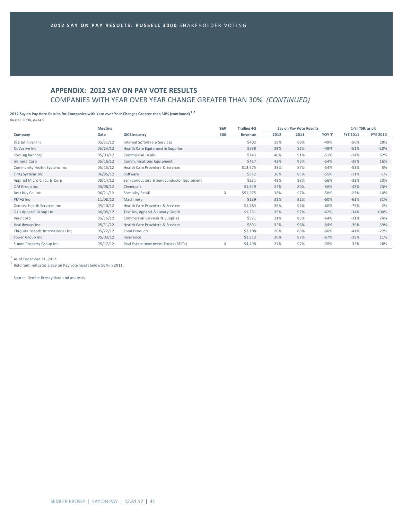# **APPENDIX: 2012 SAY ON PAY VOTE RESULTS** COMPANIES WITH YEAR OVER YEAR CHANGE GREATER THAN 30% *(CONTINUED)*

#### 2012 Say on Pay Vote Results for Companies with Year over Year Changes Greater than 30% (continued)<sup>1,2</sup> *Russell 3000, n=146*

**Meeting 1**-Yr TSR, as of:<br> **S&P** Trailing 4Q **Say** on Pay Vote Results 1-Yr TSR, as of:

| Company                           | Date     | <b>GICS Industry</b>                     | 500 | Revenue  | 2012 | 2011 | YOY ▼  | <b>FYE 2011</b> | <b>FYE 2010</b> |
|-----------------------------------|----------|------------------------------------------|-----|----------|------|------|--------|-----------------|-----------------|
| Digital River Inc                 | 05/31/12 | Internet Software & Services             |     | \$402    | 19%  | 68%  | $-49%$ | $-56%$          | 28%             |
| NuVasive Inc                      | 05/24/12 | Health Care Equipment & Supplies         |     | \$568    | 33%  | 82%  | $-49%$ | $-51%$          | $-20%$          |
| Sterling Bancorp                  | 05/03/12 | Commercial Banks                         |     | \$143    | 40%  | 91%  | $-51%$ | $-14%$          | 52%             |
| Infinera Corp                     | 05/16/12 | Communications Equipment                 |     | \$417    | 42%  | 96%  | $-54%$ | $-39%$          | 16%             |
| Community Health Systems Inc      | 05/15/12 | Health Care Providers & Services         |     | \$13,975 | 33%  | 87%  | $-54%$ | $-53%$          | 5%              |
| EPIQ Systems Inc                  | 06/05/12 | Software                                 |     | \$312    | 30%  | 85%  | $-55%$ | $-11%$          | $-1%$           |
| Applied Micro Circuits Corp       | 08/14/12 | Semiconductors & Semiconductor Equipment |     | \$231    | 42%  | 98%  | $-56%$ | $-33%$          | 20%             |
| OM Group Inc                      | 05/08/12 | Chemicals                                |     | \$1,649  | 24%  | 80%  | $-56%$ | $-42%$          | 23%             |
| Best Buy Co. Inc.                 | 06/21/12 | Specialty Retail                         | X   | \$51,375 | 38%  | 97%  | $-58%$ | $-22%$          | $-10%$          |
| PMFG Inc                          | 11/08/12 | Machinery                                |     | \$139    | 31%  | 92%  | $-60%$ | $-61%$          | 31%             |
| Gentiva Health Services Inc.      | 05/10/12 | Health Care Providers & Services         |     | \$1,783  | 36%  | 97%  | $-60%$ | $-75%$          | $-2%$           |
| G III Apparel Group Ltd           | 06/05/12 | Textiles, Apparel & Luxury Goods         |     | \$1,231  | 35%  | 97%  | $-62%$ | $-34%$          | 100%            |
| Viad Corp                         | 05/15/12 | Commercial Services & Supplies           |     | \$921    | 21%  | 85%  | $-64%$ | $-31%$          | 24%             |
| Healthways Inc                    | 05/31/12 | Health Care Providers & Services         |     | \$691    | 32%  | 96%  | $-64%$ | $-39%$          | $-39%$          |
| Chiquita Brands International Inc | 05/22/12 | Food Products                            |     | \$3,108  | 20%  | 86%  | $-66%$ | $-41%$          | $-22%$          |
| Tower Group Inc                   | 05/03/12 | Insurance                                |     | \$1,813  | 30%  | 97%  | $-67%$ | $-19%$          | 11%             |
| Simon Property Group Inc.         | 05/17/12 | Real Estate Investment Trusts (REITs)    | X   | \$4,498  | 27%  | 97%  | $-70%$ | 33%             | 28%             |

 $<sup>1</sup>$  As of December 31, 2012.</sup>

 $2$  Bold font indicates a Say on Pay vote result below 50% in 2011.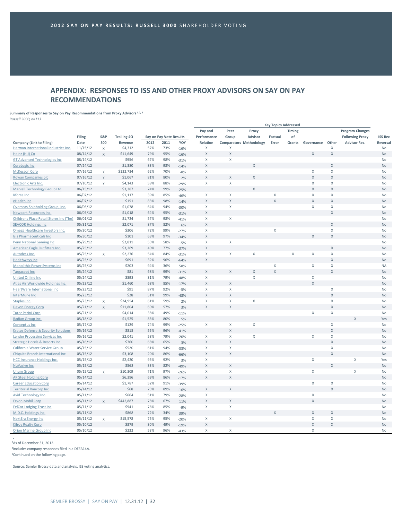# **APPENDIX: RESPONSES TO ISS AND OTHER PROXY ADVISORS ON SAY ON PAY RECOMMENDATIONS**

**Summary of Responses to Say on Pay Recommendations from Proxy Advisors1, 2, 3**

*Russell 3000, n=113*

|                                                              | <b>Key Topics Addressed</b> |              |                    |            |                         |        |                            |              |                                |             |              |                             |                         |                        |                 |
|--------------------------------------------------------------|-----------------------------|--------------|--------------------|------------|-------------------------|--------|----------------------------|--------------|--------------------------------|-------------|--------------|-----------------------------|-------------------------|------------------------|-----------------|
|                                                              |                             |              |                    |            |                         |        | Pay and                    | Peer         | Proxy                          |             | Timing       |                             |                         | <b>Program Changes</b> |                 |
|                                                              | Filing                      | S&P          | <b>Trailing 4Q</b> |            | Say on Pay Vote Results |        | Performance                | Group        | <b>Advisor</b>                 | Factual     | of           |                             |                         | <b>Following Proxy</b> | <b>ISS Rec</b>  |
| Company (Link to Filing)                                     | Date                        | 500          | Revenue            | 2012       | 2011                    | YOY    | Relation                   |              | <b>Comparators Methodology</b> | Error       |              | Grants Governance Other     |                         | <b>Advisor Rec.</b>    | Reversal        |
| Harman International Industries Inc.                         | 11/15/12                    | $\mathsf X$  | \$4,312            | 57%        | 73%                     | $-16%$ | X                          | X            |                                |             |              |                             | $\mathsf X$             |                        | No              |
| Heinz (H J) Co                                               | 08/14/12                    | $\mathsf{X}$ | \$11,649           | 79%        | 95%                     | $-16%$ | $\mathsf X$                | $\mathsf X$  |                                |             |              | $\mathsf X$                 | $\mathsf X$             |                        | No              |
| <b>GT Advanced Technologies Inc</b>                          | 08/14/12                    |              | \$956              | 67%        | 98%                     | $-31%$ | X                          | X            |                                |             |              |                             |                         |                        | <b>No</b>       |
| CoreLogic Inc                                                | 07/24/12                    |              | \$1,380            | 83%        | 98%                     | $-14%$ | $\mathsf X$                |              | X                              |             |              |                             | $\mathsf X$             |                        | No              |
| <b>McKesson Corp</b>                                         | 07/16/12                    | $\mathsf{X}$ | \$122,734          | 62%        | 70%                     | $-8%$  | $\mathsf X$                |              |                                |             |              | Χ                           | $\mathsf X$             |                        | No              |
| Rowan Companies plc                                          | 07/16/12                    | $\mathsf X$  | \$1,067            | 81%        | 80%                     | 2%     | $\mathsf{X}$               | $\mathsf X$  | X                              |             |              | $\mathsf X$                 | $\mathsf{X}$            |                        | <b>No</b>       |
| Electronic Arts Inc.                                         | 07/10/12                    | X            | \$4,143            | 59%        | 88%                     | $-29%$ | $\mathsf{X}$               | $\mathsf X$  |                                |             |              | X                           | $\mathsf X$             |                        | <b>No</b>       |
| <b>Marvell Technology Group Ltd</b>                          | 06/15/12                    |              | \$3,387            | 74%        | 99%                     | $-25%$ |                            |              | X                              |             |              | $\mathsf{X}$                | $\mathsf X$             |                        | <b>No</b>       |
| Kforce Inc                                                   | 06/07/12                    |              | \$1,117            | 39%        | 85%                     | $-46%$ | $\mathsf{X}$               | $\mathsf X$  |                                | Χ           |              | X                           | $\chi$                  |                        | <b>No</b>       |
| eHealth Inc                                                  | 06/07/12                    |              | \$151              | 83%        | 98%                     | $-14%$ | X                          | $\mathsf{X}$ |                                | $\mathsf X$ |              | $\mathsf{X}$                | $\mathsf X$             |                        | <b>No</b>       |
| Overseas Shipholding Group, Inc.                             | 06/06/12                    |              | \$1,078            | 64%        | 94%                     | $-30%$ | X                          | X            |                                |             |              | X                           | $\chi$                  |                        | <b>No</b>       |
| Newpark Resources Inc.                                       | 06/05/12                    |              | \$1,018            | 64%        | 95%                     | $-31%$ | $\mathsf{X}$               |              |                                |             |              |                             | X                       |                        | <b>No</b>       |
| Childrens Place Retail Stores Inc (The)                      | 06/01/12                    |              | \$1,724            | 57%        | 98%                     | $-41%$ | $\mathsf X$                | X            |                                |             |              |                             |                         |                        | No              |
| <b>SEACOR Holdings Inc</b>                                   | 05/31/12                    |              | \$2,071            | 87%        | 82%                     | 6%     | $\mathsf X$                |              |                                |             |              |                             | $\mathsf{X}$            |                        | <b>No</b>       |
| Omega Healthcare Investors Inc.                              | 05/30/12                    |              | \$306              | 72%        | 99%                     | $-27%$ | X                          |              |                                | X           |              |                             | $\mathsf X$             |                        | No              |
| <b>Isis Pharmaceuticals Inc</b>                              | 05/30/12                    |              | \$101              | 63%        | 97%                     | $-34%$ | $\mathsf X$                |              |                                |             |              | X                           | $\mathsf X$             |                        | <b>No</b>       |
| <b>Penn National Gaming Inc</b>                              | 05/29/12                    |              | \$2,811            | 53%        | 58%                     | $-5%$  | X                          | $\mathsf X$  |                                |             |              |                             |                         |                        | <b>No</b>       |
| American Eagle Outfitters Inc.                               | 05/25/12                    |              | \$3,269            | 40%        | 77%                     | $-37%$ | $\overline{X}$             |              |                                |             |              |                             | X                       |                        | <b>No</b>       |
| Autodesk Inc.                                                | 05/25/12                    | $\mathsf X$  | \$2,276            | 54%        | 84%                     | $-31%$ | $\mathsf X$                | $\mathsf X$  | X                              |             | $\mathsf{X}$ | $\mathsf X$                 | $\mathsf X$             |                        | No              |
| <b>Healthways Inc</b>                                        | 05/25/12                    |              | \$691              | 32%        | 96%                     | $-64%$ | $\mathsf{X}$               |              |                                |             |              |                             | $\mathsf X$             |                        | <b>No</b>       |
| Monolithic Power Systems Inc                                 | 05/25/12                    |              | \$203              | 94%        | 36%                     | 58%    |                            |              |                                | X           |              | X                           | $\chi$                  |                        | <b>NA</b>       |
| <b>Targacept Inc</b>                                         | 05/24/12                    |              | \$81               | 68%        | 99%                     | $-31%$ | X                          | X            | Χ                              | X           |              |                             | $\mathsf X$             |                        | <b>No</b>       |
| <b>United Online Inc</b>                                     | 05/24/12                    |              | \$898              | 31%        | 79%                     | $-48%$ | $\mathsf X$                |              | X                              |             |              | X                           |                         |                        | No              |
| Atlas Air Worldwide Holdings Inc.                            | 05/23/12                    |              | \$1,460            | 68%        | 85%                     | $-17%$ | $\mathsf X$                | $\mathsf X$  |                                |             |              | $\mathsf{x}$                |                         |                        | No              |
| <b>HeartWare International Inc</b>                           | 05/23/12                    |              | \$91               | 87%        | 92%                     | $-5%$  | $\mathsf X$                | X            |                                |             |              |                             | $\mathsf X$             |                        | No              |
| InterMune Inc                                                | 05/23/12                    |              | \$28               | 51%        | 99%                     | $-48%$ | $\mathsf X$                | $\mathsf{X}$ |                                |             |              |                             | $\mathsf{X}$            |                        | <b>No</b>       |
| Staples Inc.                                                 | 05/23/12                    | $\mathsf{X}$ | \$24,954           | 61%        | 59%                     | 2%     | $\mathsf{X}$               | $\mathsf X$  | X                              |             |              |                             | $\mathsf X$             |                        | No              |
| <b>Devon Energy Corp</b>                                     | 05/21/12                    | $\mathsf{X}$ | \$11,804           | 60%        | 57%                     | 3%     | $\mathsf X$                | $\mathsf X$  |                                |             |              |                             | $\mathsf X$             |                        | No              |
| <b>Tutor Perini Corp</b>                                     | 05/21/12                    |              | \$4,014            | 38%        | 49%                     | $-11%$ |                            |              |                                |             |              | Χ                           | $\mathsf X$             |                        | No              |
| Radian Group Inc.                                            | 05/18/12                    |              | \$1,525            | 85%        | 80%                     | 5%     |                            |              |                                |             |              |                             |                         | X                      | Yes             |
| <b>Conceptus Inc</b>                                         | 05/17/12                    |              | \$129              | 74%        | 99%                     | $-25%$ | $\mathsf X$                | X            | $\mathsf X$                    |             |              |                             | $\mathsf X$             |                        | No              |
| <b>Kratos Defense &amp; Security Solutions</b>               | 05/16/12                    |              | \$815              | 55%        | 96%                     | $-41%$ |                            | $\mathsf X$  |                                |             |              |                             | X                       |                        | <b>No</b>       |
| Lender Processing Services Inc                               | 05/16/12                    |              | \$2,041            | 58%        | 79%                     | $-20%$ | $\mathsf X$                | X            | X                              |             |              | $\mathsf X$                 | $\mathsf X$             |                        | No              |
| <b>Strategic Hotels &amp; Resorts Inc.</b>                   | 05/16/12                    |              | \$760              | 68%        | 65%                     | 3%     | $\mathsf X$                | $\chi$       |                                |             |              |                             | $\mathsf X$             |                        | <b>No</b>       |
| California Water Service Group                               | 05/15/12                    |              | \$520              | 61%        | 94%                     | $-33%$ | X                          | $\mathsf X$  |                                |             |              |                             | $\mathsf{X}$            |                        | <b>No</b>       |
| Chiquita Brands International Inc                            | 05/15/12                    |              | \$3,108            | 20%        | 86%                     | $-66%$ | $\mathsf X$                | $\mathsf X$  |                                |             |              |                             | $\mathsf X$             |                        | No              |
| <b>HCC Insurance Holdings Inc.</b>                           | 05/15/12                    |              | \$2,420            | 95%        | 92%                     | 3%     | $\mathsf X$                |              |                                |             |              | $\mathsf X$                 |                         | $\mathsf X$            | Yes             |
| <b>NuVasive Inc</b>                                          | 05/15/12                    |              | \$568              | 33%        | 82%                     | $-49%$ | $\mathsf X$                | $\mathsf{X}$ |                                |             |              |                             | X                       |                        | <b>No</b>       |
| <b>Unum Group</b>                                            | 05/15/12                    |              | \$10,309           | 71%        | 97%                     |        | $\mathsf{X}$               | $\mathsf X$  |                                |             |              | X                           |                         | $\mathsf X$            | No              |
|                                                              | 05/14/12                    | X            | \$6,396            | 69%        | 86%                     | $-26%$ | $\mathsf X$                | $\mathsf X$  |                                |             |              |                             |                         |                        | No              |
| <b>AK Steel Holding Corp</b><br><b>Career Education Corp</b> | 05/14/12                    |              | \$1,787            | 52%        | 91%                     | $-17%$ |                            |              |                                |             |              | $\mathsf{X}$                | $\mathsf X$             |                        | <b>No</b>       |
|                                                              |                             |              | \$68               | 73%        | 89%                     | $-39%$ | X                          | $\mathsf{X}$ |                                |             |              |                             | $\overline{\mathsf{x}}$ |                        | No              |
| <b>Territorial Bancorp Inc</b>                               | 05/14/12                    |              |                    |            |                         | $-16%$ |                            |              |                                |             |              |                             |                         |                        |                 |
| Avid Technology Inc.                                         | 05/11/12                    |              | \$664<br>\$442,887 | 51%<br>78% | 79%<br>67%              | $-28%$ | $\mathsf X$<br>$\mathsf X$ | X            |                                |             |              | $\mathsf X$<br>$\mathsf{X}$ |                         |                        | No<br><b>No</b> |
| <b>Exxon Mobil Corp</b>                                      | 05/11/12                    | $\mathsf{X}$ | \$941              | 76%        | 85%                     | 11%    |                            | X            |                                |             |              |                             |                         |                        | No              |
| <b>FelCor Lodging Trust Inc</b>                              | 05/11/12                    |              | \$868              | 72%        |                         | $-9%$  | $\mathsf X$                |              |                                | X           |              | X                           | X                       |                        | <b>No</b>       |
| M.D.C. Holdings Inc.                                         | 05/11/12                    |              |                    |            | 34%                     | 39%    |                            |              |                                |             |              |                             |                         |                        |                 |
| <b>NextEra Energy Inc</b>                                    | 05/11/12                    | X            | \$15,578           | 75%        | 95%                     | $-20%$ | X                          | X            |                                |             |              | X                           | $\mathsf X$             |                        | No              |
| <b>Kilroy Realty Corp</b>                                    | 05/10/12                    |              | \$379              | 30%        | 49%                     | $-19%$ | $\mathsf X$                |              |                                |             |              | $\mathsf{X}$                | $\mathsf X$             |                        | No              |
| <b>Orion Marine Group Inc</b>                                | 05/10/12                    |              | \$232              | 53%        | 96%                     | $-43%$ | $\mathsf{X}$               | X            |                                |             |              | $\overline{X}$              |                         |                        | No              |

<sup>1</sup>As of December 31, 2012.

2 Includes company responses filed in a DEFA14A.

<sup>3</sup>Continued on the following page.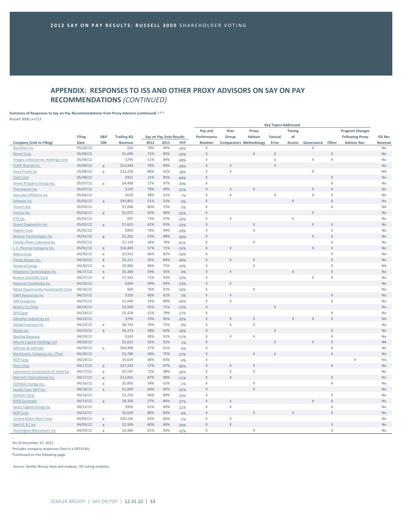# **APPENDIX: RESPONSES TO ISS AND OTHER PROXY ADVISORS ON SAY ON PAY RECOMMENDATIONS** *(CONTINUED)*

**Summary of Responses to Say on Pay Recommendations from Proxy Advisors (continued) 1, 2, 3** *Russell 3000, n=113*

|                                                                  |          |                |                    |      |                         |                 | Pay and                   | Peer                           | Proxy                   |                         | Timing      |                  |                         | <b>Program Changes</b> |                |
|------------------------------------------------------------------|----------|----------------|--------------------|------|-------------------------|-----------------|---------------------------|--------------------------------|-------------------------|-------------------------|-------------|------------------|-------------------------|------------------------|----------------|
|                                                                  | Filing   | <b>S&amp;P</b> | <b>Trailing 4Q</b> |      | Say on Pay Vote Results |                 | Performance               | Group                          | <b>Advisor</b>          | Factual                 | of          |                  |                         | <b>Following Proxy</b> | <b>ISS Rec</b> |
| <b>Company (Link to Filing)</b>                                  | Date     | 500            | Revenue            | 2012 | 2011                    | YOY             | Relation                  | <b>Comparators Methodology</b> |                         | Error                   | Grants      | Governance Other |                         | <b>Advisor Rec.</b>    | Reversal       |
| XenoPort Inc                                                     | 05/10/12 |                | \$54               | 78%  | 94%                     | $-16%$          | X                         |                                |                         |                         |             | X                |                         |                        | No             |
| <b>Atmel Corp</b>                                                | 05/09/12 |                | \$1,699            | 71%  | 95%                     | $-24%$          | X                         |                                | X                       | X                       |             |                  | X                       |                        | No             |
| Integra LifeSciences Holdings Corp                               | 05/09/12 |                | \$795              | 51%  | 89%                     | $-38%$          | $\mathsf X$               |                                |                         | $\sf X$                 |             | X                | $\mathsf X$             |                        | No             |
| YUM! Brands Inc.                                                 | 05/09/12 | X              | \$12,944           | 70%  | 94%                     | $-24%$          | $\mathsf X$               | $\mathsf{X}$                   |                         | $\overline{\mathsf{x}}$ |             |                  |                         |                        | No             |
| Dean Foods Co                                                    | 05/08/12 | X              | \$13,220           | 80%  | 62%                     | 18%             | $\boldsymbol{X}$          | $\mathsf X$                    |                         |                         |             | X                |                         |                        | <b>NA</b>      |
| <b>Viad Corp</b>                                                 | 05/08/12 |                | \$921              | 21%  | 85%                     | $-64%$          | $\mathsf X$               |                                |                         |                         |             |                  | Χ                       |                        | No             |
| Simon Property Group Inc.                                        | 05/07/12 | $\mathsf X$    | \$4,498            | 27%  | 97%                     | $-70%$          | $\mathsf X$               |                                |                         |                         |             |                  | Χ                       |                        | No             |
| Theravance Inc                                                   | 05/07/12 |                | \$145              | 78%  | 99%                     | $-21%$          | $\mathsf X$               | $\overline{\mathsf{x}}$        | X                       |                         |             | $\mathsf{X}$     | $\overline{X}$          |                        | No             |
| <b>Hercules Offshore Inc</b>                                     | 05/04/12 |                | \$639              | 48%  | 41%                     | 7%              | $\mathsf X$               | $\mathsf{X}$                   |                         | X                       |             | X                | Χ                       |                        | No             |
| Safeway Inc                                                      | 05/03/12 | X              | \$43,861           | 51%  | 53%                     | $-3%$           | $\mathsf X$               |                                |                         |                         | $\mathsf X$ |                  | X                       |                        | No             |
| <b>Terex Corp</b>                                                | 05/03/12 |                | \$7,068            | 80%  | 75%                     | 5%              | $\mathsf X$               |                                |                         |                         |             |                  | Χ                       |                        | <b>NA</b>      |
| Ventas Inc.                                                      | 05/03/12 | X              | \$2,071            | 65%  | 98%                     | $-32%$          | $\mathsf X$               |                                |                         |                         |             | $\mathsf{X}$     |                         |                        | No             |
| DTS Inc                                                          | 05/02/12 |                | \$97               | 73%  | 97%                     | $-23%$          | $\boldsymbol{\mathsf{X}}$ | $\mathsf X$                    |                         |                         | X           |                  |                         |                        | No             |
| <b>Quest Diagnostics Inc</b>                                     | 05/02/12 | $\mathsf{X}$   | \$7,625            | 62%  | 93%                     | $-32%$          | $\mathsf X$               |                                | X                       |                         |             | X                | Χ                       |                        | No             |
| <b>Aegion Corp</b>                                               | 05/01/12 |                | \$959              | 70%  | 99%                     | $-29%$          | $\mathsf X$               |                                | X                       |                         |             |                  | X                       |                        | No             |
| Akamai Technologies Inc                                          | 05/01/12 | X              | \$1,202            | 52%  | 88%                     | $-36%$          | $\mathsf X$               |                                |                         |                         |             | X                | $\overline{\mathsf{x}}$ |                        | No             |
| <b>Charles River Laboratories</b>                                | 05/01/12 |                | \$1,143            | 36%  | 78%                     | $-41%$          | $\boldsymbol{X}$          |                                | X                       |                         |             |                  | X                       |                        | <b>No</b>      |
| J. C. Penney Company Inc.                                        | 05/01/12 | X              | \$16,469           | 57%  | 71%                     | $-14%$          | $\mathsf X$               | $\mathsf{X}$                   |                         |                         |             | $\mathsf{X}$     | $\overline{\mathsf{x}}$ |                        | No             |
| <b>Altera Corp</b>                                               | 04/30/12 | $\mathsf X$    | \$1,912            | 66%  | 82%                     | $-16%$          | $\mathsf X$               |                                |                         |                         |             |                  | Χ                       |                        | No             |
| Pitney Bowes Inc.                                                | 04/30/12 | $\mathsf X$    | \$5,211            | 35%  | 84%                     | $-49%$          | $\mathsf X$               | $\mathsf{X}$                   | $\overline{\mathsf{x}}$ |                         |             |                  | $\overline{X}$          |                        | No             |
| <b>Sempra Energy</b>                                             | 04/30/12 | $\mathsf X$    | \$9,985            | 86%  | 75%                     | 10%             | $\mathsf X$               |                                | X                       |                         |             |                  | X                       |                        | <b>NA</b>      |
| Allegheny Technologies Inc                                       | 04/27/12 | X              | \$5,308            | 59%  | 55%                     | 4%              | $\mathsf X$               | $\mathsf X$                    |                         |                         | X           |                  | X                       |                        | No             |
| <b>Boston Scientific Corp</b>                                    | 04/27/12 | X              | \$7,563            | 71%  | 93%                     | $-23%$          | $\mathsf X$               |                                |                         |                         |             | X                | X                       |                        | No             |
| National CineMedia Inc                                           | 04/26/12 |                | \$444              | 69%  | 93%                     | $-23%$          | $\mathsf X$               | $\mathsf X$                    |                         |                         |             |                  |                         |                        | No             |
| <b>Retail Opportunity Investments Corp</b>                       | 04/26/12 |                | \$60               | 76%  | 92%                     | $-16%$          | $\boldsymbol{\mathsf{X}}$ |                                | Χ                       |                         |             |                  |                         |                        | No             |
| <b>GMX Resources Inc</b>                                         | 04/25/12 |                | \$105              | 66%  | 61%                     | 5%              | $\mathsf X$               | $\mathsf X$                    |                         |                         |             |                  | Χ                       |                        | No             |
| OM Group Inc                                                     | 04/25/12 |                | \$1,649            | 24%  | 80%                     | $-56%$          | $\mathsf X$               | $\mathsf X$                    |                         |                         |             |                  | X                       |                        | No             |
| Brink's Co (The)                                                 | 04/24/12 |                | \$3,939            | 55%  | 71%                     | $-15%$          | $\mathsf X$               |                                |                         | X                       |             |                  |                         |                        | No             |
| <b>SPX Corp</b>                                                  | 04/24/12 |                | \$5,428            | 52%  | 79%                     | $-27%$          | $\boldsymbol{X}$          |                                |                         |                         |             |                  | X                       |                        | <b>No</b>      |
| <b>Gibraltar Industries Inc</b>                                  | 04/23/12 |                | \$795              | 70%  | 95%                     | $-25%$          | $\mathsf X$               | $\mathsf X$                    | X                       |                         |             |                  | $\mathsf X$             |                        | <b>NA</b>      |
| <b>Gilead Sciences Inc</b>                                       | 04/23/12 | $\mathsf X$    | \$8,742            | 76%  | 75%                     | 0%              | $\mathsf X$               | $\mathsf X$                    | X                       |                         |             |                  |                         |                        | No             |
| Mylan Inc                                                        | 04/23/12 | $\mathsf X$    | \$6,273            | 48%  | 64%                     | $-16%$          | X                         |                                |                         | $\mathsf{X}$            |             |                  | X                       |                        | No             |
| <b>Sterling Bancorp</b>                                          | 04/23/12 |                | \$143              | 40%  | 91%                     | $-51%$          | $\mathsf X$               | X                              | X                       |                         |             |                  | X                       |                        | No             |
| Alterra Capital Holdings Ltd                                     | 04/20/12 |                | \$1,621            | 92%  | 92%                     | 1%              | $\mathsf X$               |                                |                         | X                       |             | $\mathsf{X}$     | X                       |                        | <b>NA</b>      |
| Johnson & Johnson                                                | 04/20/12 | X              | \$64,996           | 57%  | 61%                     |                 | $\mathsf X$               |                                |                         |                         |             |                  | Χ                       |                        | No             |
| Manitowoc Company Inc. (The)                                     | 04/20/12 |                | \$3,780            | 48%  | 75%                     | $-4%$<br>$-27%$ | $\mathsf X$               |                                | X                       | $\overline{X}$          |             |                  | $\mathsf X$             |                        | No             |
| <b>NCR Corp</b>                                                  | 04/19/12 |                | \$5,629            | 80%  | 83%                     |                 | $\boldsymbol{\mathsf{X}}$ |                                |                         |                         |             |                  |                         | Χ                      | Yes            |
|                                                                  | 04/17/12 |                | \$37,933           | 57%  | 87%                     | $-4%$           | $\mathsf X$               | $\mathsf X$                    | X                       |                         |             |                  | X                       |                        | No             |
| <b>Hess Corp</b>                                                 | 04/17/12 | $\mathsf X$    | \$5,597            | 72%  | 98%                     | $-30%$          | $\mathsf X$               | $\mathsf X$                    | Χ                       |                         |             |                  |                         |                        | No             |
| Laboratory Corporation of America<br>Marriott International Inc. | 04/17/12 | X              | \$12,091           | 87%  | 98%                     | $-26%$          | $\mathsf X$               | $\mathsf{X}$                   |                         |                         |             |                  | Χ                       |                        | No             |
|                                                                  |          | $\mathsf X$    |                    | 54%  |                         | $-11%$          |                           |                                |                         |                         |             |                  | X                       |                        | <b>No</b>      |
| <b>CONSOL Energy Inc.</b>                                        | 04/16/12 | X              | \$5,895            |      | 55%                     | $-1%$           | $\boldsymbol{X}$          |                                | X                       |                         |             |                  |                         |                        |                |
| <b>Health Care REIT Inc.</b>                                     | 04/16/12 | X              | \$1,609            | 64%  | 95%                     | $-32%$          | $\mathsf X$               |                                | X                       |                         |             |                  |                         |                        | No             |
| <b>Imation Corp.</b>                                             | 04/16/12 |                | \$1,256            | 66%  | 89%                     | $-23%$          | $\mathsf X$               |                                |                         |                         |             |                  | Χ<br>$\mathsf X$        |                        | No             |
| <b>NYSE Euronext</b>                                             | 04/13/12 | $\mathsf{X}$   | \$4,356            | 57%  | 84%                     | $-27%$          | $\mathsf X$               | $\mathsf X$                    |                         |                         |             | $\times$         |                         |                        | No             |
| Janus Capital Group Inc                                          | 04/12/12 |                | \$935              | 61%  | 40%                     | 21%             | $\mathsf X$               | X                              |                         |                         |             |                  | Χ<br>$\overline{X}$     |                        | No             |
| <b>NCR Corp</b>                                                  | 04/12/12 |                | \$5,629            | 80%  | 83%                     | $-4%$           | $\mathsf X$               |                                | X                       |                         | X           |                  |                         |                        | <b>No</b>      |
| <b>United States Steel Corp</b>                                  | 04/04/12 | X              | \$20,192           | 65%  | 66%                     | $-1%$           | X                         | X                              |                         |                         |             |                  |                         |                        | No             |
| Bard (C.R.) Inc                                                  | 04/03/12 | $\overline{X}$ | \$2,926            | 60%  | 84%                     | $-24%$          | $\mathsf X$               | $\mathsf X$                    |                         |                         |             |                  | X                       |                        | No             |
| <b>Huntington Bancshares Inc</b>                                 | 04/03/12 | X              | \$2,966            | 61%  | 93%                     | $-32%$          | $\mathsf{X}$              |                                | X                       |                         |             |                  | Χ                       |                        | No             |

<sup>1</sup>As of December 31, 2012.

2 Includes company responses filed in a DEFA14A.

<sup>3</sup>Continued on the following page.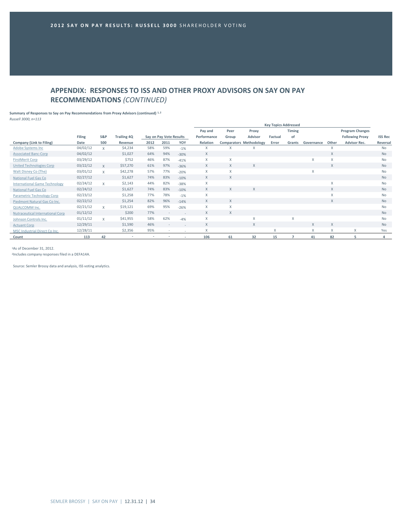# **APPENDIX: RESPONSES TO ISS AND OTHER PROXY ADVISORS ON SAY ON PAY RECOMMENDATIONS** *(CONTINUED)*

**Summary of Responses to Say on Pay Recommendations from Proxy Advisors (continued) 1, 2** *Russell 3000, n=113*

|                                         |          |              |                    |      |                         |                          | <b>Key Topics Addressed</b> |          |                                |         |        |              |              |                        |                |  |
|-----------------------------------------|----------|--------------|--------------------|------|-------------------------|--------------------------|-----------------------------|----------|--------------------------------|---------|--------|--------------|--------------|------------------------|----------------|--|
|                                         |          |              |                    |      |                         |                          | Pay and                     | Peer     | Proxy                          |         | Timing |              |              | <b>Program Changes</b> |                |  |
|                                         | Filing   | S&P          | <b>Trailing 4Q</b> |      | Say on Pay Vote Results |                          | Performance                 | Group    | <b>Advisor</b>                 | Factual | of     |              |              | <b>Following Proxy</b> | <b>ISS Rec</b> |  |
| Company (Link to Filing)                | Date     | 500          | Revenue            | 2012 | 2011                    | YOY                      | Relation                    |          | <b>Comparators Methodology</b> | Error   | Grants | Governance   | Other        | <b>Advisor Rec.</b>    | Reversal       |  |
| <b>Adobe Systems Inc</b>                | 04/02/12 | X            | \$4,234            | 58%  | 59%                     | $-1%$                    | X                           | X        |                                |         |        |              | X            |                        | <b>No</b>      |  |
| <b>Associated Banc-Corp</b>             | 04/02/12 |              | \$1,027            | 64%  | 94%                     | $-30%$                   | X                           |          |                                |         |        |              | $\mathsf{X}$ |                        | <b>No</b>      |  |
| <b>FirstMerit Corp</b>                  | 03/29/12 |              | \$752              | 46%  | 87%                     | $-41%$                   | X                           | X        |                                |         |        | $\mathsf{X}$ | X            |                        | <b>No</b>      |  |
| United Technologies Corp                | 03/22/12 | $\mathsf{X}$ | \$57,270           | 61%  | 97%                     | $-36%$                   | X                           | X        | X                              |         |        |              | $\mathsf{X}$ |                        | <b>No</b>      |  |
| Walt Disney Co (The)                    | 03/01/12 | $\mathsf{X}$ | \$42,278           | 57%  | 77%                     | $-20%$                   | X                           | X        |                                |         |        | X            |              |                        | <b>No</b>      |  |
| <b>National Fuel Gas Co</b>             | 02/27/12 |              | \$1,627            | 74%  | 83%                     | $-10%$                   | X                           | $\times$ |                                |         |        |              |              |                        | <b>No</b>      |  |
| <b>International Game Technology</b>    | 02/24/12 | $\mathsf{X}$ | \$2,143            | 44%  | 82%                     | $-38%$                   | X                           |          |                                |         |        |              | X            |                        | <b>No</b>      |  |
| National Fuel Gas Co                    | 02/24/12 |              | \$1,627            | 74%  | 83%                     | $-10%$                   | X                           | X        | X                              |         |        |              | $\mathsf{X}$ |                        | <b>No</b>      |  |
| Parametric Technology Corp              | 02/23/12 |              | \$1,258            | 77%  | 78%                     | $-1%$                    | X                           |          |                                |         |        |              | X            |                        | <b>No</b>      |  |
| Piedmont Natural Gas Co Inc.            | 02/22/12 |              | \$1,254            | 82%  | 96%                     | $-14%$                   | X                           | $\times$ |                                |         |        |              | X            |                        | <b>No</b>      |  |
| <b>QUALCOMM Inc.</b>                    | 02/21/12 | $\mathsf{X}$ | \$19,121           | 69%  | 95%                     | $-26%$                   | X                           | X        |                                |         |        |              |              |                        | <b>No</b>      |  |
| <b>Nutraceutical International Corp</b> | 01/12/12 |              | \$200              | 77%  |                         |                          | X                           | X        |                                |         |        |              |              |                        | <b>No</b>      |  |
| Johnson Controls Inc.                   | 01/11/12 | $\mathsf{x}$ | \$41,955           | 58%  | 62%                     | $-4%$                    | X                           |          | X                              |         | X      |              |              |                        | <b>No</b>      |  |
| <b>Actuant Corp</b>                     | 12/29/11 |              | \$1,590            | 46%  | $\sim$                  |                          | X                           |          | X                              |         |        | $\times$     | X            |                        | <b>No</b>      |  |
| MSC Industrial Direct Co Inc.           | 12/28/11 |              | \$2,356            | 95%  | $\sim$                  | $\sim$                   | X                           |          |                                | X       |        | $\mathsf{X}$ | X            | X                      | Yes            |  |
| Count                                   | 113      | 42           |                    |      |                         | $\overline{\phantom{a}}$ | 106                         | 61       | 32                             | 15      | 7      | 41           | 82           | 5                      | Δ              |  |

<sup>1</sup>As of December 31, 2012.

2 Includes company responses filed in a DEFA14A.